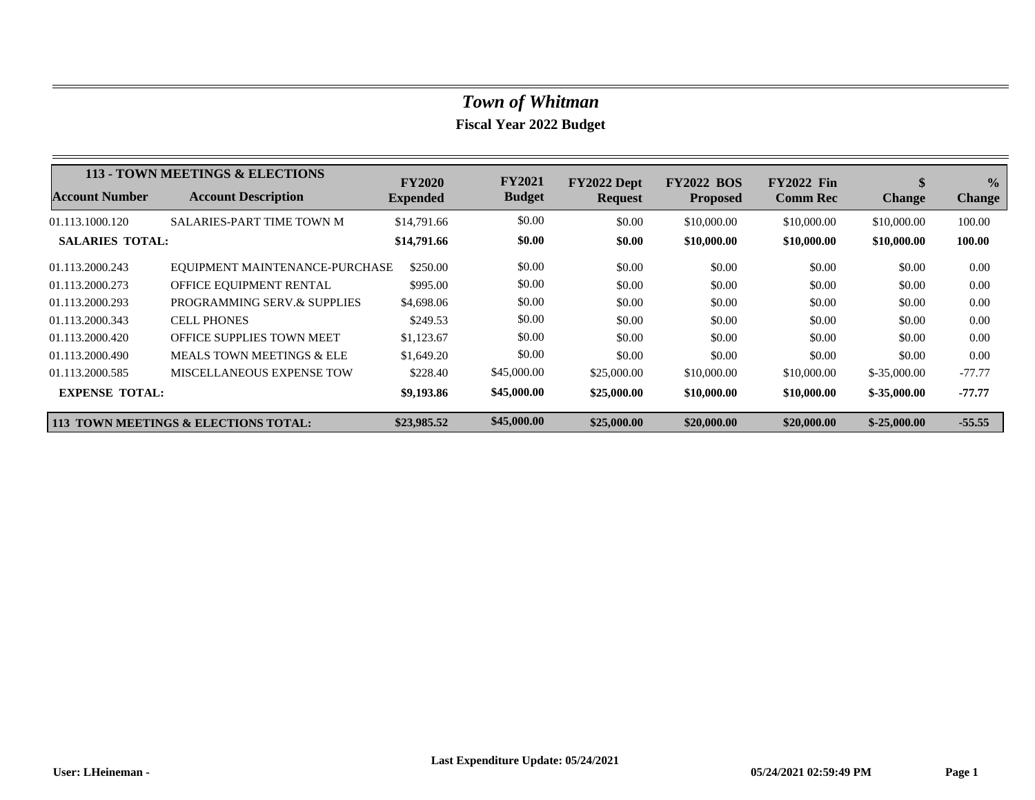|                        | 113 - TOWN MEETINGS & ELECTIONS      | <b>FY2020</b>   | <b>FY2021</b> | FY2022 Dept    | <b>FY2022 BOS</b> | <b>FY2022 Fin</b> | \$            | $\frac{6}{9}$ |
|------------------------|--------------------------------------|-----------------|---------------|----------------|-------------------|-------------------|---------------|---------------|
| <b>Account Number</b>  | <b>Account Description</b>           | <b>Expended</b> | <b>Budget</b> | <b>Request</b> | <b>Proposed</b>   | <b>Comm Rec</b>   | <b>Change</b> | <b>Change</b> |
| 01.113.1000.120        | SALARIES-PART TIME TOWN M            | \$14,791.66     | \$0.00        | \$0.00         | \$10,000.00       | \$10,000.00       | \$10,000.00   | 100.00        |
| <b>SALARIES TOTAL:</b> |                                      | \$14,791.66     | \$0.00        | \$0.00         | \$10,000.00       | \$10,000.00       | \$10,000.00   | 100.00        |
| 01.113.2000.243        | EQUIPMENT MAINTENANCE-PURCHASE       | \$250.00        | \$0.00        | \$0.00         | \$0.00            | \$0.00            | \$0.00        | 0.00          |
| 01.113.2000.273        | OFFICE EQUIPMENT RENTAL              | \$995.00        | \$0.00        | \$0.00         | \$0.00            | \$0.00            | \$0.00        | 0.00          |
| 01.113.2000.293        | PROGRAMMING SERV.& SUPPLIES          | \$4,698.06      | \$0.00        | \$0.00         | \$0.00            | \$0.00            | \$0.00        | 0.00          |
| 01.113.2000.343        | <b>CELL PHONES</b>                   | \$249.53        | \$0.00        | \$0.00         | \$0.00            | \$0.00            | \$0.00        | 0.00          |
| 01.113.2000.420        | <b>OFFICE SUPPLIES TOWN MEET</b>     | \$1,123.67      | \$0.00        | \$0.00         | \$0.00            | \$0.00            | \$0.00        | 0.00          |
| 01.113.2000.490        | <b>MEALS TOWN MEETINGS &amp; ELE</b> | \$1,649.20      | \$0.00        | \$0.00         | \$0.00            | \$0.00            | \$0.00        | 0.00          |
| 01.113.2000.585        | <b>MISCELLANEOUS EXPENSE TOW</b>     | \$228.40        | \$45,000.00   | \$25,000.00    | \$10,000.00       | \$10,000.00       | $$-35,000.00$ | $-77.77$      |
| <b>EXPENSE TOTAL:</b>  |                                      | \$9,193.86      | \$45,000.00   | \$25,000.00    | \$10,000.00       | \$10,000.00       | $$-35,000.00$ | $-77.77$      |
|                        | 113 TOWN MEETINGS & ELECTIONS TOTAL: | \$23,985.52     | \$45,000.00   | \$25,000.00    | \$20,000.00       | \$20,000.00       | $$-25,000,00$ | $-55.55$      |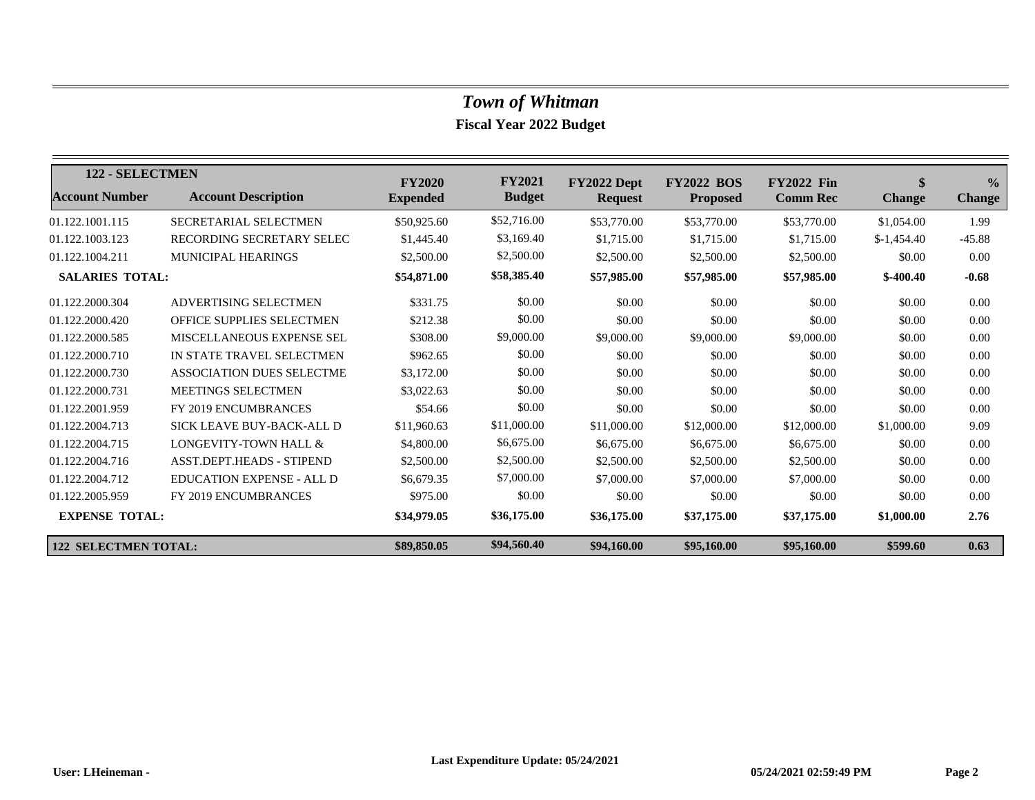| 122 - SELECTMEN             |                                  | <b>FY2020</b>   | <b>FY2021</b> | FY2022 Dept    | <b>FY2022</b><br><b>BOS</b> | <b>FY2022 Fin</b> | $\mathbf{\$}$ | $\frac{0}{0}$ |
|-----------------------------|----------------------------------|-----------------|---------------|----------------|-----------------------------|-------------------|---------------|---------------|
| <b>Account Number</b>       | <b>Account Description</b>       | <b>Expended</b> | <b>Budget</b> | <b>Request</b> | <b>Proposed</b>             | <b>Comm Rec</b>   | <b>Change</b> | <b>Change</b> |
| 01.122.1001.115             | SECRETARIAL SELECTMEN            | \$50,925.60     | \$52,716.00   | \$53,770.00    | \$53,770.00                 | \$53,770.00       | \$1,054.00    | 1.99          |
| 01.122.1003.123             | RECORDING SECRETARY SELEC        | \$1,445.40      | \$3,169.40    | \$1,715.00     | \$1,715.00                  | \$1,715.00        | $$-1,454.40$  | $-45.88$      |
| 01.122.1004.211             | <b>MUNICIPAL HEARINGS</b>        | \$2,500.00      | \$2,500.00    | \$2,500.00     | \$2,500.00                  | \$2,500.00        | \$0.00        | 0.00          |
| <b>SALARIES TOTAL:</b>      |                                  | \$54,871.00     | \$58,385.40   | \$57,985.00    | \$57,985.00                 | \$57,985.00       | $$-400.40$    | $-0.68$       |
| 01.122.2000.304             | ADVERTISING SELECTMEN            | \$331.75        | \$0.00        | \$0.00         | \$0.00                      | \$0.00            | \$0.00        | 0.00          |
| 01.122.2000.420             | <b>OFFICE SUPPLIES SELECTMEN</b> | \$212.38        | \$0.00        | \$0.00         | \$0.00                      | \$0.00            | \$0.00        | 0.00          |
| 01.122.2000.585             | MISCELLANEOUS EXPENSE SEL        | \$308.00        | \$9,000.00    | \$9,000.00     | \$9,000.00                  | \$9,000.00        | \$0.00        | 0.00          |
| 01.122.2000.710             | IN STATE TRAVEL SELECTMEN        | \$962.65        | \$0.00        | \$0.00         | \$0.00                      | \$0.00            | \$0.00        | 0.00          |
| 01.122.2000.730             | ASSOCIATION DUES SELECTME        | \$3,172.00      | \$0.00        | \$0.00         | \$0.00                      | \$0.00            | \$0.00        | 0.00          |
| 01.122.2000.731             | MEETINGS SELECTMEN               | \$3,022.63      | \$0.00        | \$0.00         | \$0.00                      | \$0.00            | \$0.00        | 0.00          |
| 01.122.2001.959             | FY 2019 ENCUMBRANCES             | \$54.66         | \$0.00        | \$0.00         | \$0.00                      | \$0.00            | \$0.00        | 0.00          |
| 01.122.2004.713             | SICK LEAVE BUY-BACK-ALL D        | \$11,960.63     | \$11,000.00   | \$11,000.00    | \$12,000.00                 | \$12,000.00       | \$1,000.00    | 9.09          |
| 01.122.2004.715             | LONGEVITY-TOWN HALL &            | \$4,800.00      | \$6,675.00    | \$6,675.00     | \$6,675.00                  | \$6,675.00        | \$0.00        | 0.00          |
| 01.122.2004.716             | <b>ASST.DEPT.HEADS - STIPEND</b> | \$2,500.00      | \$2,500.00    | \$2,500.00     | \$2,500.00                  | \$2,500.00        | \$0.00        | 0.00          |
| 01.122.2004.712             | <b>EDUCATION EXPENSE - ALL D</b> | \$6,679.35      | \$7,000.00    | \$7,000.00     | \$7,000.00                  | \$7,000.00        | \$0.00        | 0.00          |
| 01.122.2005.959             | FY 2019 ENCUMBRANCES             | \$975.00        | \$0.00        | \$0.00         | \$0.00                      | \$0.00            | \$0.00        | 0.00          |
| <b>EXPENSE TOTAL:</b>       |                                  | \$34,979.05     | \$36,175.00   | \$36,175.00    | \$37,175.00                 | \$37,175.00       | \$1,000.00    | 2.76          |
| <b>122 SELECTMEN TOTAL:</b> |                                  | \$89,850.05     | \$94,560.40   | \$94,160.00    | \$95,160.00                 | \$95,160.00       | \$599.60      |               |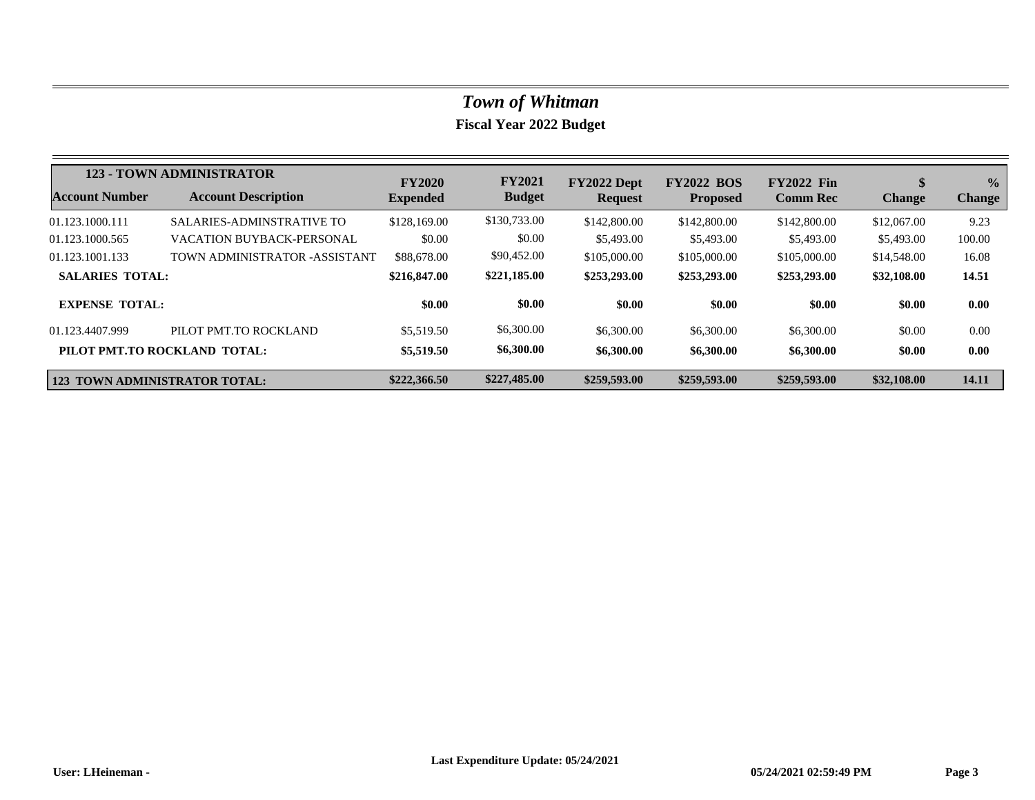|                                      | <b>123 - TOWN ADMINISTRATOR</b>  | <b>FY2020</b>   | <b>FY2021</b> | FY2022 Dept    | <b>FY2022 BOS</b> | <b>FY2022 Fin</b> | $\mathbf{\$}$ | $\frac{0}{0}$ |
|--------------------------------------|----------------------------------|-----------------|---------------|----------------|-------------------|-------------------|---------------|---------------|
| <b>Account Number</b>                | <b>Account Description</b>       | <b>Expended</b> | <b>Budget</b> | <b>Request</b> | <b>Proposed</b>   | <b>Comm Rec</b>   | <b>Change</b> | <b>Change</b> |
| 01.123.1000.111                      | <b>SALARIES-ADMINSTRATIVE TO</b> | \$128,169.00    | \$130,733.00  | \$142,800.00   | \$142,800.00      | \$142,800.00      | \$12,067.00   | 9.23          |
| 01.123.1000.565                      | <b>VACATION BUYBACK-PERSONAL</b> | \$0.00          | \$0.00        | \$5,493.00     | \$5,493.00        | \$5,493.00        | \$5,493.00    | 100.00        |
| 01.123.1001.133                      | TOWN ADMINISTRATOR -ASSISTANT    | \$88,678.00     | \$90,452.00   | \$105,000.00   | \$105,000.00      | \$105,000.00      | \$14,548.00   | 16.08         |
| <b>SALARIES TOTAL:</b>               |                                  | \$216,847.00    | \$221,185.00  | \$253,293.00   | \$253,293.00      | \$253,293,00      | \$32,108.00   | 14.51         |
| <b>EXPENSE TOTAL:</b>                |                                  | \$0.00          | \$0.00        | \$0.00         | \$0.00            | \$0.00            | \$0.00        | 0.00          |
| 01.123.4407.999                      | PILOT PMT.TO ROCKLAND            | \$5,519.50      | \$6,300.00    | \$6,300.00     | \$6,300.00        | \$6,300.00        | \$0.00        | 0.00          |
|                                      | PILOT PMT.TO ROCKLAND TOTAL:     | \$5,519.50      | \$6,300.00    | \$6,300.00     | \$6,300.00        | \$6,300.00        | \$0.00        | 0.00          |
| <b>123 TOWN ADMINISTRATOR TOTAL:</b> |                                  | \$222,366.50    | \$227,485.00  | \$259,593.00   | \$259,593.00      | \$259,593.00      | \$32,108.00   | 14.11         |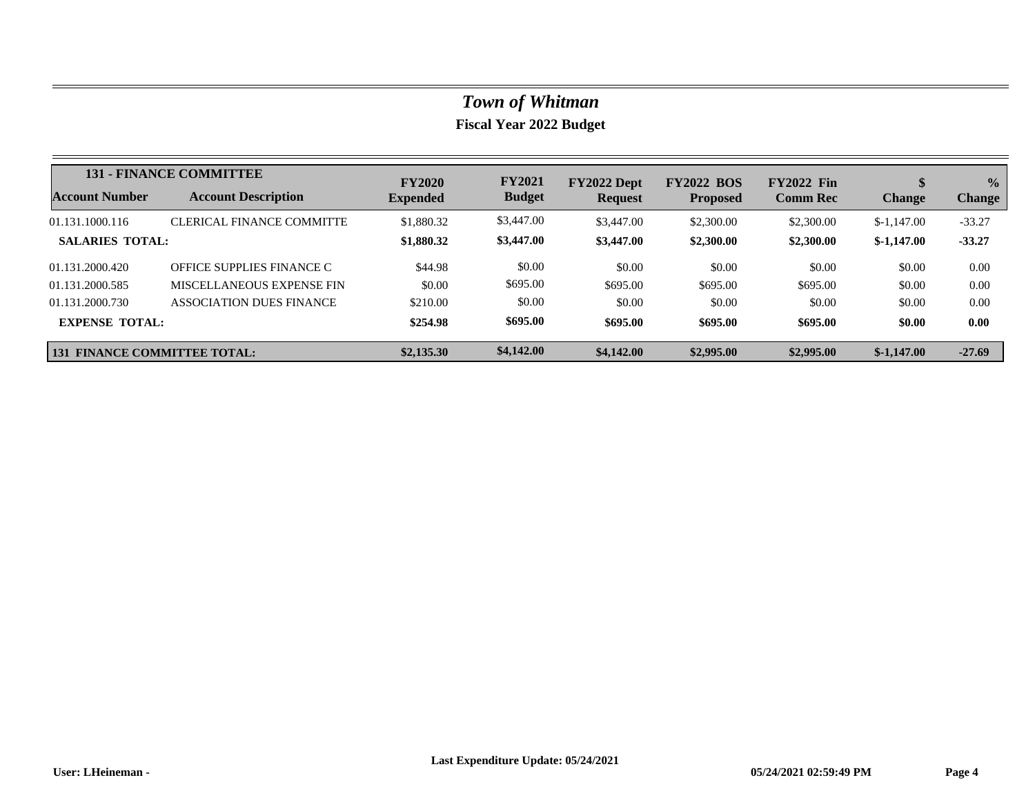|                                     | <b>131 - FINANCE COMMITTEE</b>   | <b>FY2020</b>   | <b>FY2021</b> | FY2022 Dept    | <b>FY2022 BOS</b> | <b>FY2022 Fin</b> |               | $\frac{0}{0}$ |
|-------------------------------------|----------------------------------|-----------------|---------------|----------------|-------------------|-------------------|---------------|---------------|
| Account Number                      | <b>Account Description</b>       | <b>Expended</b> | <b>Budget</b> | <b>Request</b> | <b>Proposed</b>   | <b>Comm Rec</b>   | <b>Change</b> | <b>Change</b> |
| 01.131.1000.116                     | <b>CLERICAL FINANCE COMMITTE</b> | \$1,880.32      | \$3,447.00    | \$3,447.00     | \$2,300.00        | \$2,300.00        | $$-1,147.00$  | $-33.27$      |
| <b>SALARIES TOTAL:</b>              |                                  | \$1,880.32      | \$3,447.00    | \$3,447.00     | \$2,300.00        | \$2,300.00        | $$-1,147.00$  | $-33.27$      |
| 01.131.2000.420                     | OFFICE SUPPLIES FINANCE C        | \$44.98         | \$0.00        | \$0.00         | \$0.00            | \$0.00            | \$0.00        | 0.00          |
| 01.131.2000.585                     | MISCELLANEOUS EXPENSE FIN        | \$0.00          | \$695.00      | \$695.00       | \$695.00          | \$695.00          | \$0.00        | 0.00          |
| 01.131.2000.730                     | ASSOCIATION DUES FINANCE         | \$210.00        | \$0.00        | \$0.00         | \$0.00            | \$0.00            | \$0.00        | 0.00          |
| <b>EXPENSE TOTAL:</b>               |                                  | \$254.98        | \$695.00      | \$695.00       | \$695.00          | \$695.00          | \$0.00        | 0.00          |
| <b>131 FINANCE COMMITTEE TOTAL:</b> |                                  | \$2,135.30      | \$4,142.00    | \$4,142.00     | \$2,995.00        | \$2,995.00        | $$-1.147.00$  | $-27.69$      |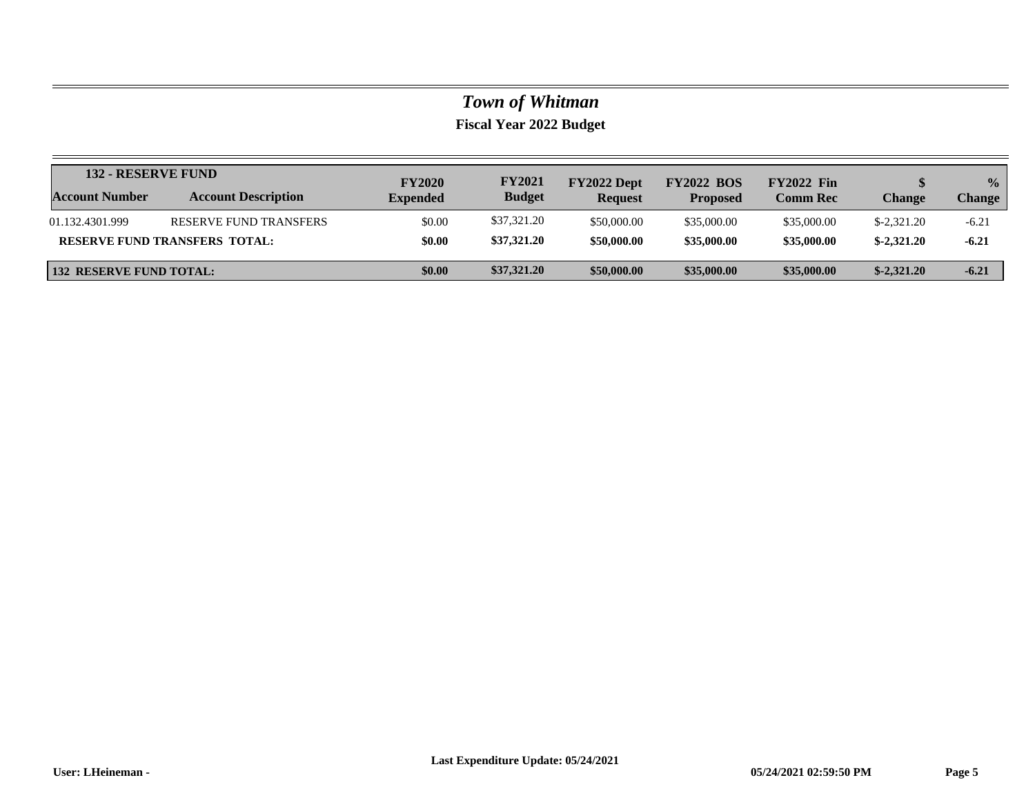|                                | <b>132 - RESERVE FUND</b>            |                                  | <b>FY2021</b> | FY2022 Dept    | <b>FY2022 BOS</b> | <b>FY2022 Fin</b> |                      | $\frac{0}{0}$ |
|--------------------------------|--------------------------------------|----------------------------------|---------------|----------------|-------------------|-------------------|----------------------|---------------|
| <b>Account Number</b>          | <b>Account Description</b>           | <b>FY2020</b><br><b>Expended</b> | <b>Budget</b> | <b>Request</b> | <b>Proposed</b>   | <b>Comm Rec</b>   | Change               | <b>Change</b> |
| 01.132.4301.999                | RESERVE FUND TRANSFERS               | \$0.00                           | \$37,321.20   | \$50,000.00    | \$35,000.00       | \$35,000.00       | $\text{\$-2,321.20}$ | $-6.21$       |
|                                | <b>RESERVE FUND TRANSFERS TOTAL:</b> | \$0.00                           | \$37,321.20   | \$50,000.00    | \$35,000.00       | \$35,000.00       | $$-2,321,20$         | $-6.21$       |
| <b>132 RESERVE FUND TOTAL:</b> |                                      | \$0.00                           | \$37,321.20   | \$50,000.00    | \$35,000.00       | \$35,000.00       | $$-2,321.20$         | $-6.21$       |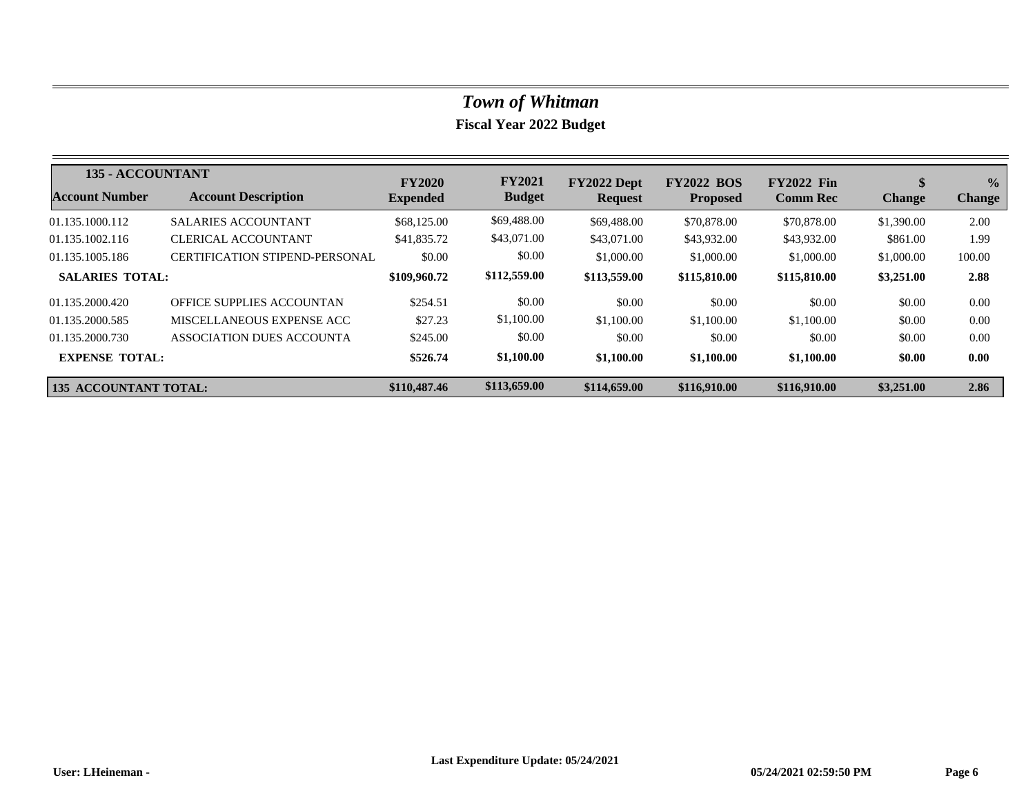| 135 - ACCOUNTANT             |                                       | <b>FY2020</b>   | <b>FY2021</b> | FY2022 Dept    | <b>FY2022 BOS</b> | <b>FY2022 Fin</b> | \$            | $\frac{0}{0}$ |
|------------------------------|---------------------------------------|-----------------|---------------|----------------|-------------------|-------------------|---------------|---------------|
| <b>Account Number</b>        | <b>Account Description</b>            | <b>Expended</b> | <b>Budget</b> | <b>Request</b> | <b>Proposed</b>   | <b>Comm Rec</b>   | <b>Change</b> | <b>Change</b> |
| 01.135.1000.112              | <b>SALARIES ACCOUNTANT</b>            | \$68,125.00     | \$69,488.00   | \$69,488.00    | \$70,878.00       | \$70,878.00       | \$1,390.00    | 2.00          |
| 01.135.1002.116              | CLERICAL ACCOUNTANT                   | \$41,835.72     | \$43,071.00   | \$43,071.00    | \$43,932.00       | \$43,932.00       | \$861.00      | 1.99          |
| 01.135.1005.186              | <b>CERTIFICATION STIPEND-PERSONAL</b> | \$0.00          | \$0.00        | \$1,000.00     | \$1,000.00        | \$1,000.00        | \$1,000.00    | 100.00        |
| <b>SALARIES TOTAL:</b>       |                                       | \$109,960.72    | \$112,559.00  | \$113,559.00   | \$115,810.00      | \$115,810.00      | \$3,251.00    | 2.88          |
| 01.135.2000.420              | OFFICE SUPPLIES ACCOUNTAN             | \$254.51        | \$0.00        | \$0.00         | \$0.00            | \$0.00            | \$0.00        | 0.00          |
| 01.135.2000.585              | MISCELLANEOUS EXPENSE ACC             | \$27.23         | \$1,100.00    | \$1,100.00     | \$1,100.00        | \$1,100.00        | \$0.00        | 0.00          |
| 01.135.2000.730              | ASSOCIATION DUES ACCOUNTA             | \$245.00        | \$0.00        | \$0.00         | \$0.00            | \$0.00            | \$0.00        | 0.00          |
| <b>EXPENSE TOTAL:</b>        |                                       | \$526.74        | \$1,100.00    | \$1,100.00     | \$1,100.00        | \$1,100.00        | \$0.00        | 0.00          |
| <b>135 ACCOUNTANT TOTAL:</b> |                                       | \$110,487.46    | \$113,659.00  | \$114,659.00   | \$116,910.00      | \$116,910.00      | \$3,251.00    | 2.86          |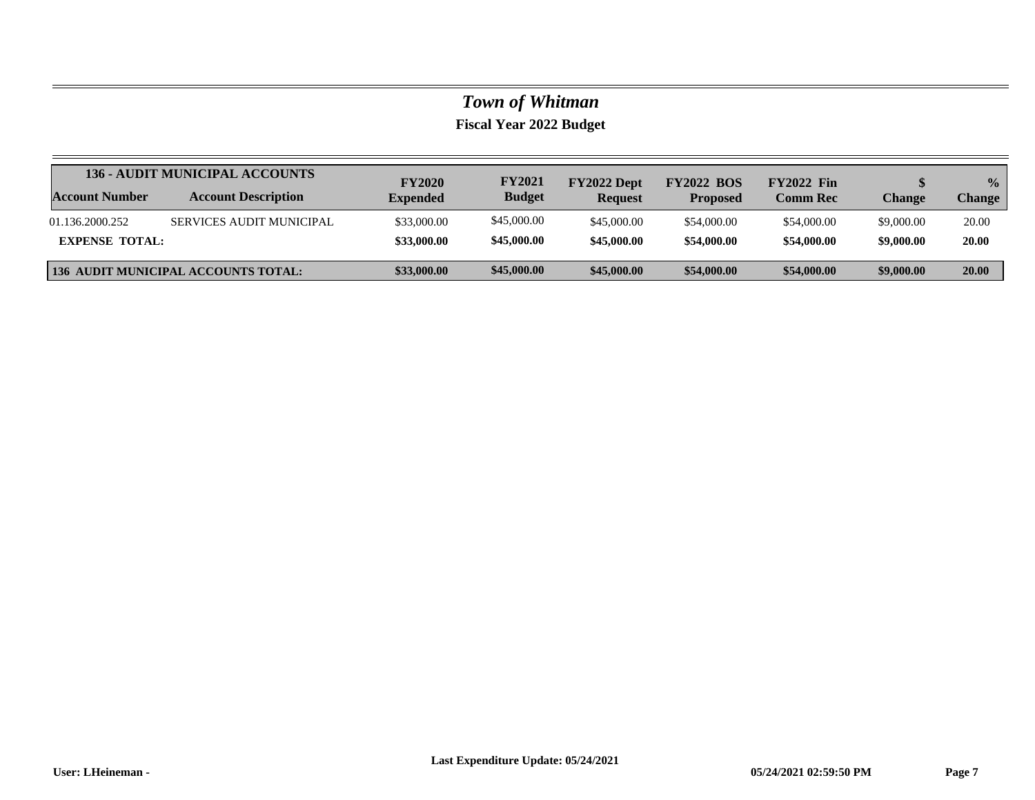|                       | <b>136 - AUDIT MUNICIPAL ACCOUNTS</b>      |                                  | <b>FY2021</b> | FY2022 Dept    | <b>FY2022 BOS</b> | <b>FY2022 Fin</b> |               | $\frac{1}{2}$ |
|-----------------------|--------------------------------------------|----------------------------------|---------------|----------------|-------------------|-------------------|---------------|---------------|
| <b>Account Number</b> | <b>Account Description</b>                 | <b>FY2020</b><br><b>Expended</b> | <b>Budget</b> | <b>Request</b> | <b>Proposed</b>   | <b>Comm Rec</b>   | <b>Change</b> | <b>Change</b> |
| 01.136.2000.252       | <b>SERVICES AUDIT MUNICIPAL</b>            | \$33,000.00                      | \$45,000.00   | \$45,000.00    | \$54,000.00       | \$54,000.00       | \$9,000.00    | 20.00         |
| <b>EXPENSE TOTAL:</b> |                                            | \$33,000.00                      | \$45,000.00   | \$45,000.00    | \$54,000.00       | \$54,000.00       | \$9,000.00    | 20.00         |
|                       | <b>136 AUDIT MUNICIPAL ACCOUNTS TOTAL:</b> | \$33,000.00                      | \$45,000.00   | \$45,000.00    | \$54,000.00       | \$54,000.00       | \$9,000.00    | 20.00         |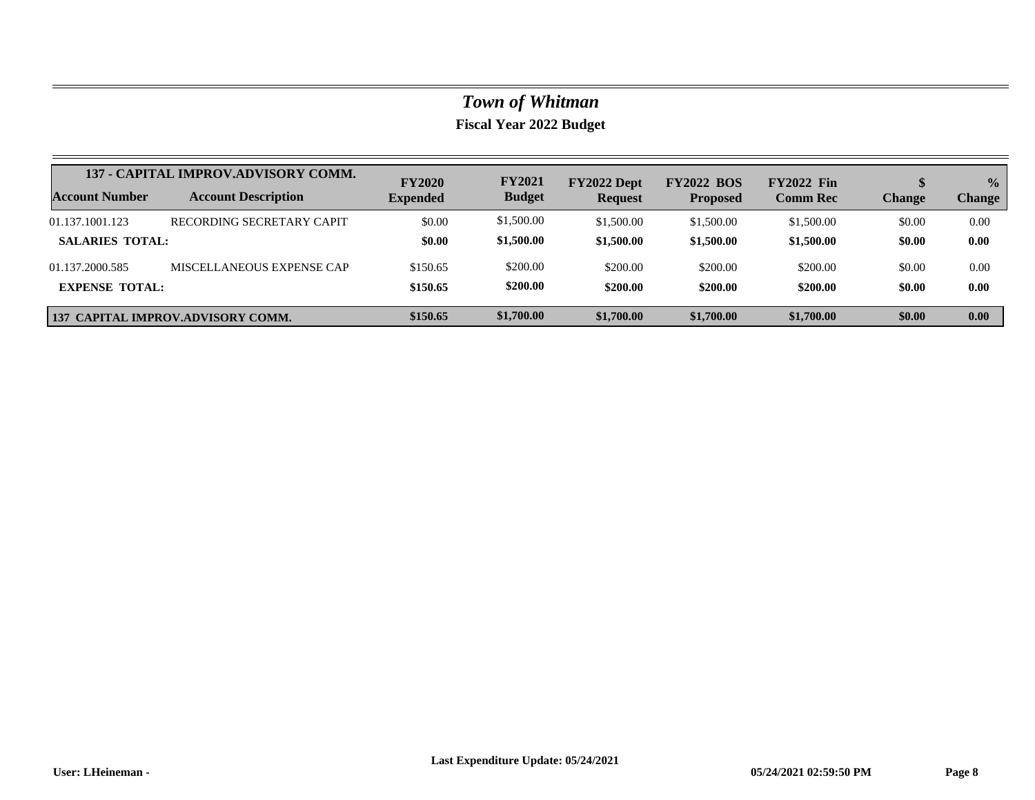|                        | 137 - CAPITAL IMPROV.ADVISORY COMM. |                 | <b>FY2021</b> | FY2022 Dept    | <b>FY2022 BOS</b> | <b>FY2022 Fin</b> |               | $\frac{0}{0}$ |
|------------------------|-------------------------------------|-----------------|---------------|----------------|-------------------|-------------------|---------------|---------------|
| Account Number         | <b>Account Description</b>          | <b>Expended</b> | <b>Budget</b> | <b>Request</b> | <b>Proposed</b>   | <b>Comm Rec</b>   | <b>Change</b> | <b>Change</b> |
| 01.137.1001.123        | RECORDING SECRETARY CAPIT           | \$0.00          | \$1,500.00    | \$1,500.00     | \$1,500.00        | \$1,500.00        | \$0.00        | 0.00          |
| <b>SALARIES TOTAL:</b> |                                     | \$0.00          | \$1,500.00    | \$1,500.00     | \$1,500.00        | \$1,500.00        | \$0.00        | 0.00          |
| 01.137.2000.585        | MISCELLANEOUS EXPENSE CAP           | \$150.65        | \$200.00      | \$200.00       | \$200.00          | \$200.00          | \$0.00        | 0.00          |
| <b>EXPENSE TOTAL:</b>  |                                     | \$150.65        | \$200.00      | \$200.00       | \$200.00          | \$200.00          | \$0.00        | 0.00          |
|                        | 137 CAPITAL IMPROV.ADVISORY COMM.   | \$150.65        | \$1,700.00    | \$1,700.00     | \$1,700.00        | \$1,700.00        | \$0.00        | 0.00          |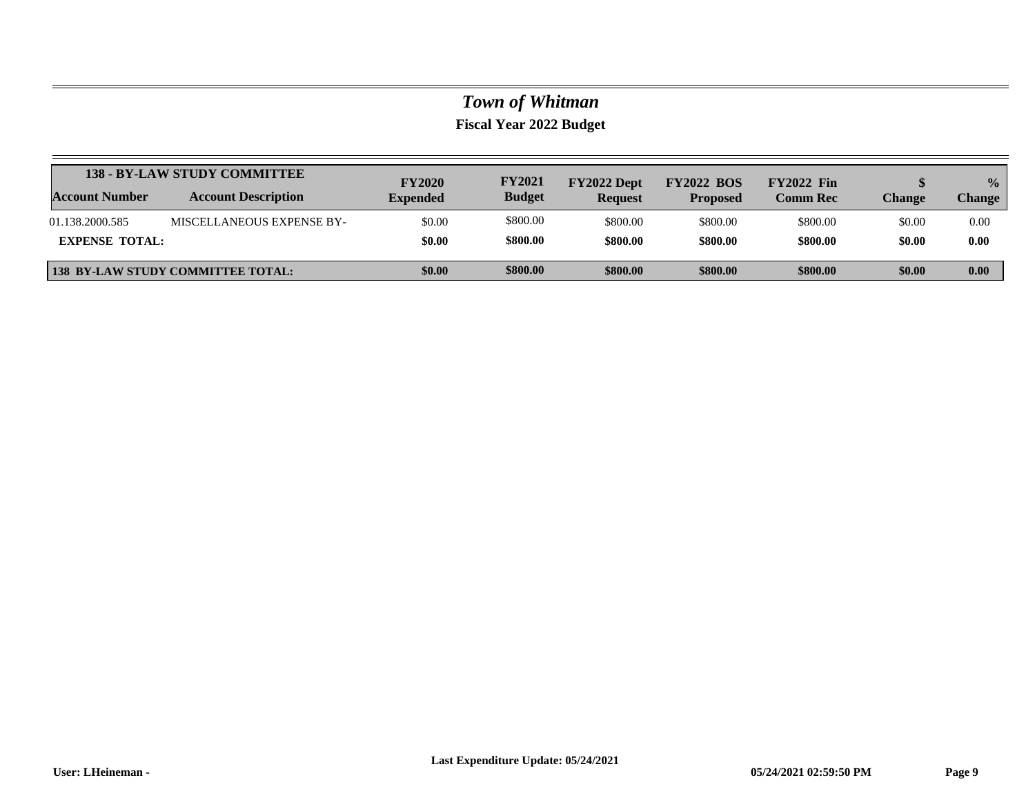|                       | <b>138 - BY-LAW STUDY COMMITTEE</b>      | <b>FY2020</b>   | <b>FY2021</b> | FY2022 Dept    | <b>FY2022 BOS</b> | <b>FY2022 Fin</b> |        | $\frac{0}{2}$ |
|-----------------------|------------------------------------------|-----------------|---------------|----------------|-------------------|-------------------|--------|---------------|
| Account Number        | <b>Account Description</b>               | <b>Expended</b> | <b>Budget</b> | <b>Request</b> | <b>Proposed</b>   | <b>Comm Rec</b>   | Change | Change        |
| 01.138.2000.585       | MISCELLANEOUS EXPENSE BY-                | \$0.00          | \$800.00      | \$800.00       | \$800.00          | \$800.00          | \$0.00 | 0.00          |
| <b>EXPENSE TOTAL:</b> |                                          | \$0.00          | \$800.00      | \$800.00       | \$800.00          | \$800.00          | \$0.00 | 0.00          |
|                       | <b>138 BY-LAW STUDY COMMITTEE TOTAL:</b> | \$0.00          | \$800.00      | \$800.00       | \$800.00          | \$800.00          | \$0.00 | 0.00          |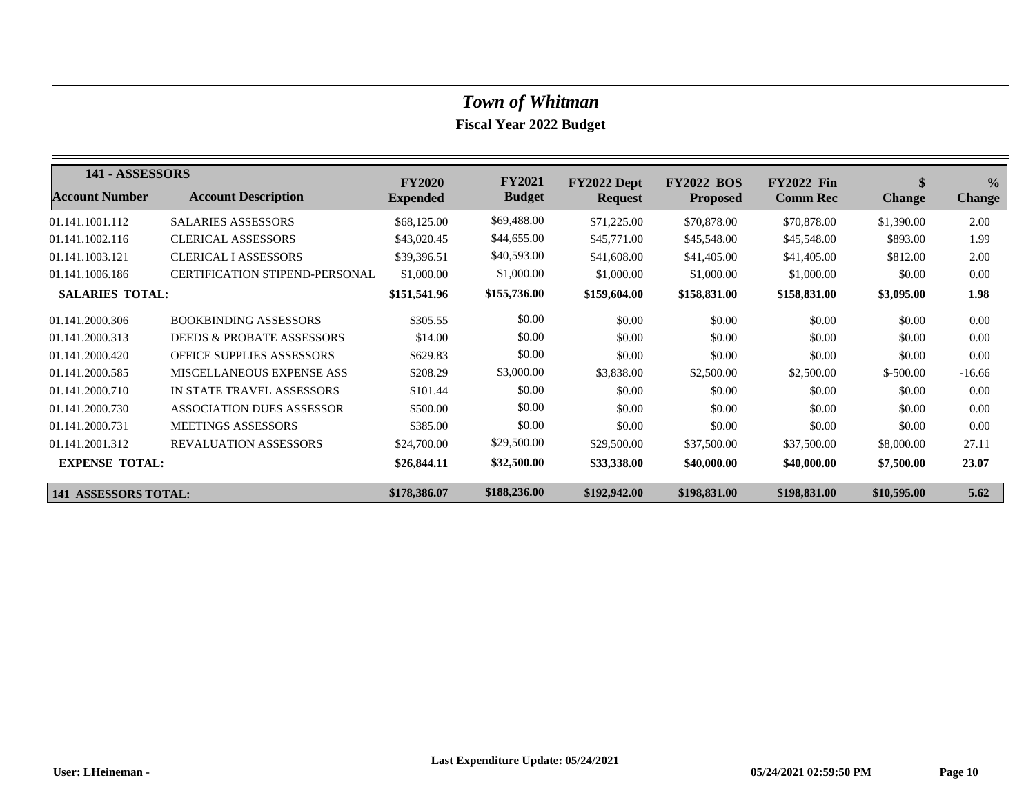| 141 - ASSESSORS        |                                       | <b>FY2020</b>   | <b>FY2021</b> | FY2022 Dept    | <b>FY2022 BOS</b> | <b>FY2022 Fin</b> | \$            | $\frac{0}{0}$ |
|------------------------|---------------------------------------|-----------------|---------------|----------------|-------------------|-------------------|---------------|---------------|
| <b>Account Number</b>  | <b>Account Description</b>            | <b>Expended</b> | <b>Budget</b> | <b>Request</b> | <b>Proposed</b>   | <b>Comm Rec</b>   | <b>Change</b> | <b>Change</b> |
| 01.141.1001.112        | <b>SALARIES ASSESSORS</b>             | \$68,125.00     | \$69,488.00   | \$71,225.00    | \$70,878.00       | \$70,878.00       | \$1,390.00    | 2.00          |
| 01.141.1002.116        | <b>CLERICAL ASSESSORS</b>             | \$43,020.45     | \$44,655.00   | \$45,771.00    | \$45,548.00       | \$45,548.00       | \$893.00      | 1.99          |
| 01.141.1003.121        | <b>CLERICAL I ASSESSORS</b>           | \$39,396.51     | \$40,593.00   | \$41,608.00    | \$41,405.00       | \$41,405.00       | \$812.00      | 2.00          |
| 01.141.1006.186        | <b>CERTIFICATION STIPEND-PERSONAL</b> | \$1,000.00      | \$1,000.00    | \$1,000.00     | \$1,000.00        | \$1,000.00        | \$0.00        | 0.00          |
| <b>SALARIES TOTAL:</b> |                                       | \$151,541.96    | \$155,736.00  | \$159,604.00   | \$158,831.00      | \$158,831.00      | \$3,095.00    | 1.98          |
| 01.141.2000.306        | <b>BOOKBINDING ASSESSORS</b>          | \$305.55        | \$0.00        | \$0.00         | \$0.00            | \$0.00            | \$0.00        | 0.00          |
| 01.141.2000.313        | <b>DEEDS &amp; PROBATE ASSESSORS</b>  | \$14.00         | \$0.00        | \$0.00         | \$0.00            | \$0.00            | \$0.00        | 0.00          |
| 01.141.2000.420        | <b>OFFICE SUPPLIES ASSESSORS</b>      | \$629.83        | \$0.00        | \$0.00         | \$0.00            | \$0.00            | \$0.00        | 0.00          |
| 01.141.2000.585        | MISCELLANEOUS EXPENSE ASS             | \$208.29        | \$3,000.00    | \$3,838.00     | \$2,500.00        | \$2,500.00        | $$-500.00$    | $-16.66$      |
| 01.141.2000.710        | IN STATE TRAVEL ASSESSORS             | \$101.44        | \$0.00        | \$0.00         | \$0.00            | \$0.00            | \$0.00        | 0.00          |
| 01.141.2000.730        | <b>ASSOCIATION DUES ASSESSOR</b>      | \$500.00        | \$0.00        | \$0.00         | \$0.00            | \$0.00            | \$0.00        | 0.00          |
| 01.141.2000.731        | <b>MEETINGS ASSESSORS</b>             | \$385.00        | \$0.00        | \$0.00         | \$0.00            | \$0.00            | \$0.00        | 0.00          |
| 01.141.2001.312        | <b>REVALUATION ASSESSORS</b>          | \$24,700.00     | \$29,500.00   | \$29,500.00    | \$37,500.00       | \$37,500.00       | \$8,000.00    | 27.11         |
| <b>EXPENSE TOTAL:</b>  |                                       | \$26,844.11     | \$32,500.00   | \$33,338.00    | \$40,000.00       | \$40,000.00       | \$7,500.00    | 23.07         |
| 141 ASSESSORS TOTAL:   |                                       | \$178,386.07    | \$188,236.00  | \$192,942.00   | \$198,831.00      | \$198,831.00      | \$10,595.00   | 5.62          |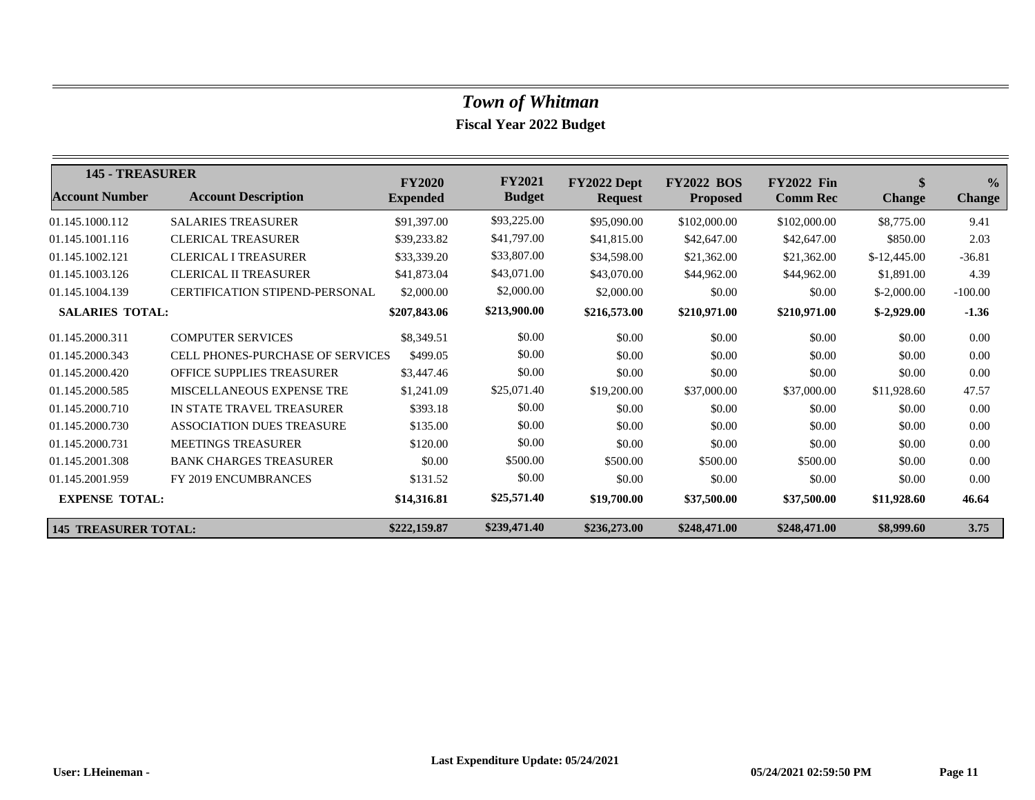| <b>145 - TREASURER</b>      |                                       | <b>FY2020</b>   | <b>FY2021</b> | FY2022 Dept    | <b>FY2022</b><br><b>BOS</b> | <b>FY2022 Fin</b> | \$            | $\frac{6}{6}$ |
|-----------------------------|---------------------------------------|-----------------|---------------|----------------|-----------------------------|-------------------|---------------|---------------|
| <b>Account Number</b>       | <b>Account Description</b>            | <b>Expended</b> | <b>Budget</b> | <b>Request</b> | <b>Proposed</b>             | <b>Comm Rec</b>   | <b>Change</b> | <b>Change</b> |
| 01.145.1000.112             | <b>SALARIES TREASURER</b>             | \$91,397.00     | \$93,225.00   | \$95,090.00    | \$102,000.00                | \$102,000.00      | \$8,775.00    | 9.41          |
| 01.145.1001.116             | <b>CLERICAL TREASURER</b>             | \$39,233.82     | \$41,797.00   | \$41,815.00    | \$42,647.00                 | \$42,647.00       | \$850.00      | 2.03          |
| 01.145.1002.121             | <b>CLERICAL I TREASURER</b>           | \$33,339.20     | \$33,807.00   | \$34,598.00    | \$21,362.00                 | \$21,362.00       | $$-12,445.00$ | $-36.81$      |
| 01.145.1003.126             | <b>CLERICAL II TREASURER</b>          | \$41,873.04     | \$43,071.00   | \$43,070.00    | \$44,962.00                 | \$44,962.00       | \$1,891.00    | 4.39          |
| 01.145.1004.139             | <b>CERTIFICATION STIPEND-PERSONAL</b> | \$2,000.00      | \$2,000.00    | \$2,000.00     | \$0.00                      | \$0.00            | $$-2,000.00$  | $-100.00$     |
| <b>SALARIES TOTAL:</b>      |                                       | \$207,843.06    | \$213,900.00  | \$216,573.00   | \$210,971.00                | \$210,971.00      | $$-2,929.00$  | $-1.36$       |
| 01.145.2000.311             | <b>COMPUTER SERVICES</b>              | \$8,349.51      | \$0.00        | \$0.00         | \$0.00                      | \$0.00            | \$0.00        | 0.00          |
| 01.145.2000.343             | CELL PHONES-PURCHASE OF SERVICES      | \$499.05        | \$0.00        | \$0.00         | \$0.00                      | \$0.00            | \$0.00        | 0.00          |
| 01.145.2000.420             | <b>OFFICE SUPPLIES TREASURER</b>      | \$3,447.46      | \$0.00        | \$0.00         | \$0.00                      | \$0.00            | \$0.00        | 0.00          |
| 01.145.2000.585             | MISCELLANEOUS EXPENSE TRE             | \$1,241.09      | \$25,071.40   | \$19,200.00    | \$37,000.00                 | \$37,000.00       | \$11,928.60   | 47.57         |
| 01.145.2000.710             | IN STATE TRAVEL TREASURER             | \$393.18        | \$0.00        | \$0.00         | \$0.00                      | \$0.00            | \$0.00        | 0.00          |
| 01.145.2000.730             | ASSOCIATION DUES TREASURE             | \$135.00        | \$0.00        | \$0.00         | \$0.00                      | \$0.00            | \$0.00        | 0.00          |
| 01.145.2000.731             | <b>MEETINGS TREASURER</b>             | \$120.00        | \$0.00        | \$0.00         | \$0.00                      | \$0.00            | \$0.00        | 0.00          |
| 01.145.2001.308             | <b>BANK CHARGES TREASURER</b>         | \$0.00          | \$500.00      | \$500.00       | \$500.00                    | \$500.00          | \$0.00        | 0.00          |
| 01.145.2001.959             | <b>FY 2019 ENCUMBRANCES</b>           | \$131.52        | \$0.00        | \$0.00         | \$0.00                      | \$0.00            | \$0.00        | 0.00          |
| <b>EXPENSE TOTAL:</b>       |                                       | \$14,316.81     | \$25,571.40   | \$19,700.00    | \$37,500.00                 | \$37,500.00       | \$11,928.60   | 46.64         |
| <b>145 TREASURER TOTAL:</b> |                                       | \$222,159.87    | \$239,471.40  | \$236,273.00   | \$248,471.00                | \$248,471.00      | \$8,999.60    | 3.75          |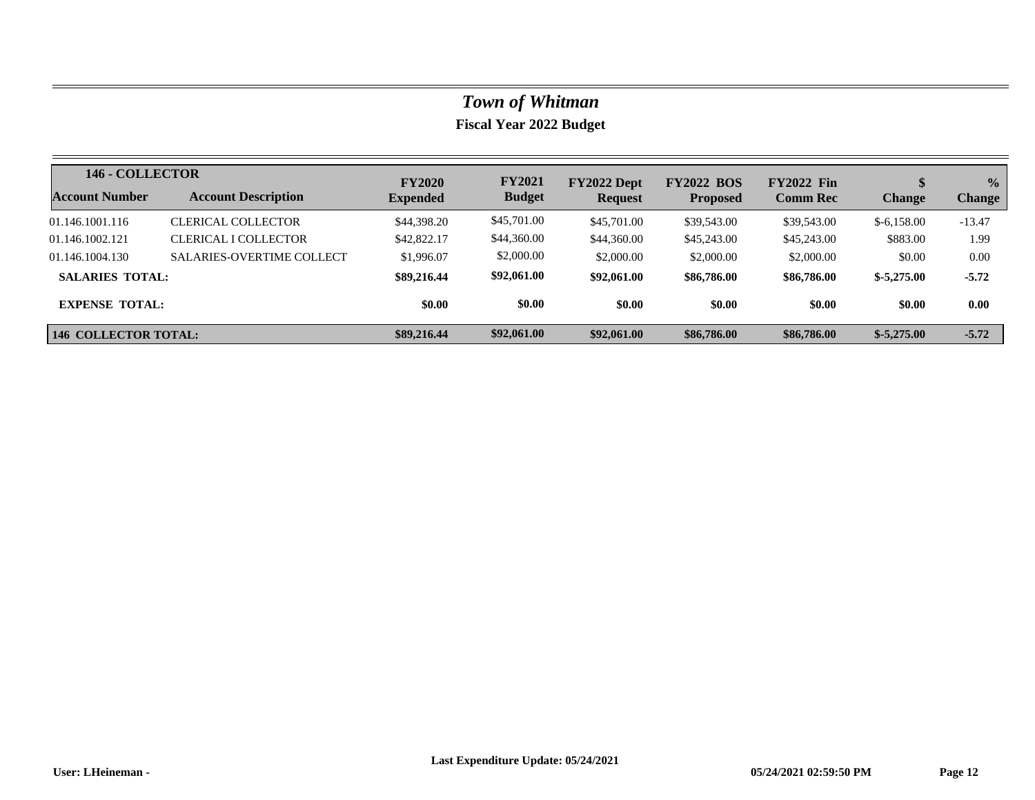| 146 - COLLECTOR             |                                  | <b>FY2020</b>   | <b>FY2021</b> | FY2022 Dept    | <b>FY2022 BOS</b> | <b>FY2022 Fin</b> |               | $\frac{1}{2}$ |
|-----------------------------|----------------------------------|-----------------|---------------|----------------|-------------------|-------------------|---------------|---------------|
| <b>Account Number</b>       | <b>Account Description</b>       | <b>Expended</b> | <b>Budget</b> | <b>Request</b> | <b>Proposed</b>   | <b>Comm Rec</b>   | <b>Change</b> | <b>Change</b> |
| 01.146.1001.116             | <b>CLERICAL COLLECTOR</b>        | \$44,398.20     | \$45,701.00   | \$45,701.00    | \$39,543.00       | \$39,543.00       | $$-6,158.00$  | $-13.47$      |
| 01.146.1002.121             | CLERICAL I COLLECTOR             | \$42,822.17     | \$44,360.00   | \$44,360.00    | \$45,243.00       | \$45,243.00       | \$883.00      | 1.99          |
| 01.146.1004.130             | <b>SALARIES-OVERTIME COLLECT</b> | \$1,996.07      | \$2,000.00    | \$2,000.00     | \$2,000.00        | \$2,000.00        | \$0.00        | 0.00          |
| <b>SALARIES TOTAL:</b>      |                                  | \$89,216.44     | \$92,061.00   | \$92,061.00    | \$86,786.00       | \$86,786.00       | $$-5,275.00$  | $-5.72$       |
| <b>EXPENSE TOTAL:</b>       |                                  | \$0.00          | \$0.00        | \$0.00         | \$0.00            | \$0.00            | \$0.00        | 0.00          |
| <b>146 COLLECTOR TOTAL:</b> |                                  | \$89,216.44     | \$92,061.00   | \$92,061.00    | \$86,786.00       | \$86,786.00       | $$-5,275.00$  | $-5.72$       |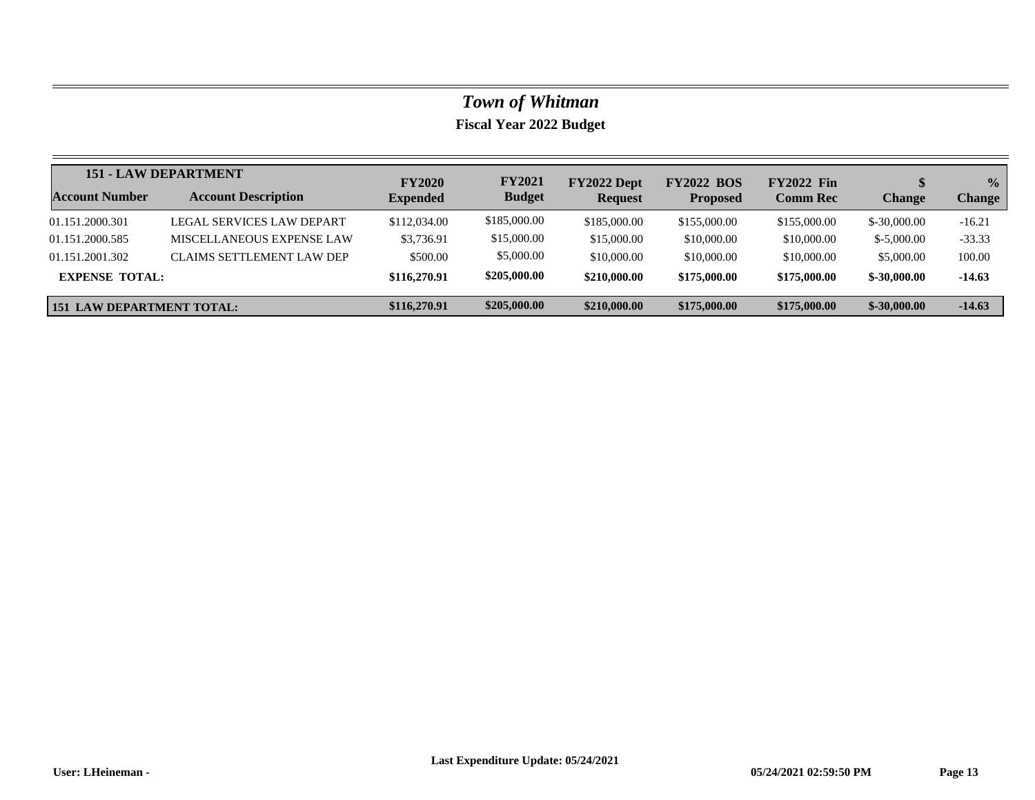|                                  | <b>151 - LAW DEPARTMENT</b> | <b>FY2020</b>   | <b>FY2021</b> | FY2022 Dept    | <b>FY2022 BOS</b> | <b>FY2022 Fin</b> |               | $\frac{0}{0}$ |
|----------------------------------|-----------------------------|-----------------|---------------|----------------|-------------------|-------------------|---------------|---------------|
| <b>Account Number</b>            | <b>Account Description</b>  | <b>Expended</b> | <b>Budget</b> | <b>Request</b> | <b>Proposed</b>   | <b>Comm Rec</b>   | <b>Change</b> | <b>Change</b> |
| 01.151.2000.301                  | LEGAL SERVICES LAW DEPART   | \$112,034.00    | \$185,000.00  | \$185,000.00   | \$155,000.00      | \$155,000.00      | $$-30,000.00$ | $-16.21$      |
| 01.151.2000.585                  | MISCELLANEOUS EXPENSE LAW   | \$3,736.91      | \$15,000.00   | \$15,000.00    | \$10,000.00       | \$10,000.00       | $$-5,000,00$  | $-33.33$      |
| 01.151.2001.302                  | CLAIMS SETTLEMENT LAW DEP   | \$500.00        | \$5,000.00    | \$10,000.00    | \$10,000.00       | \$10,000.00       | \$5,000.00    | 100.00        |
| <b>EXPENSE TOTAL:</b>            |                             | \$116,270.91    | \$205,000.00  | \$210,000.00   | \$175,000.00      | \$175,000.00      | $$-30,000,00$ | $-14.63$      |
| <b>151 LAW DEPARTMENT TOTAL:</b> |                             | \$116,270.91    | \$205,000.00  | \$210,000.00   | \$175,000.00      | \$175,000.00      | $$-30,000.00$ | $-14.63$      |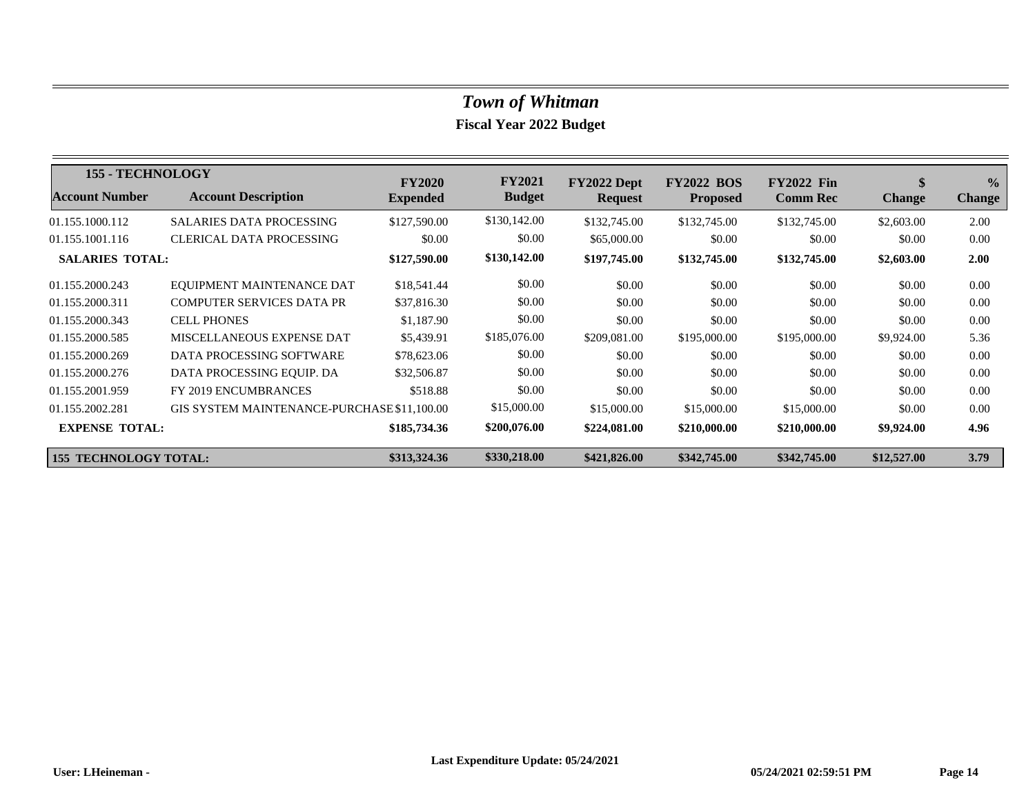| <b>155 - TECHNOLOGY</b>      |                                             | <b>FY2020</b>   | <b>FY2021</b> | FY2022 Dept    | <b>FY2022 BOS</b> | <b>FY2022 Fin</b> | \$            | $\frac{0}{2}$ |
|------------------------------|---------------------------------------------|-----------------|---------------|----------------|-------------------|-------------------|---------------|---------------|
| <b>Account Number</b>        | <b>Account Description</b>                  | <b>Expended</b> | <b>Budget</b> | <b>Request</b> | <b>Proposed</b>   | <b>Comm Rec</b>   | <b>Change</b> | <b>Change</b> |
| 01.155.1000.112              | <b>SALARIES DATA PROCESSING</b>             | \$127,590.00    | \$130,142.00  | \$132,745.00   | \$132,745.00      | \$132,745.00      | \$2,603.00    | 2.00          |
| 01.155.1001.116              | <b>CLERICAL DATA PROCESSING</b>             | \$0.00          | \$0.00        | \$65,000.00    | \$0.00            | \$0.00            | \$0.00        | 0.00          |
| <b>SALARIES TOTAL:</b>       |                                             | \$127,590.00    | \$130,142.00  | \$197,745.00   | \$132,745.00      | \$132,745.00      | \$2,603.00    | 2.00          |
| 01.155.2000.243              | EQUIPMENT MAINTENANCE DAT                   | \$18,541.44     | \$0.00        | \$0.00         | \$0.00            | \$0.00            | \$0.00        | 0.00          |
| 01.155.2000.311              | <b>COMPUTER SERVICES DATA PR</b>            | \$37,816.30     | \$0.00        | \$0.00         | \$0.00            | \$0.00            | \$0.00        | 0.00          |
| 01.155.2000.343              | <b>CELL PHONES</b>                          | \$1,187.90      | \$0.00        | \$0.00         | \$0.00            | \$0.00            | \$0.00        | 0.00          |
| 01.155.2000.585              | MISCELLANEOUS EXPENSE DAT                   | \$5,439.91      | \$185,076.00  | \$209,081.00   | \$195,000.00      | \$195,000.00      | \$9,924.00    | 5.36          |
| 01.155.2000.269              | DATA PROCESSING SOFTWARE                    | \$78,623.06     | \$0.00        | \$0.00         | \$0.00            | \$0.00            | \$0.00        | 0.00          |
| 01.155.2000.276              | DATA PROCESSING EQUIP. DA                   | \$32,506.87     | \$0.00        | \$0.00         | \$0.00            | \$0.00            | \$0.00        | 0.00          |
| 01.155.2001.959              | <b>FY 2019 ENCUMBRANCES</b>                 | \$518.88        | \$0.00        | \$0.00         | \$0.00            | \$0.00            | \$0.00        | 0.00          |
| 01.155.2002.281              | GIS SYSTEM MAINTENANCE-PURCHASE \$11,100.00 |                 | \$15,000.00   | \$15,000.00    | \$15,000.00       | \$15,000.00       | \$0.00        | 0.00          |
| <b>EXPENSE TOTAL:</b>        |                                             | \$185,734.36    | \$200,076.00  | \$224,081.00   | \$210,000.00      | \$210,000.00      | \$9,924.00    | 4.96          |
| <b>155 TECHNOLOGY TOTAL:</b> |                                             | \$313,324.36    | \$330,218.00  | \$421,826.00   | \$342,745.00      | \$342,745.00      | \$12,527.00   | 3.79          |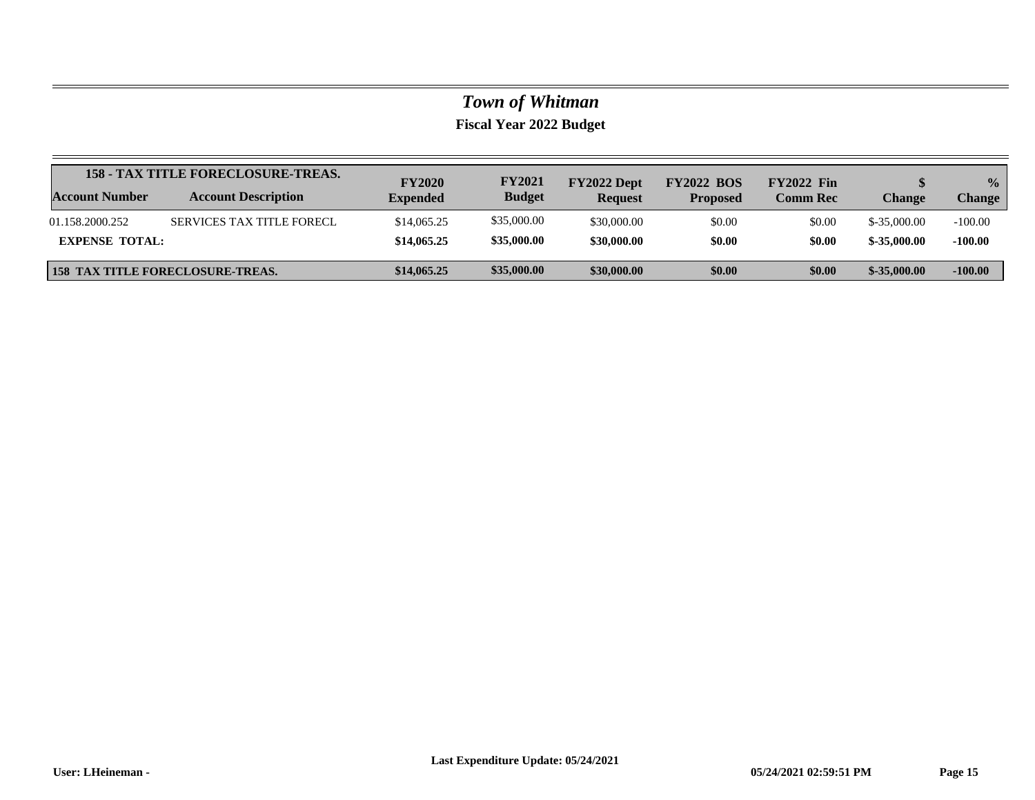|                       | <b>158 - TAX TITLE FORECLOSURE-TREAS.</b> | <b>FY2020</b>   | <b>FY2021</b> | FY2022 Dept    | <b>FY2022 BOS</b> | <b>FY2022 Fin</b> |               | $\frac{0}{0}$ |
|-----------------------|-------------------------------------------|-----------------|---------------|----------------|-------------------|-------------------|---------------|---------------|
| <b>Account Number</b> | <b>Account Description</b>                | <b>Expended</b> | <b>Budget</b> | <b>Request</b> | <b>Proposed</b>   | <b>Comm Rec</b>   | Change        | <b>Change</b> |
| 01.158.2000.252       | SERVICES TAX TITLE FORECL                 | \$14,065.25     | \$35,000.00   | \$30,000.00    | \$0.00            | \$0.00            | $$-35,000.00$ | $-100.00$     |
| <b>EXPENSE TOTAL:</b> |                                           | \$14,065.25     | \$35,000.00   | \$30,000.00    | \$0.00            | \$0.00            | $$-35,000,00$ | $-100.00$     |
|                       | <b>158 TAX TITLE FORECLOSURE-TREAS.</b>   | \$14,065.25     | \$35,000.00   | \$30,000.00    | \$0.00            | \$0.00            | $$-35,000,00$ | $-100.00$     |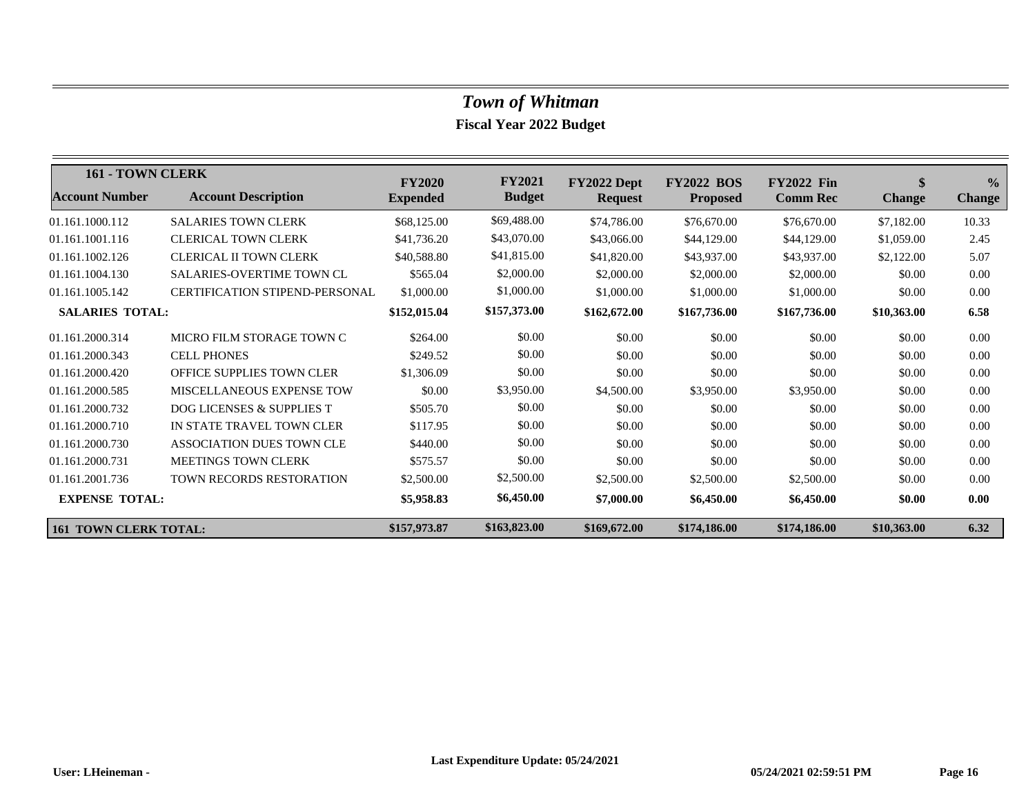| 161 - TOWN CLERK             |                                       | <b>FY2020</b>   | <b>FY2021</b> | FY2022 Dept    | <b>FY2022 BOS</b> | <b>FY2022 Fin</b> | \$            | $\frac{0}{0}$ |
|------------------------------|---------------------------------------|-----------------|---------------|----------------|-------------------|-------------------|---------------|---------------|
| <b>Account Number</b>        | <b>Account Description</b>            | <b>Expended</b> | <b>Budget</b> | <b>Request</b> | <b>Proposed</b>   | <b>Comm Rec</b>   | <b>Change</b> | <b>Change</b> |
| 01.161.1000.112              | <b>SALARIES TOWN CLERK</b>            | \$68,125.00     | \$69,488.00   | \$74,786.00    | \$76,670.00       | \$76,670.00       | \$7,182.00    | 10.33         |
| 01.161.1001.116              | <b>CLERICAL TOWN CLERK</b>            | \$41,736.20     | \$43,070.00   | \$43,066.00    | \$44,129.00       | \$44,129.00       | \$1,059.00    | 2.45          |
| 01.161.1002.126              | CLERICAL II TOWN CLERK                | \$40,588.80     | \$41,815.00   | \$41,820.00    | \$43,937.00       | \$43,937.00       | \$2,122.00    | 5.07          |
| 01.161.1004.130              | <b>SALARIES-OVERTIME TOWN CL</b>      | \$565.04        | \$2,000.00    | \$2,000.00     | \$2,000.00        | \$2,000.00        | \$0.00        | 0.00          |
| 01.161.1005.142              | <b>CERTIFICATION STIPEND-PERSONAL</b> | \$1,000.00      | \$1,000.00    | \$1,000.00     | \$1,000.00        | \$1,000.00        | \$0.00        | 0.00          |
| <b>SALARIES TOTAL:</b>       |                                       | \$152,015.04    | \$157,373.00  | \$162,672.00   | \$167,736.00      | \$167,736.00      | \$10,363.00   | 6.58          |
| 01.161.2000.314              | MICRO FILM STORAGE TOWN C             | \$264.00        | \$0.00        | \$0.00         | \$0.00            | \$0.00            | \$0.00        | 0.00          |
| 01.161.2000.343              | <b>CELL PHONES</b>                    | \$249.52        | \$0.00        | \$0.00         | \$0.00            | \$0.00            | \$0.00        | 0.00          |
| 01.161.2000.420              | OFFICE SUPPLIES TOWN CLER             | \$1,306.09      | \$0.00        | \$0.00         | \$0.00            | \$0.00            | \$0.00        | 0.00          |
| 01.161.2000.585              | <b>MISCELLANEOUS EXPENSE TOW</b>      | \$0.00          | \$3,950.00    | \$4,500.00     | \$3,950.00        | \$3,950.00        | \$0.00        | 0.00          |
| 01.161.2000.732              | DOG LICENSES & SUPPLIES T             | \$505.70        | \$0.00        | \$0.00         | \$0.00            | \$0.00            | \$0.00        | 0.00          |
| 01.161.2000.710              | IN STATE TRAVEL TOWN CLER             | \$117.95        | \$0.00        | \$0.00         | \$0.00            | \$0.00            | \$0.00        | 0.00          |
| 01.161.2000.730              | ASSOCIATION DUES TOWN CLE             | \$440.00        | \$0.00        | \$0.00         | \$0.00            | \$0.00            | \$0.00        | 0.00          |
| 01.161.2000.731              | <b>MEETINGS TOWN CLERK</b>            | \$575.57        | \$0.00        | \$0.00         | \$0.00            | \$0.00            | \$0.00        | 0.00          |
| 01.161.2001.736              | TOWN RECORDS RESTORATION              | \$2,500.00      | \$2,500.00    | \$2,500.00     | \$2,500.00        | \$2,500.00        | \$0.00        | 0.00          |
| <b>EXPENSE TOTAL:</b>        |                                       | \$5,958.83      | \$6,450.00    | \$7,000.00     | \$6,450.00        | \$6,450.00        | \$0.00        | 0.00          |
| <b>161 TOWN CLERK TOTAL:</b> |                                       | \$157,973.87    | \$163,823.00  | \$169,672.00   | \$174,186.00      | \$174,186.00      | \$10,363.00   | 6.32          |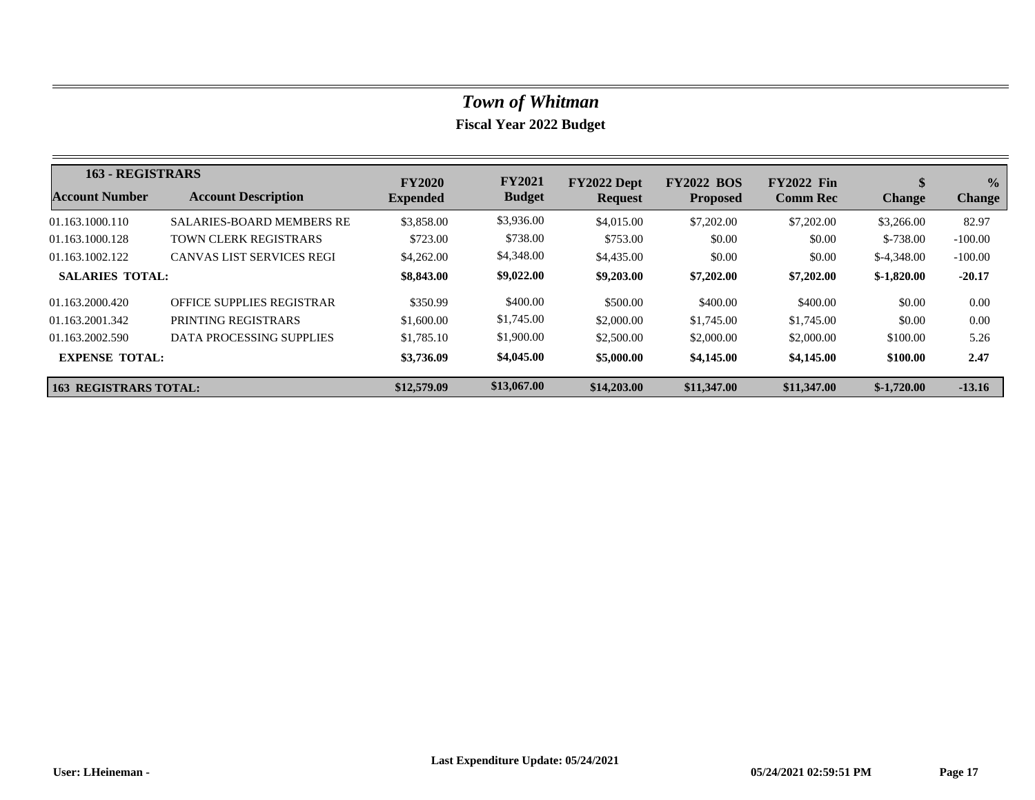| <b>163 - REGISTRARS</b>      |                                  | <b>FY2020</b>   | <b>FY2021</b> | FY2022 Dept    | <b>FY2022 BOS</b> | <b>FY2022 Fin</b> | \$            | $\frac{0}{0}$ |
|------------------------------|----------------------------------|-----------------|---------------|----------------|-------------------|-------------------|---------------|---------------|
| Account Number               | <b>Account Description</b>       | <b>Expended</b> | <b>Budget</b> | <b>Request</b> | <b>Proposed</b>   | <b>Comm Rec</b>   | <b>Change</b> | <b>Change</b> |
| 01.163.1000.110              | <b>SALARIES-BOARD MEMBERS RE</b> | \$3,858.00      | \$3,936.00    | \$4,015.00     | \$7,202.00        | \$7,202.00        | \$3,266.00    | 82.97         |
| 01.163.1000.128              | <b>TOWN CLERK REGISTRARS</b>     | \$723.00        | \$738.00      | \$753.00       | \$0.00            | \$0.00            | $$-738.00$    | $-100.00$     |
| 01.163.1002.122              | <b>CANVAS LIST SERVICES REGI</b> | \$4,262,00      | \$4,348.00    | \$4,435.00     | \$0.00            | \$0.00            | $$-4,348.00$  | $-100.00$     |
| <b>SALARIES TOTAL:</b>       |                                  | \$8,843.00      | \$9,022.00    | \$9,203.00     | \$7,202.00        | \$7,202.00        | $$-1,820.00$  | $-20.17$      |
| 01.163.2000.420              | OFFICE SUPPLIES REGISTRAR        | \$350.99        | \$400.00      | \$500.00       | \$400.00          | \$400.00          | \$0.00        | 0.00          |
| 01.163.2001.342              | PRINTING REGISTRARS              | \$1,600.00      | \$1,745.00    | \$2,000.00     | \$1,745.00        | \$1,745.00        | \$0.00        | 0.00          |
| 01.163.2002.590              | DATA PROCESSING SUPPLIES         | \$1,785.10      | \$1,900.00    | \$2,500.00     | \$2,000.00        | \$2,000.00        | \$100.00      | 5.26          |
| <b>EXPENSE TOTAL:</b>        |                                  | \$3,736.09      | \$4,045.00    | \$5,000.00     | \$4,145.00        | \$4,145.00        | \$100.00      | 2.47          |
| <b>163 REGISTRARS TOTAL:</b> |                                  | \$12,579.09     | \$13,067.00   | \$14,203.00    | \$11,347.00       | \$11,347.00       | $$-1,720.00$  | $-13.16$      |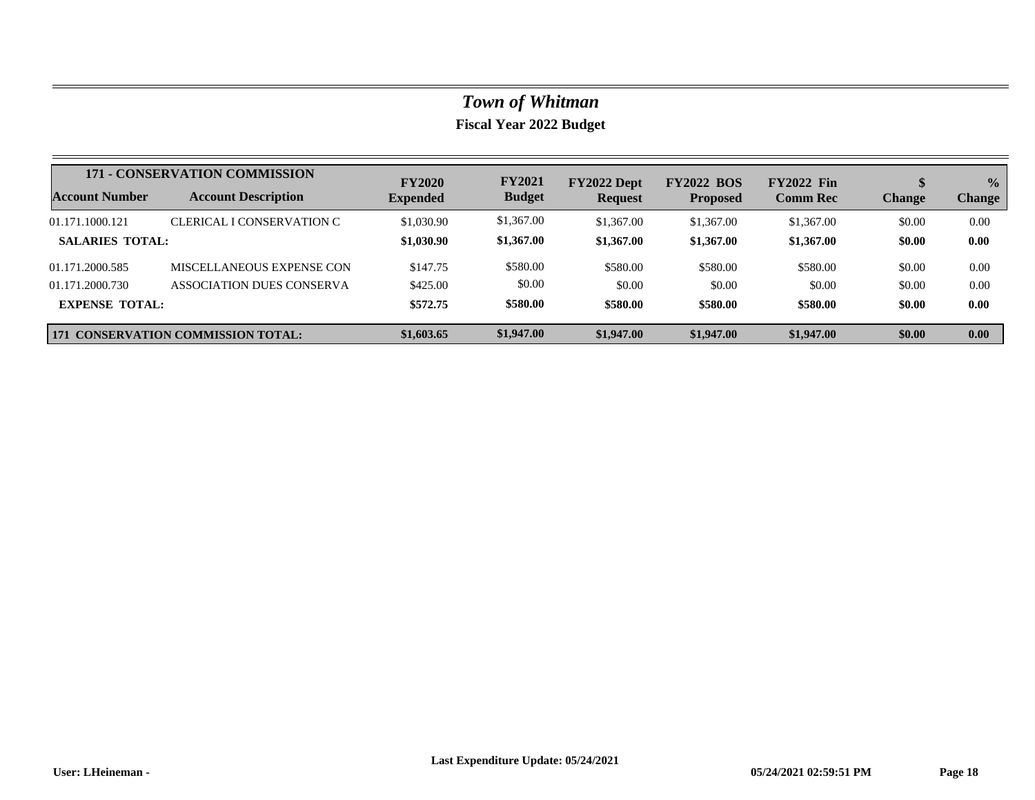|                        | <b>171 - CONSERVATION COMMISSION</b>      | <b>FY2020</b>   | <b>FY2021</b> | FY2022 Dept    | <b>FY2022 BOS</b> | <b>FY2022 Fin</b> |               | $\frac{0}{0}$ |
|------------------------|-------------------------------------------|-----------------|---------------|----------------|-------------------|-------------------|---------------|---------------|
| <b>Account Number</b>  | <b>Account Description</b>                | <b>Expended</b> | <b>Budget</b> | <b>Request</b> | <b>Proposed</b>   | <b>Comm Rec</b>   | <b>Change</b> | <b>Change</b> |
| 01.171.1000.121        | CLERICAL I CONSERVATION C                 | \$1,030.90      | \$1,367.00    | \$1,367.00     | \$1,367.00        | \$1,367.00        | \$0.00        | 0.00          |
| <b>SALARIES TOTAL:</b> |                                           | \$1,030.90      | \$1,367.00    | \$1,367.00     | \$1,367.00        | \$1,367.00        | \$0.00        | 0.00          |
| 01.171.2000.585        | MISCELLANEOUS EXPENSE CON                 | \$147.75        | \$580.00      | \$580.00       | \$580.00          | \$580.00          | \$0.00        | 0.00          |
| 01.171.2000.730        | ASSOCIATION DUES CONSERVA                 | \$425.00        | \$0.00        | \$0.00         | \$0.00            | \$0.00            | \$0.00        | 0.00          |
| <b>EXPENSE TOTAL:</b>  |                                           | \$572.75        | \$580.00      | \$580.00       | \$580.00          | \$580.00          | \$0.00        | 0.00          |
|                        | <b>171 CONSERVATION COMMISSION TOTAL:</b> | \$1,603.65      | \$1,947.00    | \$1,947.00     | \$1,947.00        | \$1,947.00        | \$0.00        | 0.00          |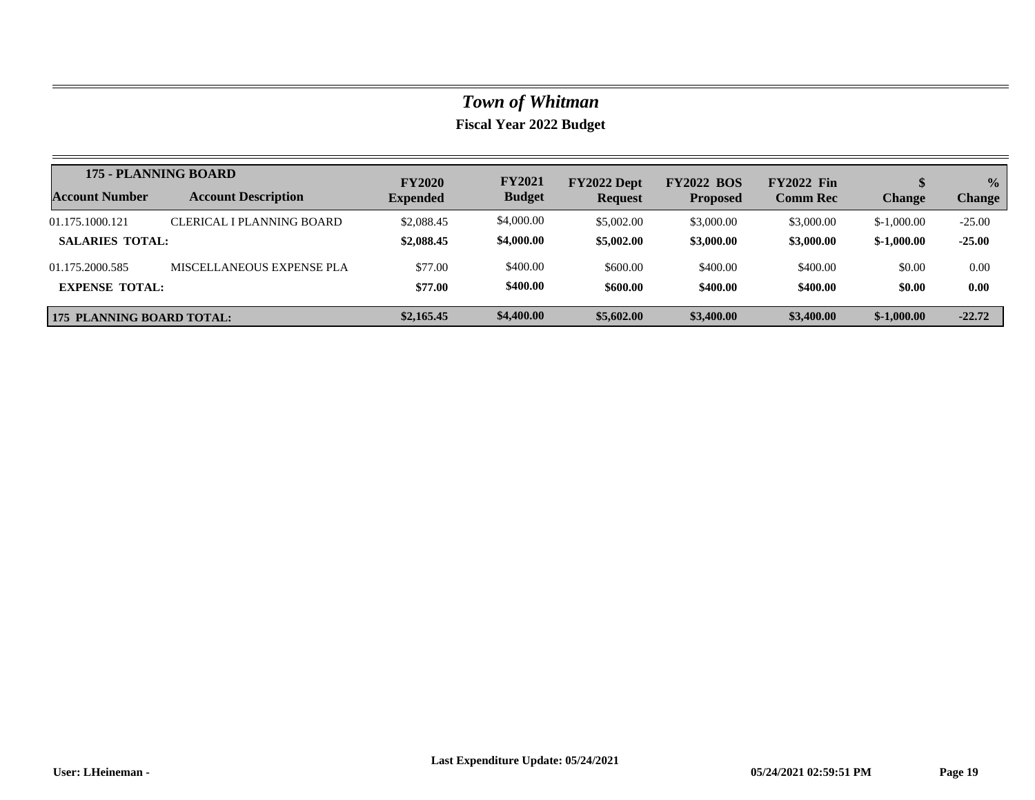|                                  | 175 - PLANNING BOARD       | <b>FY2020</b>   | <b>FY2021</b> | FY2022 Dept    | <b>FY2022 BOS</b> | <b>FY2022 Fin</b> |               | $\frac{0}{0}$ |
|----------------------------------|----------------------------|-----------------|---------------|----------------|-------------------|-------------------|---------------|---------------|
| <b>Account Number</b>            | <b>Account Description</b> | <b>Expended</b> | <b>Budget</b> | <b>Request</b> | <b>Proposed</b>   | <b>Comm Rec</b>   | <b>Change</b> | <b>Change</b> |
| 01.175.1000.121                  | CLERICAL I PLANNING BOARD  | \$2,088.45      | \$4,000.00    | \$5,002.00     | \$3,000.00        | \$3,000.00        | $$-1,000.00$  | $-25.00$      |
| <b>SALARIES TOTAL:</b>           |                            | \$2,088.45      | \$4,000.00    | \$5,002.00     | \$3,000.00        | \$3,000.00        | $$-1,000.00$  | $-25.00$      |
| 01.175.2000.585                  | MISCELLANEOUS EXPENSE PLA  | \$77.00         | \$400.00      | \$600.00       | \$400.00          | \$400.00          | \$0.00        | 0.00          |
| <b>EXPENSE TOTAL:</b>            |                            | \$77.00         | \$400.00      | \$600.00       | \$400.00          | \$400.00          | \$0.00        | 0.00          |
| <b>175 PLANNING BOARD TOTAL:</b> |                            | \$2,165.45      | \$4,400.00    | \$5,602.00     | \$3,400.00        | \$3,400.00        | $$-1,000.00$  | $-22.72$      |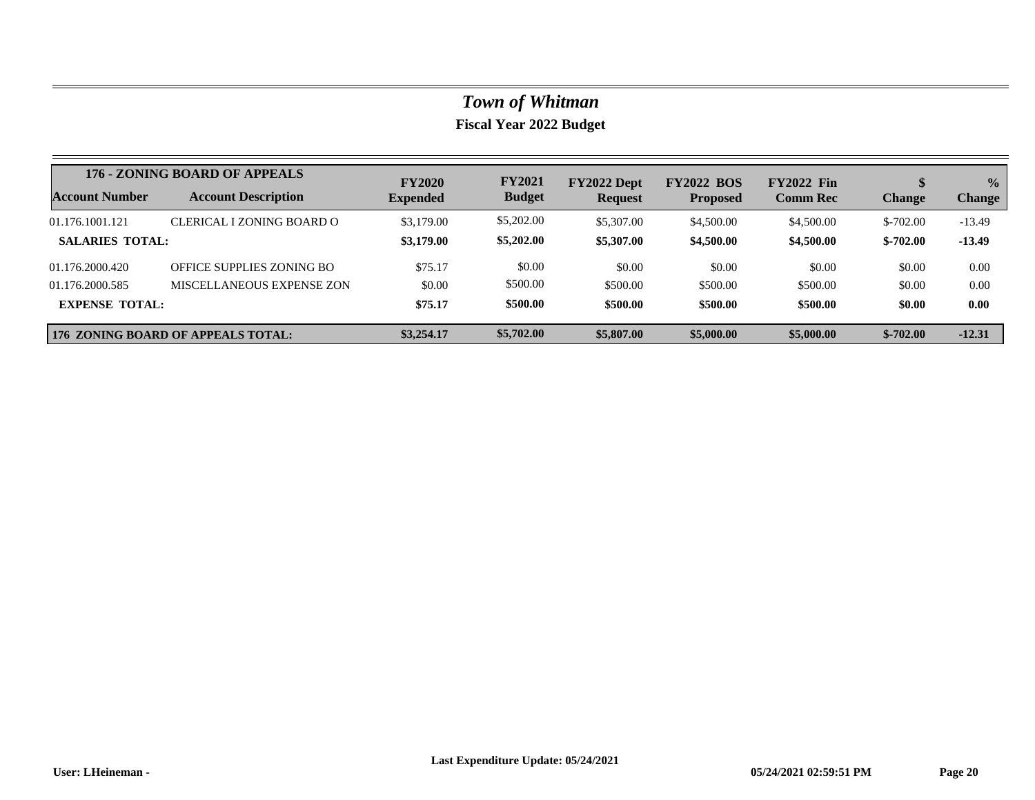|                        | 176 - ZONING BOARD OF APPEALS             | <b>FY2020</b>   | <b>FY2021</b> | FY2022 Dept    | <b>FY2022 BOS</b> | <b>FY2022 Fin</b> |               | $\frac{1}{2}$ |
|------------------------|-------------------------------------------|-----------------|---------------|----------------|-------------------|-------------------|---------------|---------------|
| <b>Account Number</b>  | <b>Account Description</b>                | <b>Expended</b> | <b>Budget</b> | <b>Request</b> | <b>Proposed</b>   | <b>Comm Rec</b>   | <b>Change</b> | <b>Change</b> |
| 01.176.1001.121        | CLERICAL I ZONING BOARD O                 | \$3,179.00      | \$5,202.00    | \$5,307.00     | \$4,500.00        | \$4,500.00        | $$-702.00$    | $-13.49$      |
| <b>SALARIES TOTAL:</b> |                                           | \$3,179.00      | \$5,202.00    | \$5,307.00     | \$4,500.00        | \$4,500.00        | $$-702.00$    | $-13.49$      |
| 01.176.2000.420        | OFFICE SUPPLIES ZONING BO                 | \$75.17         | \$0.00        | \$0.00         | \$0.00            | \$0.00            | \$0.00        | 0.00          |
| 01.176.2000.585        | MISCELLANEOUS EXPENSE ZON                 | \$0.00          | \$500.00      | \$500.00       | \$500.00          | \$500.00          | \$0.00        | 0.00          |
| <b>EXPENSE TOTAL:</b>  |                                           | \$75.17         | \$500.00      | \$500.00       | \$500.00          | \$500.00          | \$0.00        | 0.00          |
|                        | <b>176 ZONING BOARD OF APPEALS TOTAL:</b> | \$3,254.17      | \$5,702.00    | \$5,807.00     | \$5,000.00        | \$5,000.00        | $$-702.00$    | $-12.31$      |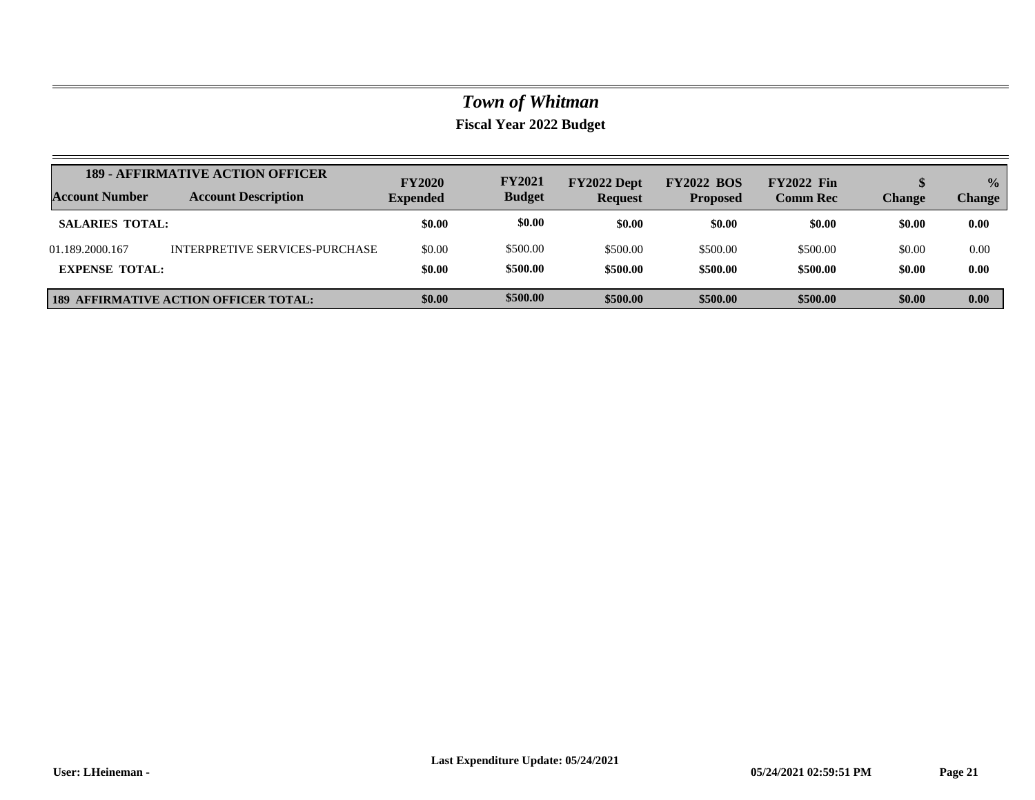| Account Number         | <b>189 - AFFIRMATIVE ACTION OFFICER</b>      | <b>FY2020</b>   | <b>FY2021</b> | FY2022 Dept    | <b>FY2022 BOS</b> | <b>FY2022 Fin</b> | \$            | $\frac{0}{0}$ |
|------------------------|----------------------------------------------|-----------------|---------------|----------------|-------------------|-------------------|---------------|---------------|
|                        | <b>Account Description</b>                   | <b>Expended</b> | <b>Budget</b> | <b>Request</b> | <b>Proposed</b>   | <b>Comm Rec</b>   | <b>Change</b> | <b>Change</b> |
| <b>SALARIES TOTAL:</b> |                                              | \$0.00          | \$0.00        | \$0.00         | \$0.00            | \$0.00            | \$0.00        | 0.00          |
| 01.189.2000.167        | INTERPRETIVE SERVICES-PURCHASE               | \$0.00          | \$500.00      | \$500.00       | \$500.00          | \$500.00          | \$0.00        | 0.00          |
| <b>EXPENSE TOTAL:</b>  |                                              | \$0.00          | \$500.00      | \$500.00       | \$500.00          | \$500.00          | \$0.00        | 0.00          |
|                        | <b>189 AFFIRMATIVE ACTION OFFICER TOTAL:</b> | \$0.00          | \$500.00      | \$500.00       | \$500.00          | \$500.00          | \$0.00        | 0.00          |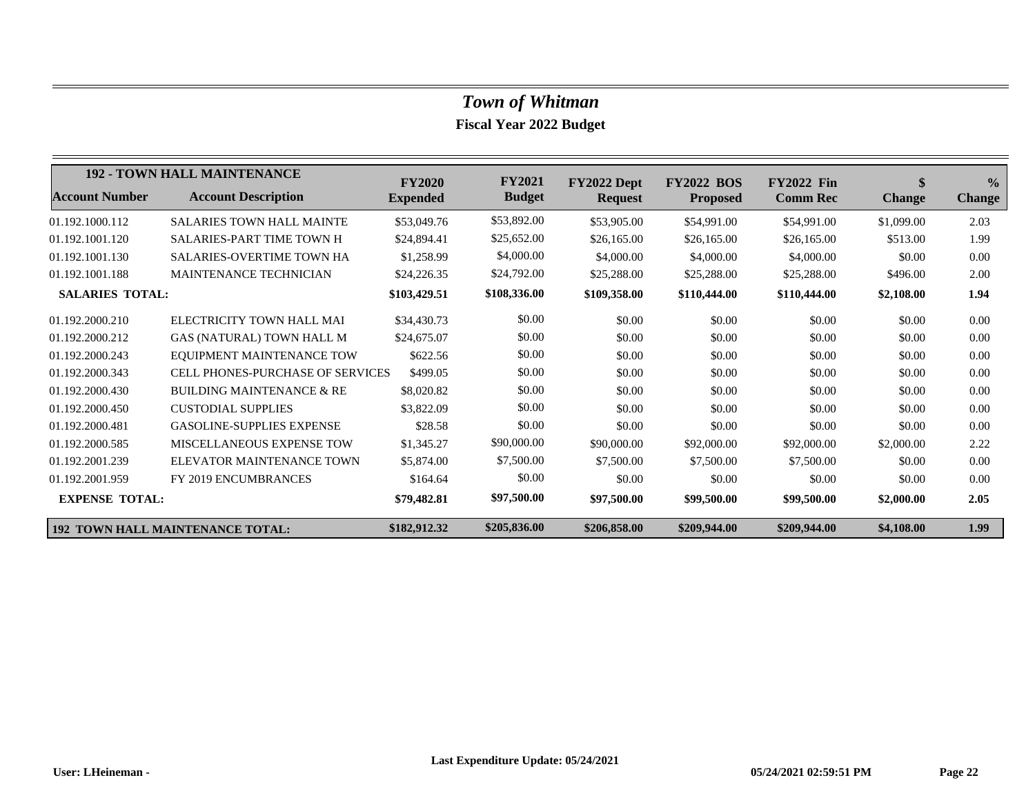|                        | <b>192 - TOWN HALL MAINTENANCE</b>      | <b>FY2020</b>   | <b>FY2021</b> | FY2022 Dept    | <b>FY2022 BOS</b> | <b>FY2022 Fin</b> | <sup>\$</sup> | $\frac{0}{0}$ |
|------------------------|-----------------------------------------|-----------------|---------------|----------------|-------------------|-------------------|---------------|---------------|
| <b>Account Number</b>  | <b>Account Description</b>              | <b>Expended</b> | <b>Budget</b> | <b>Request</b> | <b>Proposed</b>   | <b>Comm Rec</b>   | <b>Change</b> | <b>Change</b> |
| 01.192.1000.112        | <b>SALARIES TOWN HALL MAINTE</b>        | \$53,049.76     | \$53,892.00   | \$53,905.00    | \$54,991.00       | \$54,991.00       | \$1,099.00    | 2.03          |
| 01.192.1001.120        | <b>SALARIES-PART TIME TOWN H</b>        | \$24,894.41     | \$25,652.00   | \$26,165.00    | \$26,165.00       | \$26,165.00       | \$513.00      | 1.99          |
| 01.192.1001.130        | <b>SALARIES-OVERTIME TOWN HA</b>        | \$1,258.99      | \$4,000.00    | \$4,000.00     | \$4,000.00        | \$4,000.00        | \$0.00        | 0.00          |
| 01.192.1001.188        | MAINTENANCE TECHNICIAN                  | \$24,226.35     | \$24,792.00   | \$25,288.00    | \$25,288.00       | \$25,288.00       | \$496.00      | 2.00          |
| <b>SALARIES TOTAL:</b> |                                         | \$103,429.51    | \$108,336.00  | \$109,358.00   | \$110,444.00      | \$110,444.00      | \$2,108.00    | 1.94          |
| 01.192.2000.210        | ELECTRICITY TOWN HALL MAI               | \$34,430.73     | \$0.00        | \$0.00         | \$0.00            | \$0.00            | \$0.00        | 0.00          |
| 01.192.2000.212        | GAS (NATURAL) TOWN HALL M               | \$24,675.07     | \$0.00        | \$0.00         | \$0.00            | \$0.00            | \$0.00        | 0.00          |
| 01.192.2000.243        | EQUIPMENT MAINTENANCE TOW               | \$622.56        | \$0.00        | \$0.00         | \$0.00            | \$0.00            | \$0.00        | 0.00          |
| 01.192.2000.343        | <b>CELL PHONES-PURCHASE OF SERVICES</b> | \$499.05        | \$0.00        | \$0.00         | \$0.00            | \$0.00            | \$0.00        | 0.00          |
| 01.192.2000.430        | <b>BUILDING MAINTENANCE &amp; RE</b>    | \$8,020.82      | \$0.00        | \$0.00         | \$0.00            | \$0.00            | \$0.00        | 0.00          |
| 01.192.2000.450        | <b>CUSTODIAL SUPPLIES</b>               | \$3,822.09      | \$0.00        | \$0.00         | \$0.00            | \$0.00            | \$0.00        | 0.00          |
| 01.192.2000.481        | <b>GASOLINE-SUPPLIES EXPENSE</b>        | \$28.58         | \$0.00        | \$0.00         | \$0.00            | \$0.00            | \$0.00        | 0.00          |
| 01.192.2000.585        | <b>MISCELLANEOUS EXPENSE TOW</b>        | \$1,345.27      | \$90,000.00   | \$90,000.00    | \$92,000.00       | \$92,000.00       | \$2,000.00    | 2.22          |
| 01.192.2001.239        | ELEVATOR MAINTENANCE TOWN               | \$5,874.00      | \$7,500.00    | \$7,500.00     | \$7,500.00        | \$7,500.00        | \$0.00        | 0.00          |
| 01.192.2001.959        | FY 2019 ENCUMBRANCES                    | \$164.64        | \$0.00        | \$0.00         | \$0.00            | \$0.00            | \$0.00        | 0.00          |
| <b>EXPENSE TOTAL:</b>  |                                         | \$79,482.81     | \$97,500.00   | \$97,500.00    | \$99,500.00       | \$99,500.00       | \$2,000.00    | 2.05          |
|                        | <b>192 TOWN HALL MAINTENANCE TOTAL:</b> | \$182,912.32    | \$205,836.00  | \$206,858.00   | \$209,944.00      | \$209,944.00      | \$4,108.00    | 1.99          |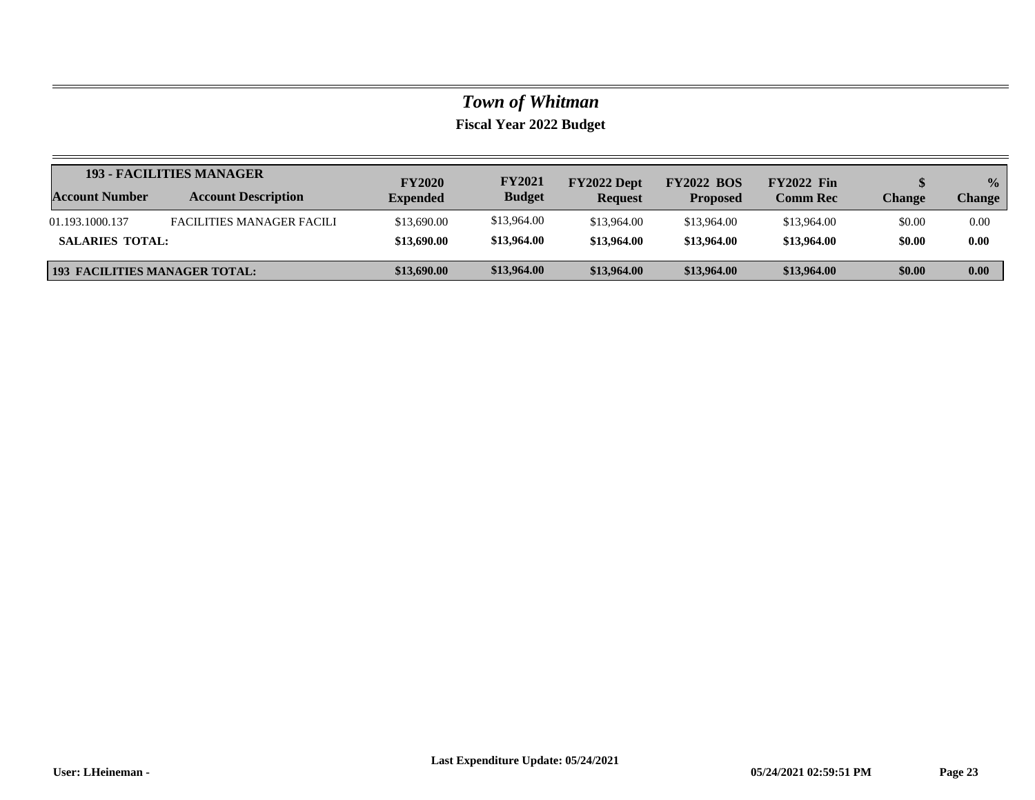|                                      | <b>193 - FACILITIES MANAGER</b>  | <b>FY2020</b>   | <b>FY2021</b> | FY2022 Dept    | <b>FY2022 BOS</b> | <b>FY2022 Fin</b> |        | $\frac{0}{0}$ |
|--------------------------------------|----------------------------------|-----------------|---------------|----------------|-------------------|-------------------|--------|---------------|
| <b>Account Number</b>                | <b>Account Description</b>       | <b>Expended</b> | <b>Budget</b> | <b>Request</b> | <b>Proposed</b>   | <b>Comm Rec</b>   | Change | <b>Change</b> |
| 01.193.1000.137                      | <b>FACILITIES MANAGER FACILI</b> | \$13,690.00     | \$13,964.00   | \$13,964.00    | \$13,964.00       | \$13,964.00       | \$0.00 | 0.00          |
| <b>SALARIES TOTAL:</b>               |                                  | \$13,690.00     | \$13,964.00   | \$13,964.00    | \$13,964.00       | \$13,964.00       | \$0.00 | 0.00          |
| <b>193 FACILITIES MANAGER TOTAL:</b> |                                  | \$13,690.00     | \$13,964.00   | \$13,964.00    | \$13,964.00       | \$13,964.00       | \$0.00 | 0.00          |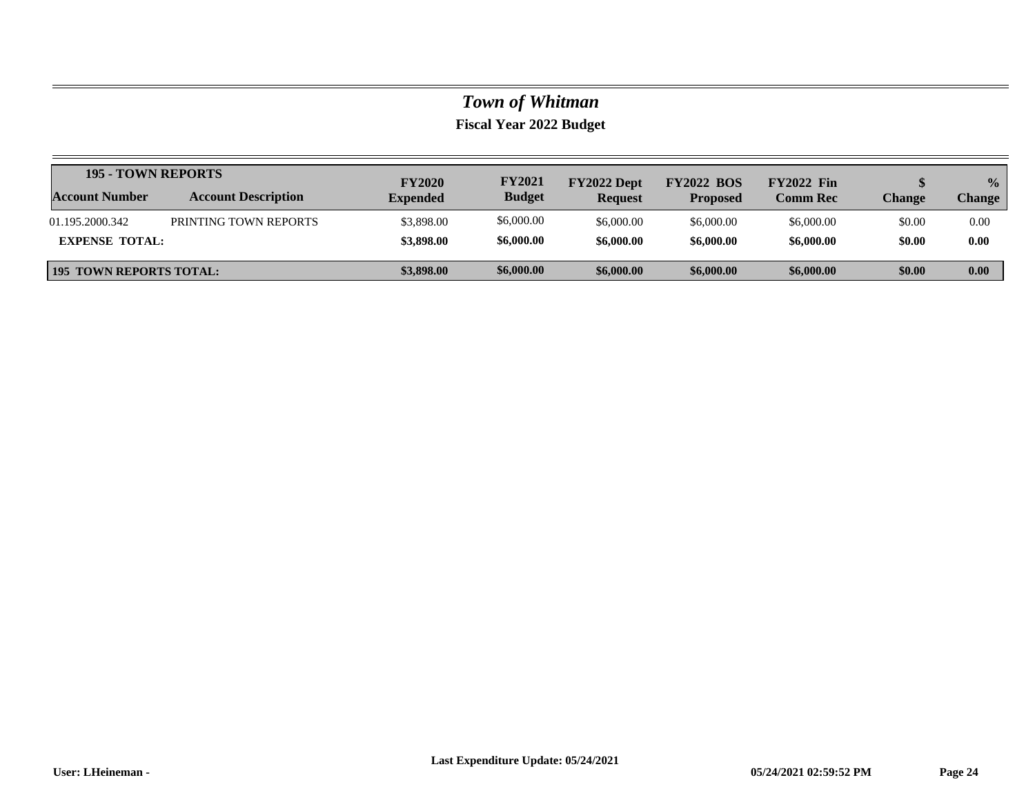|                                | <b>195 - TOWN REPORTS</b>  |                                  | <b>FY2021</b> | FY2022 Dept    | <b>FY2022 BOS</b> | <b>FY2022</b> Fin |        | $\frac{0}{2}$ |
|--------------------------------|----------------------------|----------------------------------|---------------|----------------|-------------------|-------------------|--------|---------------|
| <b>Account Number</b>          | <b>Account Description</b> | <b>FY2020</b><br><b>Expended</b> | <b>Budget</b> | <b>Request</b> | <b>Proposed</b>   | <b>Comm Rec</b>   | Change | <b>Change</b> |
| 01.195.2000.342                | PRINTING TOWN REPORTS      | \$3,898.00                       | \$6,000.00    | \$6,000.00     | \$6,000.00        | \$6,000.00        | \$0.00 | 0.00          |
| <b>EXPENSE TOTAL:</b>          |                            | \$3,898.00                       | \$6,000.00    | \$6,000.00     | \$6,000.00        | \$6,000.00        | \$0.00 | 0.00          |
| <b>195 TOWN REPORTS TOTAL:</b> |                            | \$3,898.00                       | \$6,000.00    | \$6,000.00     | \$6,000.00        | \$6,000.00        | \$0.00 | 0.00          |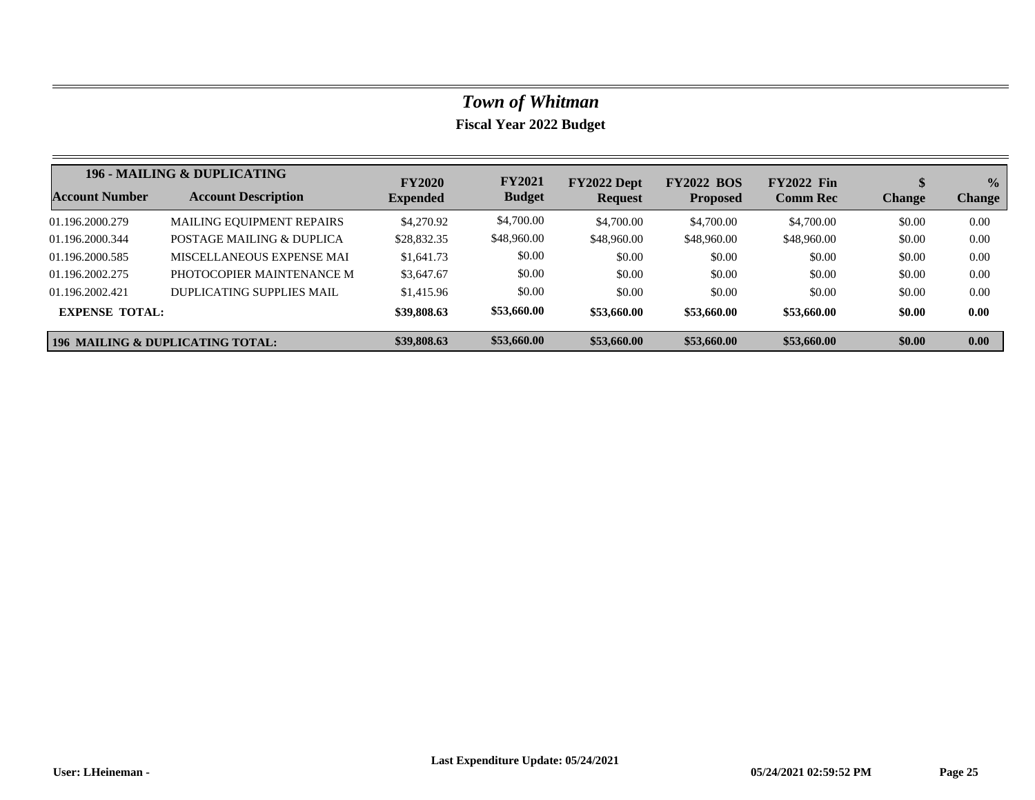|                                             | 196 - MAILING & DUPLICATING      | <b>FY2020</b>   | <b>FY2021</b> | FY2022 Dept    | <b>FY2022 BOS</b> | <b>FY2022 Fin</b> |               | $\frac{0}{0}$     |
|---------------------------------------------|----------------------------------|-----------------|---------------|----------------|-------------------|-------------------|---------------|-------------------|
| Account Number                              | <b>Account Description</b>       | <b>Expended</b> | <b>Budget</b> | <b>Request</b> | <b>Proposed</b>   | <b>Comm Rec</b>   | <b>Change</b> | <b>Change</b>     |
| 01.196.2000.279                             | <b>MAILING EQUIPMENT REPAIRS</b> | \$4,270.92      | \$4,700.00    | \$4,700.00     | \$4,700.00        | \$4,700.00        | \$0.00        | 0.00              |
| 01.196.2000.344                             | POSTAGE MAILING & DUPLICA        | \$28,832.35     | \$48,960.00   | \$48,960.00    | \$48,960.00       | \$48,960.00       | \$0.00        | 0.00              |
| 01.196.2000.585                             | MISCELLANEOUS EXPENSE MAI        | \$1,641.73      | \$0.00        | \$0.00         | \$0.00            | \$0.00            | \$0.00        | 0.00              |
| 01.196.2002.275                             | PHOTOCOPIER MAINTENANCE M        | \$3,647.67      | \$0.00        | \$0.00         | \$0.00            | \$0.00            | \$0.00        | 0.00              |
| 01.196.2002.421                             | DUPLICATING SUPPLIES MAIL        | \$1,415.96      | \$0.00        | \$0.00         | \$0.00            | \$0.00            | \$0.00        | 0.00              |
| <b>EXPENSE TOTAL:</b>                       |                                  | \$39,808.63     | \$53,660.00   | \$53,660.00    | \$53,660.00       | \$53,660.00       | \$0.00        | 0.00              |
| <b>196 MAILING &amp; DUPLICATING TOTAL:</b> |                                  | \$39,808.63     | \$53,660.00   | \$53,660.00    | \$53,660.00       | \$53,660.00       | \$0.00        | 0.00 <sub>1</sub> |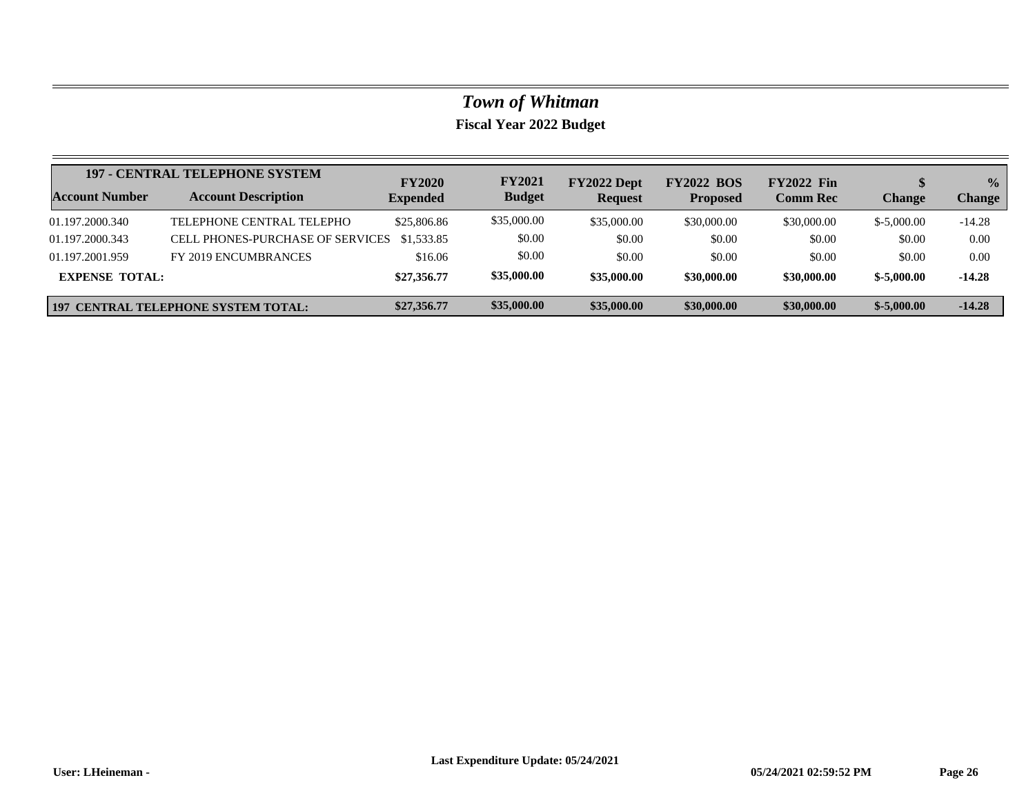|                       | <b>197 - CENTRAL TELEPHONE SYSTEM</b>      | <b>FY2020</b>   | <b>FY2021</b> | FY2022 Dept    | <b>FY2022 BOS</b> | <b>FY2022 Fin</b> |              | $\frac{0}{2}$ |
|-----------------------|--------------------------------------------|-----------------|---------------|----------------|-------------------|-------------------|--------------|---------------|
| <b>Account Number</b> | <b>Account Description</b>                 | <b>Expended</b> | <b>Budget</b> | <b>Request</b> | <b>Proposed</b>   | <b>Comm Rec</b>   | Change       | <b>Change</b> |
| 01.197.2000.340       | TELEPHONE CENTRAL TELEPHO                  | \$25,806.86     | \$35,000.00   | \$35,000.00    | \$30,000.00       | \$30,000.00       | $$-5,000,00$ | $-14.28$      |
| 01.197.2000.343       | <b>CELL PHONES-PURCHASE OF SERVICES</b>    | \$1,533.85      | \$0.00        | \$0.00         | \$0.00            | \$0.00            | \$0.00       | 0.00          |
| 01.197.2001.959       | FY 2019 ENCUMBRANCES                       | \$16.06         | \$0.00        | \$0.00         | \$0.00            | \$0.00            | \$0.00       | 0.00          |
| <b>EXPENSE TOTAL:</b> |                                            | \$27,356.77     | \$35,000.00   | \$35,000.00    | \$30,000.00       | \$30,000.00       | $$-5,000.00$ | $-14.28$      |
|                       | <b>197 CENTRAL TELEPHONE SYSTEM TOTAL:</b> | \$27,356.77     | \$35,000.00   | \$35,000.00    | \$30,000.00       | \$30,000.00       | $$-5,000.00$ | $-14.28$      |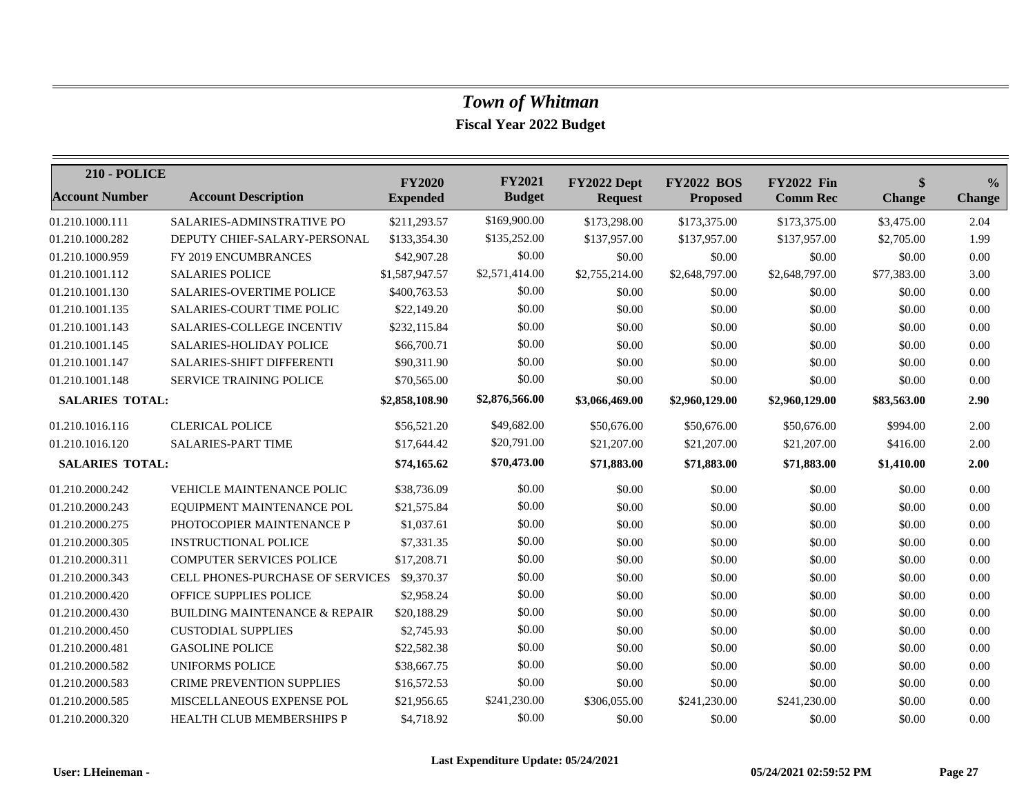| <b>210 - POLICE</b>    |                                             | <b>FY2020</b>   | <b>FY2021</b>  | FY2022 Dept    | <b>FY2022 BOS</b> | <b>FY2022 Fin</b> | $\boldsymbol{\$}$ | $\frac{0}{0}$ |
|------------------------|---------------------------------------------|-----------------|----------------|----------------|-------------------|-------------------|-------------------|---------------|
| <b>Account Number</b>  | <b>Account Description</b>                  | <b>Expended</b> | <b>Budget</b>  | <b>Request</b> | <b>Proposed</b>   | <b>Comm Rec</b>   | <b>Change</b>     | <b>Change</b> |
| 01.210.1000.111        | SALARIES-ADMINSTRATIVE PO                   | \$211,293.57    | \$169,900.00   | \$173,298.00   | \$173,375.00      | \$173,375.00      | \$3,475.00        | 2.04          |
| 01.210.1000.282        | DEPUTY CHIEF-SALARY-PERSONAL                | \$133,354.30    | \$135,252.00   | \$137,957.00   | \$137,957.00      | \$137,957.00      | \$2,705.00        | 1.99          |
| 01.210.1000.959        | FY 2019 ENCUMBRANCES                        | \$42,907.28     | \$0.00         | \$0.00         | \$0.00            | \$0.00            | \$0.00            | 0.00          |
| 01.210.1001.112        | <b>SALARIES POLICE</b>                      | \$1,587,947.57  | \$2,571,414.00 | \$2,755,214.00 | \$2,648,797.00    | \$2,648,797.00    | \$77,383.00       | 3.00          |
| 01.210.1001.130        | <b>SALARIES-OVERTIME POLICE</b>             | \$400,763.53    | \$0.00         | \$0.00         | \$0.00            | \$0.00            | \$0.00            | 0.00          |
| 01.210.1001.135        | <b>SALARIES-COURT TIME POLIC</b>            | \$22,149.20     | \$0.00         | \$0.00         | \$0.00            | \$0.00            | \$0.00            | 0.00          |
| 01.210.1001.143        | SALARIES-COLLEGE INCENTIV                   | \$232,115.84    | \$0.00         | \$0.00         | \$0.00            | \$0.00            | \$0.00            | 0.00          |
| 01.210.1001.145        | <b>SALARIES-HOLIDAY POLICE</b>              | \$66,700.71     | \$0.00         | \$0.00         | \$0.00            | \$0.00            | \$0.00            | 0.00          |
| 01.210.1001.147        | SALARIES-SHIFT DIFFERENTI                   | \$90,311.90     | \$0.00         | \$0.00         | \$0.00            | \$0.00            | \$0.00            | 0.00          |
| 01.210.1001.148        | SERVICE TRAINING POLICE                     | \$70,565.00     | \$0.00         | \$0.00         | \$0.00            | \$0.00            | \$0.00            | 0.00          |
| <b>SALARIES TOTAL:</b> |                                             | \$2,858,108.90  | \$2,876,566.00 | \$3,066,469.00 | \$2,960,129.00    | \$2,960,129.00    | \$83,563.00       | 2.90          |
| 01.210.1016.116        | <b>CLERICAL POLICE</b>                      | \$56,521.20     | \$49,682.00    | \$50,676.00    | \$50,676.00       | \$50,676.00       | \$994.00          | 2.00          |
| 01.210.1016.120        | SALARIES-PART TIME                          | \$17,644.42     | \$20,791.00    | \$21,207.00    | \$21,207.00       | \$21,207.00       | \$416.00          | 2.00          |
| <b>SALARIES TOTAL:</b> |                                             | \$74,165.62     | \$70,473.00    | \$71,883.00    | \$71,883.00       | \$71,883.00       | \$1,410.00        | 2.00          |
| 01.210.2000.242        | <b>VEHICLE MAINTENANCE POLIC</b>            | \$38,736.09     | \$0.00         | \$0.00         | \$0.00            | \$0.00            | \$0.00            | 0.00          |
| 01.210.2000.243        | EQUIPMENT MAINTENANCE POL                   | \$21,575.84     | \$0.00         | \$0.00         | \$0.00            | \$0.00            | \$0.00            | 0.00          |
| 01.210.2000.275        | PHOTOCOPIER MAINTENANCE P                   | \$1,037.61      | \$0.00         | \$0.00         | \$0.00            | \$0.00            | \$0.00            | 0.00          |
| 01.210.2000.305        | <b>INSTRUCTIONAL POLICE</b>                 | \$7,331.35      | \$0.00         | \$0.00         | \$0.00            | \$0.00            | \$0.00            | 0.00          |
| 01.210.2000.311        | <b>COMPUTER SERVICES POLICE</b>             | \$17,208.71     | \$0.00         | \$0.00         | \$0.00            | \$0.00            | \$0.00            | 0.00          |
| 01.210.2000.343        | CELL PHONES-PURCHASE OF SERVICES \$9,370.37 |                 | \$0.00         | \$0.00         | \$0.00            | \$0.00            | \$0.00            | 0.00          |
| 01.210.2000.420        | OFFICE SUPPLIES POLICE                      | \$2,958.24      | \$0.00         | \$0.00         | \$0.00            | \$0.00            | \$0.00            | 0.00          |
| 01.210.2000.430        | <b>BUILDING MAINTENANCE &amp; REPAIR</b>    | \$20,188.29     | \$0.00         | \$0.00         | \$0.00            | \$0.00            | \$0.00            | 0.00          |
| 01.210.2000.450        | <b>CUSTODIAL SUPPLIES</b>                   | \$2,745.93      | \$0.00         | \$0.00         | \$0.00            | \$0.00            | \$0.00            | 0.00          |
| 01.210.2000.481        | <b>GASOLINE POLICE</b>                      | \$22,582.38     | \$0.00         | \$0.00         | \$0.00            | \$0.00            | \$0.00            | 0.00          |
| 01.210.2000.582        | <b>UNIFORMS POLICE</b>                      | \$38,667.75     | \$0.00         | \$0.00         | \$0.00            | \$0.00            | \$0.00            | 0.00          |
| 01.210.2000.583        | <b>CRIME PREVENTION SUPPLIES</b>            | \$16,572.53     | \$0.00         | \$0.00         | \$0.00            | \$0.00            | \$0.00            | 0.00          |
| 01.210.2000.585        | MISCELLANEOUS EXPENSE POL                   | \$21,956.65     | \$241,230.00   | \$306,055.00   | \$241,230.00      | \$241,230.00      | \$0.00            | 0.00          |
| 01.210.2000.320        | HEALTH CLUB MEMBERSHIPS P                   | \$4,718.92      | \$0.00         | \$0.00         | \$0.00            | \$0.00            | \$0.00            | 0.00          |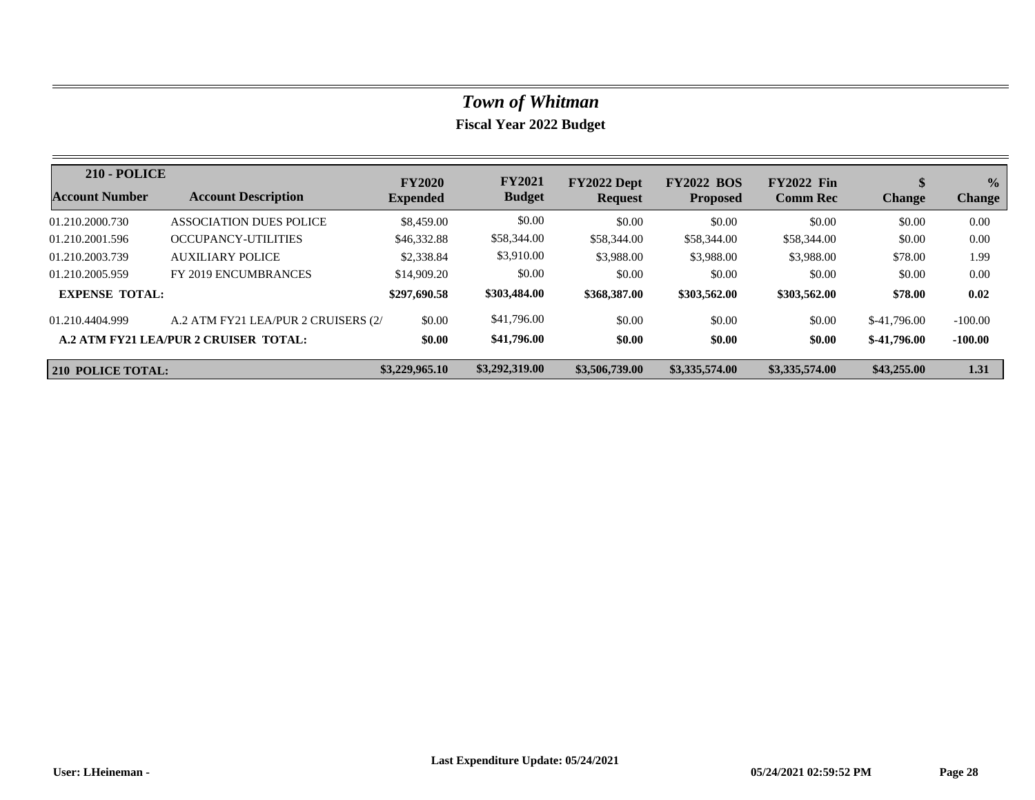| <b>210 - POLICE</b>      |                                       | <b>FY2020</b>   | <b>FY2021</b>  | FY2022 Dept    | <b>FY2022 BOS</b> | <b>FY2022 Fin</b> | S             | $\frac{1}{2}$ |
|--------------------------|---------------------------------------|-----------------|----------------|----------------|-------------------|-------------------|---------------|---------------|
| Account Number           | <b>Account Description</b>            | <b>Expended</b> | <b>Budget</b>  | <b>Request</b> | <b>Proposed</b>   | <b>Comm Rec</b>   | <b>Change</b> | <b>Change</b> |
| 01.210.2000.730          | ASSOCIATION DUES POLICE               | \$8,459.00      | \$0.00         | \$0.00         | \$0.00            | \$0.00            | \$0.00        | 0.00          |
| 01.210.2001.596          | OCCUPANCY-UTILITIES                   | \$46,332.88     | \$58,344.00    | \$58,344.00    | \$58,344.00       | \$58,344.00       | \$0.00        | 0.00          |
| 01.210.2003.739          | AUXILIARY POLICE                      | \$2,338.84      | \$3,910.00     | \$3,988.00     | \$3,988.00        | \$3,988.00        | \$78.00       | 1.99          |
| 01.210.2005.959          | FY 2019 ENCUMBRANCES                  | \$14,909.20     | \$0.00         | \$0.00         | \$0.00            | \$0.00            | \$0.00        | 0.00          |
| <b>EXPENSE TOTAL:</b>    |                                       | \$297,690.58    | \$303,484.00   | \$368,387.00   | \$303,562.00      | \$303,562.00      | \$78.00       | 0.02          |
| 01.210.4404.999          | A.2 ATM FY21 LEA/PUR 2 CRUISERS (2/   | \$0.00          | \$41,796.00    | \$0.00         | \$0.00            | \$0.00            | $$-41,796,00$ | $-100.00$     |
|                          | A.2 ATM FY21 LEA/PUR 2 CRUISER TOTAL: | \$0.00          | \$41,796.00    | \$0.00         | \$0.00            | \$0.00            | $$-41,796,00$ | $-100.00$     |
| <b>210 POLICE TOTAL:</b> |                                       | \$3,229,965.10  | \$3,292,319.00 | \$3,506,739,00 | \$3,335,574.00    | \$3,335,574.00    | \$43,255.00   | 1.31          |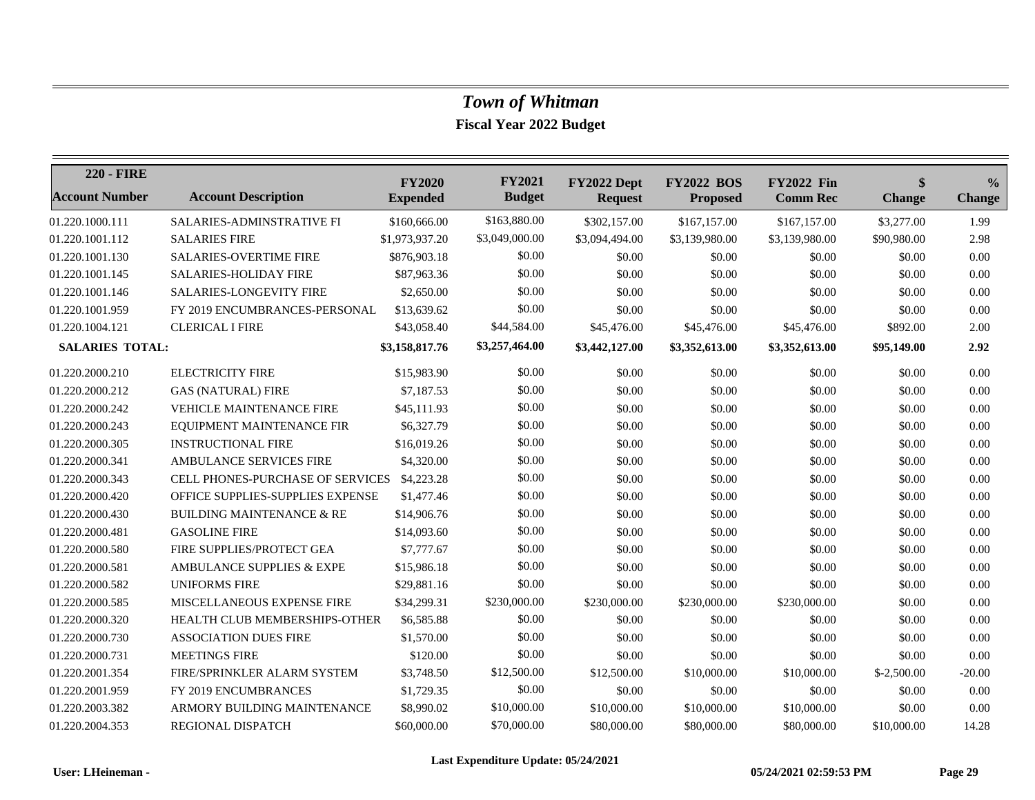| <b>220 - FIRE</b>      |                                             | <b>FY2020</b>   | <b>FY2021</b>  | FY2022 Dept    | <b>FY2022 BOS</b> | <b>FY2022 Fin</b> | \$            | $\frac{6}{6}$ |
|------------------------|---------------------------------------------|-----------------|----------------|----------------|-------------------|-------------------|---------------|---------------|
| <b>Account Number</b>  | <b>Account Description</b>                  | <b>Expended</b> | <b>Budget</b>  | <b>Request</b> | <b>Proposed</b>   | <b>Comm Rec</b>   | <b>Change</b> | <b>Change</b> |
| 01.220.1000.111        | SALARIES-ADMINSTRATIVE FI                   | \$160,666.00    | \$163,880.00   | \$302,157.00   | \$167,157.00      | \$167,157.00      | \$3,277.00    | 1.99          |
| 01.220.1001.112        | <b>SALARIES FIRE</b>                        | \$1,973,937.20  | \$3,049,000.00 | \$3,094,494.00 | \$3,139,980.00    | \$3,139,980.00    | \$90,980.00   | 2.98          |
| 01.220.1001.130        | <b>SALARIES-OVERTIME FIRE</b>               | \$876,903.18    | \$0.00         | \$0.00         | \$0.00            | \$0.00            | \$0.00        | 0.00          |
| 01.220.1001.145        | SALARIES-HOLIDAY FIRE                       | \$87,963.36     | \$0.00         | \$0.00         | \$0.00            | \$0.00            | \$0.00        | 0.00          |
| 01.220.1001.146        | <b>SALARIES-LONGEVITY FIRE</b>              | \$2,650.00      | \$0.00         | \$0.00         | \$0.00            | \$0.00            | \$0.00        | 0.00          |
| 01.220.1001.959        | FY 2019 ENCUMBRANCES-PERSONAL               | \$13,639.62     | \$0.00         | \$0.00         | \$0.00            | \$0.00            | \$0.00        | 0.00          |
| 01.220.1004.121        | <b>CLERICAL I FIRE</b>                      | \$43,058.40     | \$44,584.00    | \$45,476.00    | \$45,476.00       | \$45,476.00       | \$892.00      | 2.00          |
| <b>SALARIES TOTAL:</b> |                                             | \$3,158,817.76  | \$3,257,464.00 | \$3,442,127.00 | \$3,352,613.00    | \$3,352,613.00    | \$95,149.00   | 2.92          |
| 01.220.2000.210        | <b>ELECTRICITY FIRE</b>                     | \$15,983.90     | \$0.00         | \$0.00         | \$0.00            | \$0.00            | \$0.00        | 0.00          |
| 01.220.2000.212        | <b>GAS (NATURAL) FIRE</b>                   | \$7,187.53      | \$0.00         | \$0.00         | \$0.00            | \$0.00            | \$0.00        | 0.00          |
| 01.220.2000.242        | <b>VEHICLE MAINTENANCE FIRE</b>             | \$45,111.93     | \$0.00         | \$0.00         | \$0.00            | \$0.00            | \$0.00        | 0.00          |
| 01.220.2000.243        | EQUIPMENT MAINTENANCE FIR                   | \$6,327.79      | \$0.00         | \$0.00         | \$0.00            | \$0.00            | \$0.00        | 0.00          |
| 01.220.2000.305        | <b>INSTRUCTIONAL FIRE</b>                   | \$16,019.26     | \$0.00         | \$0.00         | \$0.00            | \$0.00            | \$0.00        | 0.00          |
| 01.220.2000.341        | AMBULANCE SERVICES FIRE                     | \$4,320.00      | \$0.00         | \$0.00         | \$0.00            | \$0.00            | \$0.00        | 0.00          |
| 01.220.2000.343        | CELL PHONES-PURCHASE OF SERVICES \$4,223.28 |                 | \$0.00         | \$0.00         | \$0.00            | \$0.00            | \$0.00        | 0.00          |
| 01.220.2000.420        | OFFICE SUPPLIES-SUPPLIES EXPENSE            | \$1,477.46      | \$0.00         | \$0.00         | \$0.00            | \$0.00            | \$0.00        | 0.00          |
| 01.220.2000.430        | <b>BUILDING MAINTENANCE &amp; RE</b>        | \$14,906.76     | \$0.00         | \$0.00         | \$0.00            | \$0.00            | \$0.00        | 0.00          |
| 01.220.2000.481        | <b>GASOLINE FIRE</b>                        | \$14,093.60     | \$0.00         | \$0.00         | \$0.00            | \$0.00            | \$0.00        | 0.00          |
| 01.220.2000.580        | FIRE SUPPLIES/PROTECT GEA                   | \$7,777.67      | \$0.00         | \$0.00         | \$0.00            | \$0.00            | \$0.00        | 0.00          |
| 01.220.2000.581        | AMBULANCE SUPPLIES & EXPE                   | \$15,986.18     | \$0.00         | \$0.00         | \$0.00            | \$0.00            | \$0.00        | 0.00          |
| 01.220.2000.582        | <b>UNIFORMS FIRE</b>                        | \$29,881.16     | \$0.00         | \$0.00         | \$0.00            | \$0.00            | \$0.00        | 0.00          |
| 01.220.2000.585        | MISCELLANEOUS EXPENSE FIRE                  | \$34,299.31     | \$230,000.00   | \$230,000.00   | \$230,000.00      | \$230,000.00      | \$0.00        | 0.00          |
| 01.220.2000.320        | HEALTH CLUB MEMBERSHIPS-OTHER               | \$6,585.88      | \$0.00         | \$0.00         | \$0.00            | \$0.00            | \$0.00        | 0.00          |
| 01.220.2000.730        | <b>ASSOCIATION DUES FIRE</b>                | \$1,570.00      | \$0.00         | \$0.00         | \$0.00            | \$0.00            | \$0.00        | 0.00          |
| 01.220.2000.731        | <b>MEETINGS FIRE</b>                        | \$120.00        | \$0.00         | \$0.00         | \$0.00            | \$0.00            | \$0.00        | 0.00          |
| 01.220.2001.354        | FIRE/SPRINKLER ALARM SYSTEM                 | \$3,748.50      | \$12,500.00    | \$12,500.00    | \$10,000.00       | \$10,000.00       | $$-2,500.00$  | $-20.00$      |
| 01.220.2001.959        | FY 2019 ENCUMBRANCES                        | \$1,729.35      | \$0.00         | \$0.00         | \$0.00            | \$0.00            | \$0.00        | 0.00          |
| 01.220.2003.382        | ARMORY BUILDING MAINTENANCE                 | \$8,990.02      | \$10,000.00    | \$10,000.00    | \$10,000.00       | \$10,000.00       | \$0.00        | 0.00          |
| 01.220.2004.353        | REGIONAL DISPATCH                           | \$60,000.00     | \$70,000.00    | \$80,000.00    | \$80,000.00       | \$80,000.00       | \$10,000.00   | 14.28         |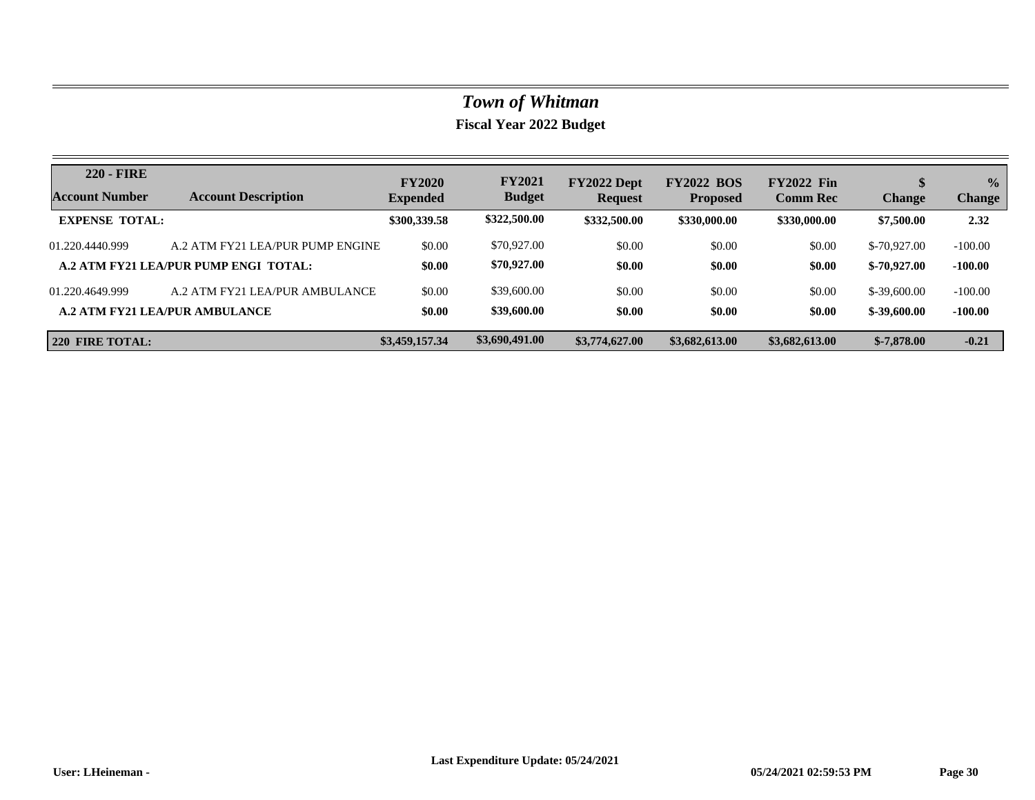| <b>220 - FIRE</b><br><b>Account Number</b> | <b>Account Description</b>            | <b>FY2020</b><br><b>Expended</b> | <b>FY2021</b><br><b>Budget</b> | FY2022 Dept<br><b>Request</b> | <b>FY2022 BOS</b><br><b>Proposed</b> | <b>FY2022 Fin</b><br><b>Comm Rec</b> | J<br><b>Change</b> | $\frac{0}{0}$<br><b>Change</b> |
|--------------------------------------------|---------------------------------------|----------------------------------|--------------------------------|-------------------------------|--------------------------------------|--------------------------------------|--------------------|--------------------------------|
| <b>EXPENSE TOTAL:</b>                      |                                       | \$300,339.58                     | \$322,500.00                   | \$332,500.00                  | \$330,000.00                         | \$330,000.00                         | \$7,500.00         | 2.32                           |
| 01.220.4440.999                            | A.2 ATM FY21 LEA/PUR PUMP ENGINE      | \$0.00                           | \$70,927.00                    | \$0.00                        | \$0.00                               | \$0.00                               | $$-70.927.00$      | $-100.00$                      |
|                                            | A.2 ATM FY21 LEA/PUR PUMP ENGI TOTAL: | \$0.00                           | \$70,927.00                    | \$0.00                        | \$0.00                               | \$0.00                               | $$-70,927,00$      | $-100.00$                      |
| 01.220.4649.999                            | A.2 ATM FY21 LEA/PUR AMBULANCE        | \$0.00                           | \$39,600.00                    | \$0.00                        | \$0.00                               | \$0.00                               | $$-39,600.00$      | $-100.00$                      |
|                                            | <b>A.2 ATM FY21 LEA/PUR AMBULANCE</b> | \$0.00                           | \$39,600.00                    | \$0.00                        | \$0.00                               | \$0.00                               | $$-39,600.00$      | $-100.00$                      |
| 220 FIRE TOTAL:                            |                                       | \$3,459,157.34                   | \$3,690,491.00                 | \$3,774,627.00                | \$3,682,613.00                       | \$3,682,613.00                       | $$-7,878.00$       | $-0.21$                        |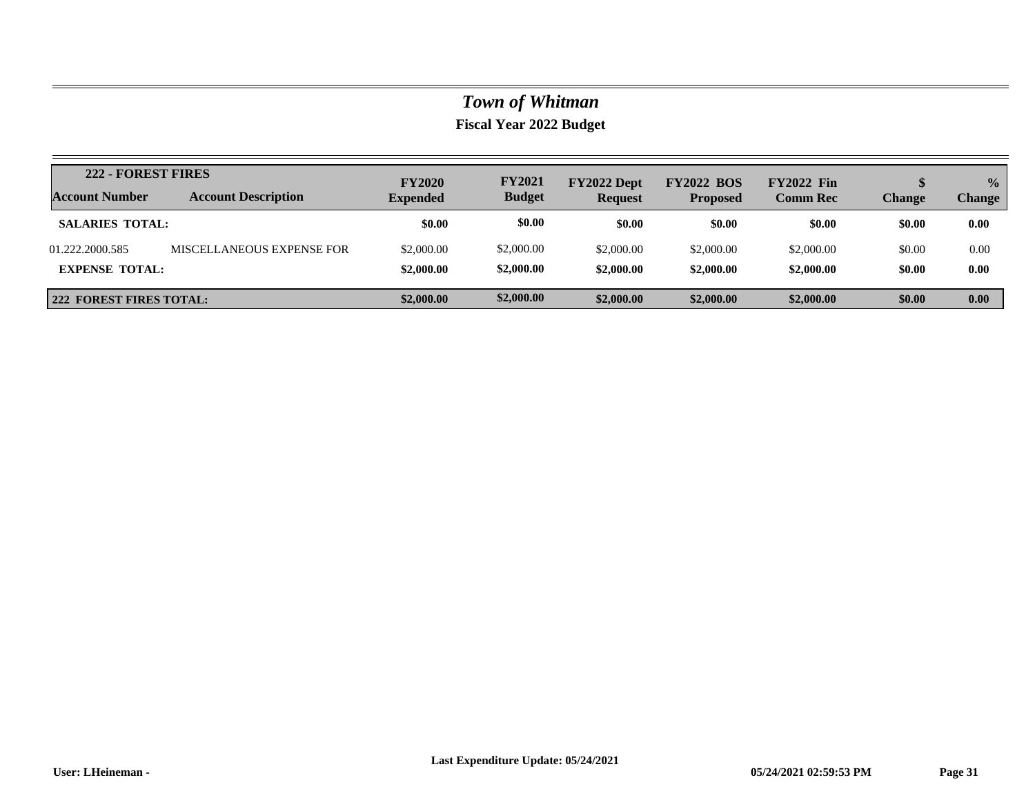| <b>222 - FOREST FIRES</b><br><b>Account Number</b> | <b>Account Description</b> | <b>FY2020</b><br><b>Expended</b> | <b>FY2021</b><br><b>Budget</b> | FY2022 Dept<br><b>Request</b> | <b>FY2022 BOS</b><br><b>Proposed</b> | <b>FY2022 Fin</b><br><b>Comm Rec</b> | Change           | $\frac{0}{0}$<br><b>Change</b> |
|----------------------------------------------------|----------------------------|----------------------------------|--------------------------------|-------------------------------|--------------------------------------|--------------------------------------|------------------|--------------------------------|
| <b>SALARIES TOTAL:</b>                             |                            | \$0.00                           | \$0.00                         | \$0.00                        | \$0.00                               | \$0.00                               | \$0.00           | 0.00                           |
| 01.222.2000.585<br><b>EXPENSE TOTAL:</b>           | MISCELLANEOUS EXPENSE FOR  | \$2,000.00<br>\$2,000.00         | \$2,000.00<br>\$2,000.00       | \$2,000.00<br>\$2,000.00      | \$2,000.00<br>\$2,000.00             | \$2,000.00<br>\$2,000.00             | \$0.00<br>\$0.00 | 0.00<br>0.00                   |
| 222 FOREST FIRES TOTAL:                            |                            | \$2,000.00                       | \$2,000.00                     | \$2,000.00                    | \$2,000.00                           | \$2,000.00                           | \$0.00           | 0.00                           |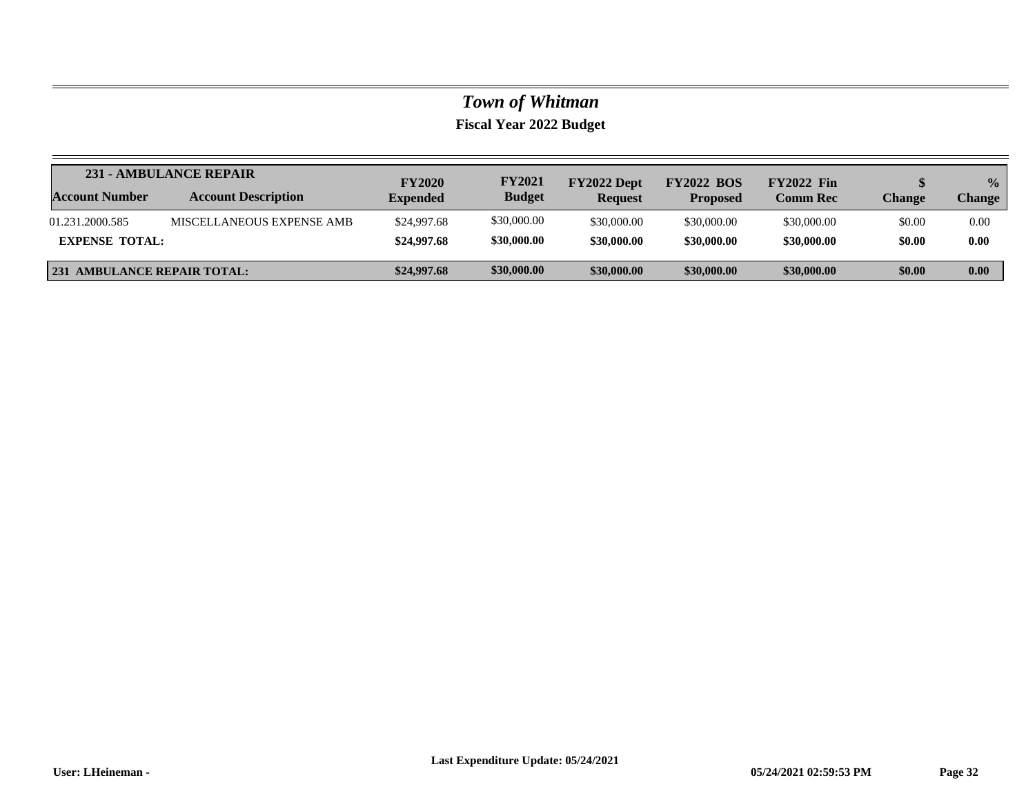|                                    | 231 - AMBULANCE REPAIR     | <b>FY2020</b>   | <b>FY2021</b> | FY2022 Dept    | <b>FY2022 BOS</b> | <b>FY2022</b> Fin |        | $\frac{0}{2}$ |
|------------------------------------|----------------------------|-----------------|---------------|----------------|-------------------|-------------------|--------|---------------|
| <b>Account Number</b>              | <b>Account Description</b> | <b>Expended</b> | <b>Budget</b> | <b>Request</b> | <b>Proposed</b>   | <b>Comm Rec</b>   | Change | <b>Change</b> |
| 01.231.2000.585                    | MISCELLANEOUS EXPENSE AMB  | \$24,997.68     | \$30,000.00   | \$30,000.00    | \$30,000.00       | \$30,000.00       | \$0.00 | 0.00          |
| <b>EXPENSE TOTAL:</b>              |                            | \$24,997.68     | \$30,000.00   | \$30,000.00    | \$30,000.00       | \$30,000.00       | \$0.00 | 0.00          |
| <b>231 AMBULANCE REPAIR TOTAL:</b> |                            | \$24,997.68     | \$30,000.00   | \$30,000.00    | \$30,000.00       | \$30,000.00       | \$0.00 | 0.00          |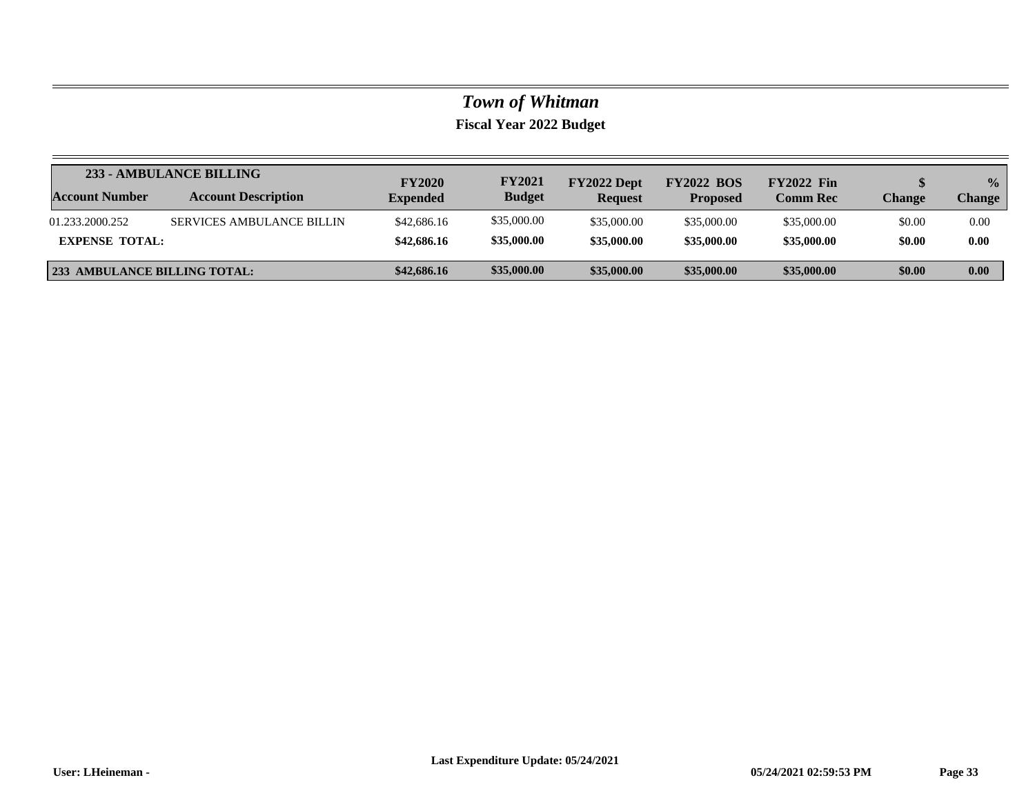|                                     | 233 - AMBULANCE BILLING          | <b>FY2020</b>   | <b>FY2021</b> | FY2022 Dept    | <b>FY2022 BOS</b> | <b>FY2022 Fin</b> |        | $\frac{1}{2}$ |
|-------------------------------------|----------------------------------|-----------------|---------------|----------------|-------------------|-------------------|--------|---------------|
| Account Number                      | <b>Account Description</b>       | <b>Expended</b> | <b>Budget</b> | <b>Request</b> | <b>Proposed</b>   | <b>Comm Rec</b>   | Change | <b>Change</b> |
| 01.233.2000.252                     | <b>SERVICES AMBULANCE BILLIN</b> | \$42,686.16     | \$35,000.00   | \$35,000.00    | \$35,000.00       | \$35,000.00       | \$0.00 | 0.00          |
| <b>EXPENSE TOTAL:</b>               |                                  | \$42,686.16     | \$35,000.00   | \$35,000.00    | \$35,000.00       | \$35,000.00       | \$0.00 | 0.00          |
| <b>233 AMBULANCE BILLING TOTAL:</b> |                                  | \$42,686.16     | \$35,000.00   | \$35,000.00    | \$35,000.00       | \$35,000.00       | \$0.00 | 0.00          |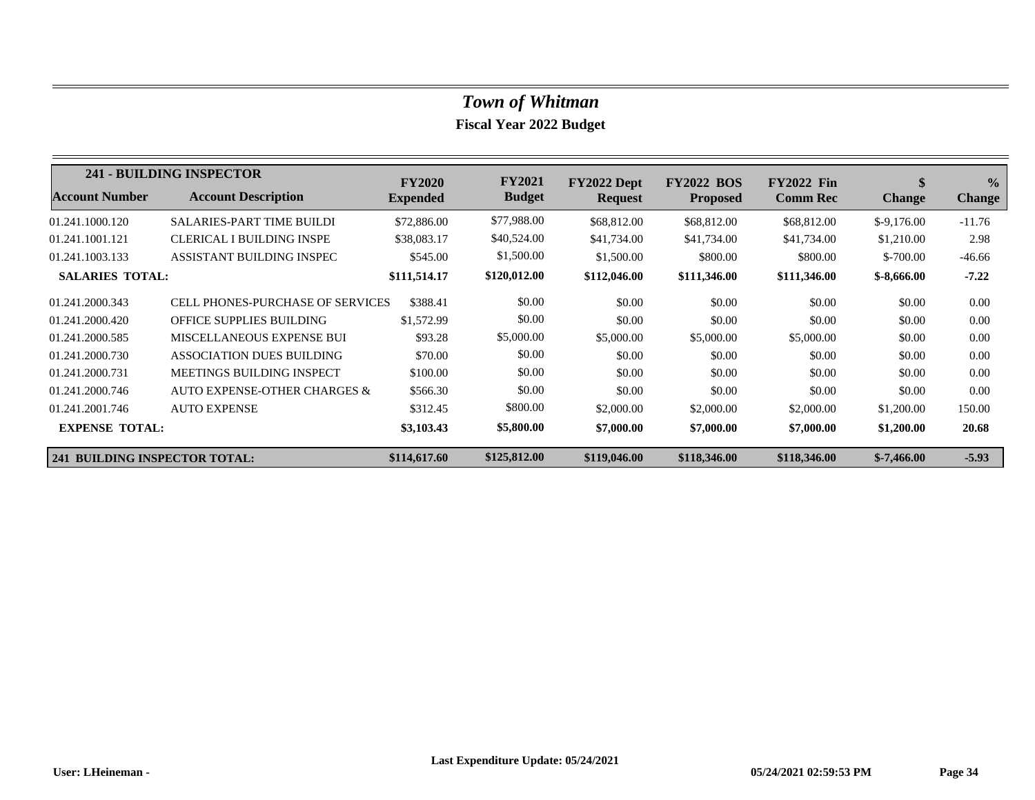|                                      | 241 - BUILDING INSPECTOR                | <b>FY2020</b>   | <b>FY2021</b> | FY2022 Dept    | <b>FY2022 BOS</b> | <b>FY2022 Fin</b> | \$            | $\frac{0}{0}$ |
|--------------------------------------|-----------------------------------------|-----------------|---------------|----------------|-------------------|-------------------|---------------|---------------|
| <b>Account Number</b>                | <b>Account Description</b>              | <b>Expended</b> | <b>Budget</b> | <b>Request</b> | <b>Proposed</b>   | <b>Comm Rec</b>   | <b>Change</b> | <b>Change</b> |
| 01.241.1000.120                      | <b>SALARIES-PART TIME BUILDI</b>        | \$72,886.00     | \$77,988.00   | \$68,812.00    | \$68,812.00       | \$68,812.00       | $$-9.176.00$  | $-11.76$      |
| 01.241.1001.121                      | <b>CLERICAL I BUILDING INSPE</b>        | \$38,083.17     | \$40,524.00   | \$41,734.00    | \$41,734.00       | \$41,734.00       | \$1,210.00    | 2.98          |
| 01.241.1003.133                      | ASSISTANT BUILDING INSPEC               | \$545.00        | \$1,500.00    | \$1,500.00     | \$800.00          | \$800.00          | $$-700.00$    | $-46.66$      |
| <b>SALARIES TOTAL:</b>               |                                         | \$111,514.17    | \$120,012.00  | \$112,046.00   | \$111,346.00      | \$111,346.00      | $$-8,666.00$  | $-7.22$       |
| 01.241.2000.343                      | <b>CELL PHONES-PURCHASE OF SERVICES</b> | \$388.41        | \$0.00        | \$0.00         | \$0.00            | \$0.00            | \$0.00        | 0.00          |
| 01.241.2000.420                      | <b>OFFICE SUPPLIES BUILDING</b>         | \$1,572.99      | \$0.00        | \$0.00         | \$0.00            | \$0.00            | \$0.00        | 0.00          |
| 01.241.2000.585                      | MISCELLANEOUS EXPENSE BUI               | \$93.28         | \$5,000.00    | \$5,000.00     | \$5,000.00        | \$5,000.00        | \$0.00        | 0.00          |
| 01.241.2000.730                      | ASSOCIATION DUES BUILDING               | \$70.00         | \$0.00        | \$0.00         | \$0.00            | \$0.00            | \$0.00        | 0.00          |
| 01.241.2000.731                      | MEETINGS BUILDING INSPECT               | \$100.00        | \$0.00        | \$0.00         | \$0.00            | \$0.00            | \$0.00        | 0.00          |
| 01.241.2000.746                      | AUTO EXPENSE-OTHER CHARGES &            | \$566.30        | \$0.00        | \$0.00         | \$0.00            | \$0.00            | \$0.00        | 0.00          |
| 01.241.2001.746                      | <b>AUTO EXPENSE</b>                     | \$312.45        | \$800.00      | \$2,000.00     | \$2,000.00        | \$2,000.00        | \$1,200.00    | 150.00        |
| <b>EXPENSE TOTAL:</b>                |                                         | \$3,103.43      | \$5,800.00    | \$7,000.00     | \$7,000.00        | \$7,000.00        | \$1,200.00    | 20.68         |
| <b>241 BUILDING INSPECTOR TOTAL:</b> |                                         | \$114,617.60    | \$125,812.00  | \$119,046.00   | \$118,346.00      | \$118,346.00      | $$-7,466.00$  | $-5.93$       |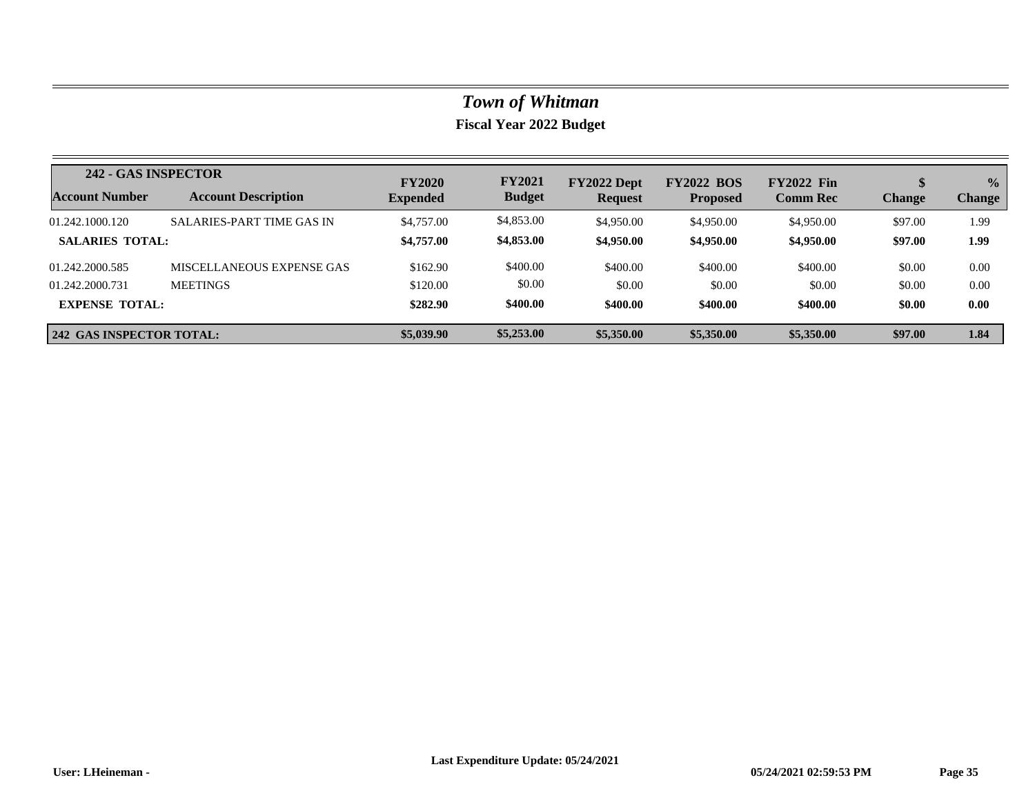| 242 - GAS INSPECTOR             |                                  | <b>FY2020</b>   | <b>FY2021</b> | FY2022 Dept    | <b>FY2022 BOS</b> | <b>FY2022 Fin</b> |               | $\frac{0}{0}$ |
|---------------------------------|----------------------------------|-----------------|---------------|----------------|-------------------|-------------------|---------------|---------------|
| <b>Account Number</b>           | <b>Account Description</b>       | <b>Expended</b> | <b>Budget</b> | <b>Request</b> | <b>Proposed</b>   | <b>Comm Rec</b>   | <b>Change</b> | <b>Change</b> |
| 01.242.1000.120                 | <b>SALARIES-PART TIME GAS IN</b> | \$4,757.00      | \$4,853.00    | \$4,950.00     | \$4,950.00        | \$4,950.00        | \$97.00       | 1.99          |
| <b>SALARIES TOTAL:</b>          |                                  | \$4,757.00      | \$4,853.00    | \$4,950.00     | \$4,950.00        | \$4,950.00        | \$97.00       | 1.99          |
| 01.242.2000.585                 | MISCELLANEOUS EXPENSE GAS        | \$162.90        | \$400.00      | \$400.00       | \$400.00          | \$400.00          | \$0.00        | 0.00          |
| 01.242.2000.731                 | <b>MEETINGS</b>                  | \$120.00        | \$0.00        | \$0.00         | \$0.00            | \$0.00            | \$0.00        | 0.00          |
| <b>EXPENSE TOTAL:</b>           |                                  | \$282.90        | \$400.00      | \$400.00       | \$400.00          | \$400.00          | \$0.00        | 0.00          |
| <b>242 GAS INSPECTOR TOTAL:</b> |                                  | \$5,039.90      | \$5,253.00    | \$5,350.00     | \$5,350.00        | \$5,350.00        | \$97.00       | 1.84          |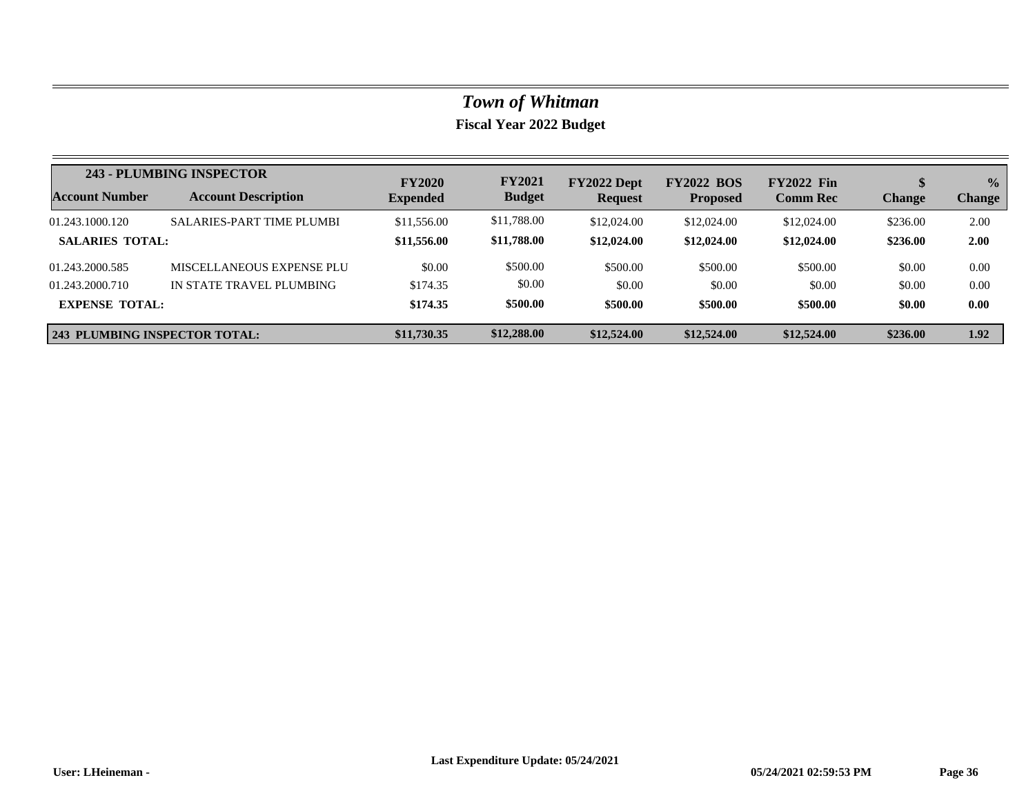|                                      | 243 - PLUMBING INSPECTOR         | <b>FY2020</b>   | <b>FY2021</b> | FY2022 Dept    | <b>FY2022 BOS</b> | <b>FY2022 Fin</b> |               | $\frac{0}{0}$ |
|--------------------------------------|----------------------------------|-----------------|---------------|----------------|-------------------|-------------------|---------------|---------------|
| <b>Account Number</b>                | <b>Account Description</b>       | <b>Expended</b> | <b>Budget</b> | <b>Request</b> | <b>Proposed</b>   | <b>Comm Rec</b>   | <b>Change</b> | <b>Change</b> |
| 01.243.1000.120                      | <b>SALARIES-PART TIME PLUMBI</b> | \$11,556.00     | \$11,788.00   | \$12,024.00    | \$12,024.00       | \$12,024.00       | \$236.00      | 2.00          |
| <b>SALARIES TOTAL:</b>               |                                  | \$11,556.00     | \$11,788.00   | \$12,024.00    | \$12,024.00       | \$12,024.00       | \$236.00      | 2.00          |
| 01.243.2000.585                      | MISCELLANEOUS EXPENSE PLU        | \$0.00          | \$500.00      | \$500.00       | \$500.00          | \$500.00          | \$0.00        | 0.00          |
| 01.243.2000.710                      | IN STATE TRAVEL PLUMBING         | \$174.35        | \$0.00        | \$0.00         | \$0.00            | \$0.00            | \$0.00        | 0.00          |
| <b>EXPENSE TOTAL:</b>                |                                  | \$174.35        | \$500.00      | \$500.00       | \$500.00          | \$500.00          | \$0.00        | 0.00          |
| <b>243 PLUMBING INSPECTOR TOTAL:</b> |                                  | \$11,730.35     | \$12,288.00   | \$12,524.00    | \$12,524.00       | \$12,524.00       | \$236.00      | 1.92          |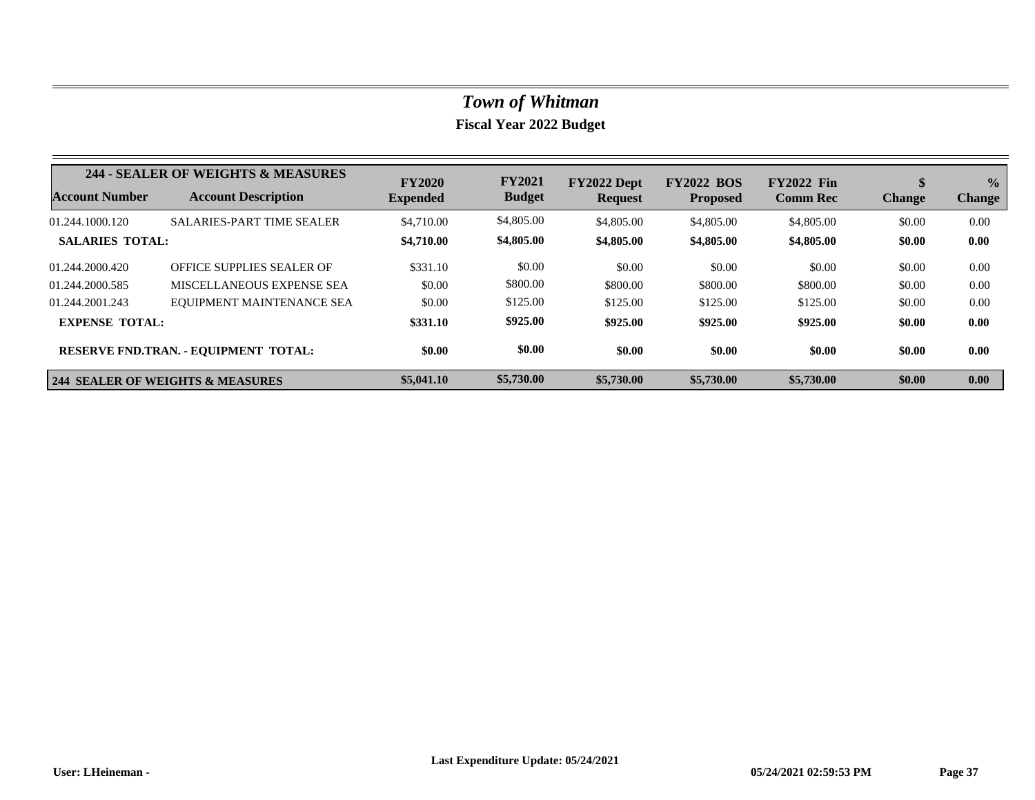|                        | 244 - SEALER OF WEIGHTS & MEASURES          | <b>FY2020</b>   | <b>FY2021</b> | FY2022 Dept    | <b>FY2022 BOS</b> | <b>FY2022 Fin</b> | D             | $\frac{1}{2}$ |
|------------------------|---------------------------------------------|-----------------|---------------|----------------|-------------------|-------------------|---------------|---------------|
| <b>Account Number</b>  | <b>Account Description</b>                  | <b>Expended</b> | <b>Budget</b> | <b>Request</b> | <b>Proposed</b>   | <b>Comm Rec</b>   | <b>Change</b> | <b>Change</b> |
| 01.244.1000.120        | <b>SALARIES-PART TIME SEALER</b>            | \$4,710.00      | \$4,805.00    | \$4,805.00     | \$4,805.00        | \$4,805.00        | \$0.00        | 0.00          |
| <b>SALARIES TOTAL:</b> |                                             | \$4,710.00      | \$4,805.00    | \$4,805.00     | \$4,805.00        | \$4,805.00        | \$0.00        | 0.00          |
| 01.244.2000.420        | OFFICE SUPPLIES SEALER OF                   | \$331.10        | \$0.00        | \$0.00         | \$0.00            | \$0.00            | \$0.00        | 0.00          |
| 01.244.2000.585        | MISCELLANEOUS EXPENSE SEA                   | \$0.00          | \$800.00      | \$800.00       | \$800.00          | \$800.00          | \$0.00        | 0.00          |
| 01.244.2001.243        | EQUIPMENT MAINTENANCE SEA                   | \$0.00          | \$125.00      | \$125.00       | \$125.00          | \$125.00          | \$0.00        | 0.00          |
| <b>EXPENSE TOTAL:</b>  |                                             | \$331.10        | \$925.00      | \$925.00       | \$925.00          | \$925.00          | \$0.00        | 0.00          |
|                        | <b>RESERVE FND.TRAN. - EQUIPMENT TOTAL:</b> | \$0.00          | \$0.00        | \$0.00         | \$0.00            | \$0.00            | \$0.00        | 0.00          |
|                        | <b>244 SEALER OF WEIGHTS &amp; MEASURES</b> | \$5,041.10      | \$5,730.00    | \$5,730.00     | \$5,730.00        | \$5,730.00        | \$0.00        | 0.00          |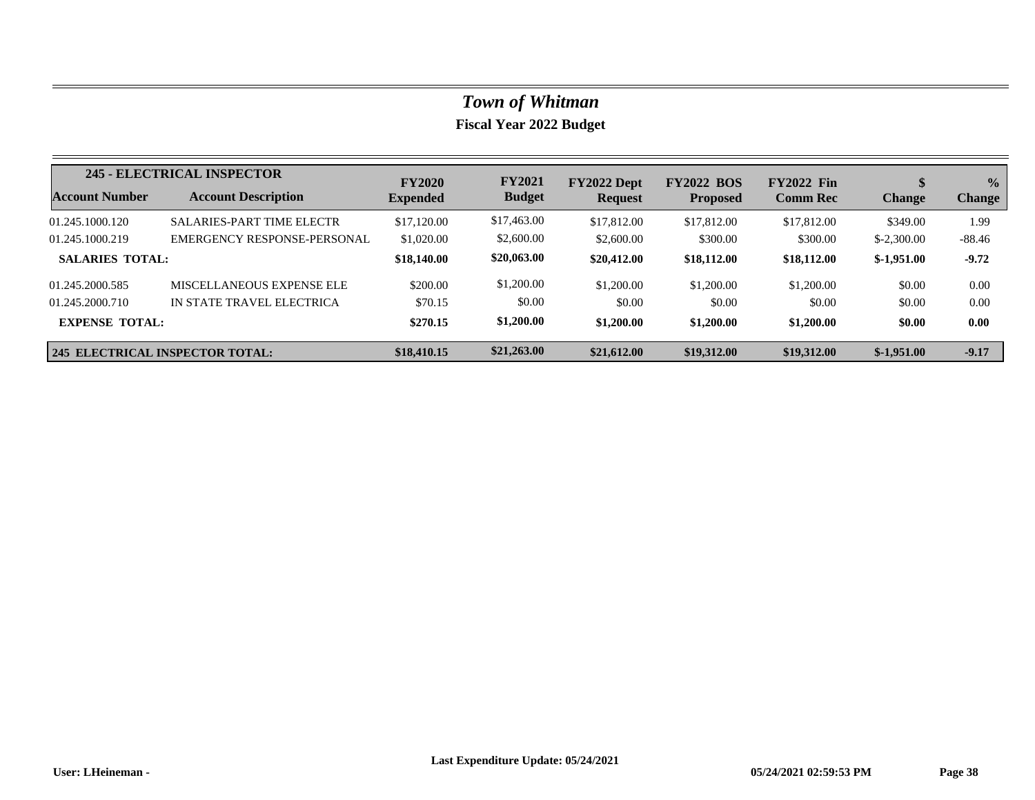|                        | 245 - ELECTRICAL INSPECTOR             | <b>FY2020</b>   | <b>FY2021</b> | FY2022 Dept    | <b>FY2022 BOS</b> | <b>FY2022 Fin</b> |               | $\frac{0}{0}$ |
|------------------------|----------------------------------------|-----------------|---------------|----------------|-------------------|-------------------|---------------|---------------|
| Account Number         | <b>Account Description</b>             | <b>Expended</b> | <b>Budget</b> | <b>Request</b> | <b>Proposed</b>   | <b>Comm Rec</b>   | <b>Change</b> | <b>Change</b> |
| 01.245.1000.120        | <b>SALARIES-PART TIME ELECTR</b>       | \$17,120.00     | \$17,463.00   | \$17,812.00    | \$17,812.00       | \$17,812.00       | \$349.00      | 1.99          |
| 01.245.1000.219        | EMERGENCY RESPONSE-PERSONAL            | \$1,020.00      | \$2,600.00    | \$2,600.00     | \$300.00          | \$300.00          | $$-2,300.00$  | $-88.46$      |
| <b>SALARIES TOTAL:</b> |                                        | \$18,140.00     | \$20,063.00   | \$20,412.00    | \$18,112.00       | \$18,112.00       | $$-1,951.00$  | $-9.72$       |
| 01.245.2000.585        | MISCELLANEOUS EXPENSE ELE              | \$200.00        | \$1,200.00    | \$1,200.00     | \$1,200.00        | \$1,200.00        | \$0.00        | 0.00          |
| 01.245.2000.710        | IN STATE TRAVEL ELECTRICA              | \$70.15         | \$0.00        | \$0.00         | \$0.00            | \$0.00            | \$0.00        | 0.00          |
| <b>EXPENSE TOTAL:</b>  |                                        | \$270.15        | \$1,200.00    | \$1,200.00     | \$1,200.00        | \$1,200.00        | \$0.00        | 0.00          |
|                        | <b>245 ELECTRICAL INSPECTOR TOTAL:</b> | \$18,410.15     | \$21,263.00   | \$21,612.00    | \$19,312.00       | \$19,312.00       | $$-1.951.00$  | $-9.17$       |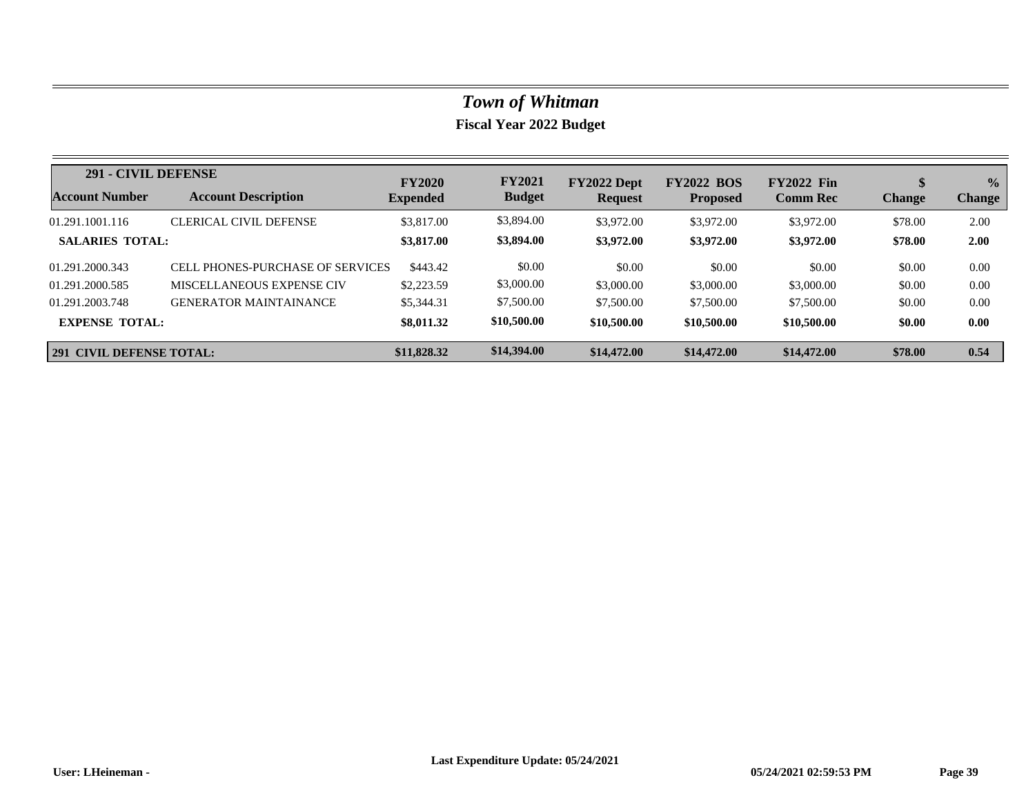| 291 - CIVIL DEFENSE             |                                  | <b>FY2020</b>   | <b>FY2021</b> | FY2022 Dept    | <b>FY2022 BOS</b> | <b>FY2022 Fin</b> |               | $\frac{0}{0}$ |
|---------------------------------|----------------------------------|-----------------|---------------|----------------|-------------------|-------------------|---------------|---------------|
| Account Number                  | <b>Account Description</b>       | <b>Expended</b> | <b>Budget</b> | <b>Request</b> | <b>Proposed</b>   | <b>Comm Rec</b>   | <b>Change</b> | <b>Change</b> |
| 01.291.1001.116                 | <b>CLERICAL CIVIL DEFENSE</b>    | \$3,817.00      | \$3,894.00    | \$3,972.00     | \$3,972.00        | \$3,972.00        | \$78.00       | 2.00          |
| <b>SALARIES TOTAL:</b>          |                                  | \$3,817.00      | \$3,894.00    | \$3,972.00     | \$3,972.00        | \$3,972.00        | \$78.00       | 2.00          |
| 01.291.2000.343                 | CELL PHONES-PURCHASE OF SERVICES | \$443.42        | \$0.00        | \$0.00         | \$0.00            | \$0.00            | \$0.00        | 0.00          |
| 01.291.2000.585                 | MISCELLANEOUS EXPENSE CIV        | \$2,223.59      | \$3,000.00    | \$3,000.00     | \$3,000.00        | \$3,000.00        | \$0.00        | 0.00          |
| 01.291.2003.748                 | <b>GENERATOR MAINTAINANCE</b>    | \$5,344.31      | \$7,500.00    | \$7,500.00     | \$7,500.00        | \$7,500.00        | \$0.00        | 0.00          |
| <b>EXPENSE TOTAL:</b>           |                                  | \$8,011.32      | \$10,500.00   | \$10,500.00    | \$10,500.00       | \$10,500.00       | \$0.00        | 0.00          |
| <b>291 CIVIL DEFENSE TOTAL:</b> |                                  | \$11,828.32     | \$14,394.00   | \$14,472.00    | \$14,472.00       | \$14,472.00       | \$78.00       | 0.54          |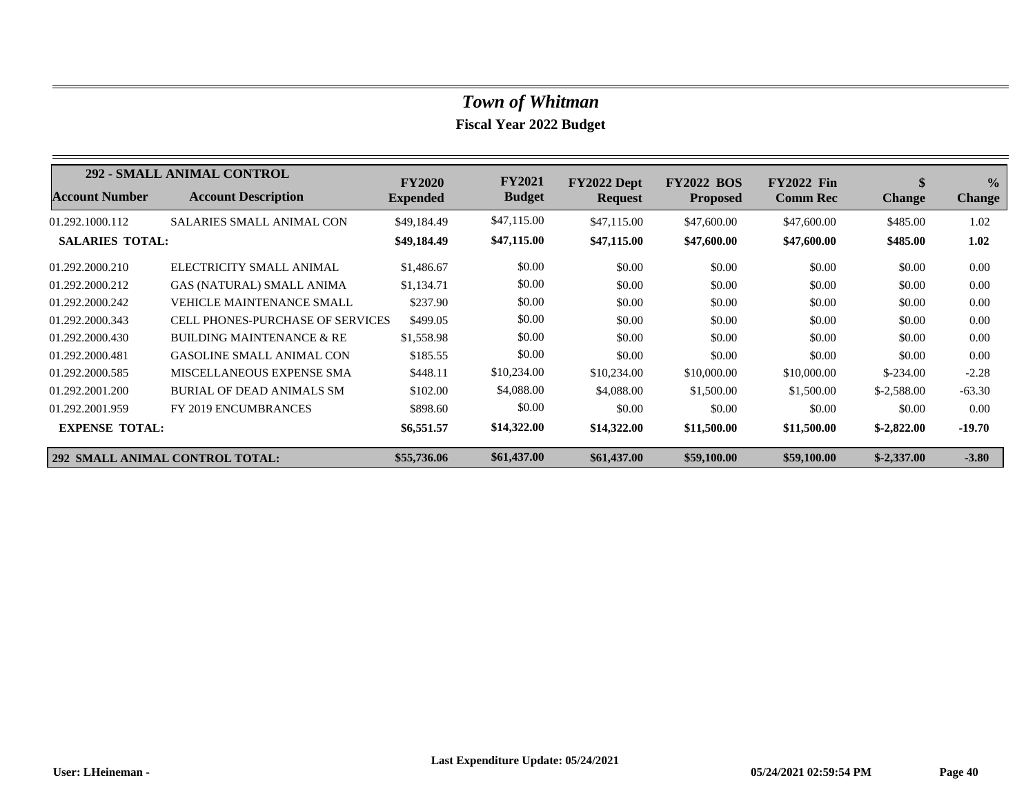|                        | <b>292 - SMALL ANIMAL CONTROL</b>       | <b>FY2020</b>   | <b>FY2021</b> | FY2022 Dept    | <b>FY2022 BOS</b> | <b>FY2022 Fin</b> | \$            | $\frac{0}{0}$ |
|------------------------|-----------------------------------------|-----------------|---------------|----------------|-------------------|-------------------|---------------|---------------|
| <b>Account Number</b>  | <b>Account Description</b>              | <b>Expended</b> | <b>Budget</b> | <b>Request</b> | <b>Proposed</b>   | <b>Comm Rec</b>   | <b>Change</b> | <b>Change</b> |
| 01.292.1000.112        | <b>SALARIES SMALL ANIMAL CON</b>        | \$49,184.49     | \$47,115.00   | \$47,115.00    | \$47,600.00       | \$47,600.00       | \$485.00      | 1.02          |
| <b>SALARIES TOTAL:</b> |                                         | \$49,184.49     | \$47,115.00   | \$47,115.00    | \$47,600.00       | \$47,600.00       | \$485.00      | 1.02          |
| 01.292.2000.210        | ELECTRICITY SMALL ANIMAL                | \$1,486.67      | \$0.00        | \$0.00         | \$0.00            | \$0.00            | \$0.00        | 0.00          |
| 01.292.2000.212        | <b>GAS (NATURAL) SMALL ANIMA</b>        | \$1,134.71      | \$0.00        | \$0.00         | \$0.00            | \$0.00            | \$0.00        | 0.00          |
| 01.292.2000.242        | <b>VEHICLE MAINTENANCE SMALL</b>        | \$237.90        | \$0.00        | \$0.00         | \$0.00            | \$0.00            | \$0.00        | 0.00          |
| 01.292.2000.343        | <b>CELL PHONES-PURCHASE OF SERVICES</b> | \$499.05        | \$0.00        | \$0.00         | \$0.00            | \$0.00            | \$0.00        | 0.00          |
| 01.292.2000.430        | <b>BUILDING MAINTENANCE &amp; RE</b>    | \$1,558.98      | \$0.00        | \$0.00         | \$0.00            | \$0.00            | \$0.00        | 0.00          |
| 01.292.2000.481        | <b>GASOLINE SMALL ANIMAL CON</b>        | \$185.55        | \$0.00        | \$0.00         | \$0.00            | \$0.00            | \$0.00        | 0.00          |
| 01.292.2000.585        | MISCELLANEOUS EXPENSE SMA               | \$448.11        | \$10,234.00   | \$10,234.00    | \$10,000.00       | \$10,000.00       | $$-234.00$    | $-2.28$       |
| 01.292.2001.200        | BURIAL OF DEAD ANIMALS SM               | \$102.00        | \$4,088.00    | \$4,088.00     | \$1,500.00        | \$1,500.00        | $$-2,588.00$  | $-63.30$      |
| 01.292.2001.959        | FY 2019 ENCUMBRANCES                    | \$898.60        | \$0.00        | \$0.00         | \$0.00            | \$0.00            | \$0.00        | 0.00          |
| <b>EXPENSE TOTAL:</b>  |                                         | \$6,551.57      | \$14,322.00   | \$14,322.00    | \$11,500.00       | \$11,500.00       | $$-2,822.00$  | $-19.70$      |
|                        | <b>292 SMALL ANIMAL CONTROL TOTAL:</b>  | \$55,736.06     | \$61,437.00   | \$61,437.00    | \$59,100.00       | \$59,100.00       | $$-2,337.00$  | $-3.80$       |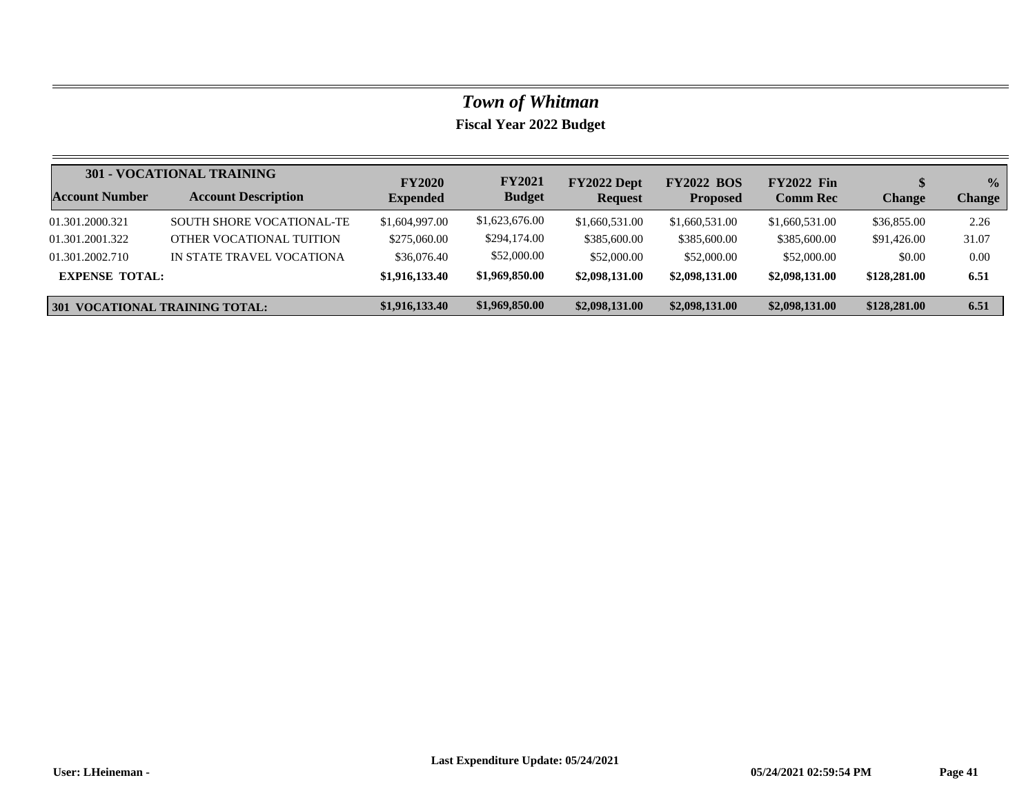|                                       | <b>301 - VOCATIONAL TRAINING</b> | <b>FY2020</b>   | <b>FY2021</b>  | FY2022 Dept    | <b>FY2022 BOS</b> | <b>FY2022 Fin</b> |               | $\frac{0}{0}$ |
|---------------------------------------|----------------------------------|-----------------|----------------|----------------|-------------------|-------------------|---------------|---------------|
| <b>Account Number</b>                 | <b>Account Description</b>       | <b>Expended</b> | <b>Budget</b>  | <b>Request</b> | <b>Proposed</b>   | <b>Comm Rec</b>   | <b>Change</b> | <b>Change</b> |
| 01.301.2000.321                       | <b>SOUTH SHORE VOCATIONAL-TE</b> | \$1,604,997.00  | \$1,623,676.00 | \$1,660,531.00 | \$1,660,531.00    | \$1,660,531.00    | \$36,855.00   | 2.26          |
| 01.301.2001.322                       | OTHER VOCATIONAL TUITION         | \$275,060.00    | \$294,174.00   | \$385,600.00   | \$385,600.00      | \$385,600.00      | \$91,426.00   | 31.07         |
| 01.301.2002.710                       | IN STATE TRAVEL VOCATIONA        | \$36,076.40     | \$52,000.00    | \$52,000.00    | \$52,000.00       | \$52,000.00       | \$0.00        | 0.00          |
| <b>EXPENSE TOTAL:</b>                 |                                  | \$1,916,133.40  | \$1,969,850.00 | \$2,098,131.00 | \$2,098,131.00    | \$2,098,131.00    | \$128,281.00  | 6.51          |
| <b>301 VOCATIONAL TRAINING TOTAL:</b> |                                  | \$1,916,133.40  | \$1,969,850.00 | \$2,098,131.00 | \$2,098,131.00    | \$2,098,131.00    | \$128,281.00  | 6.51          |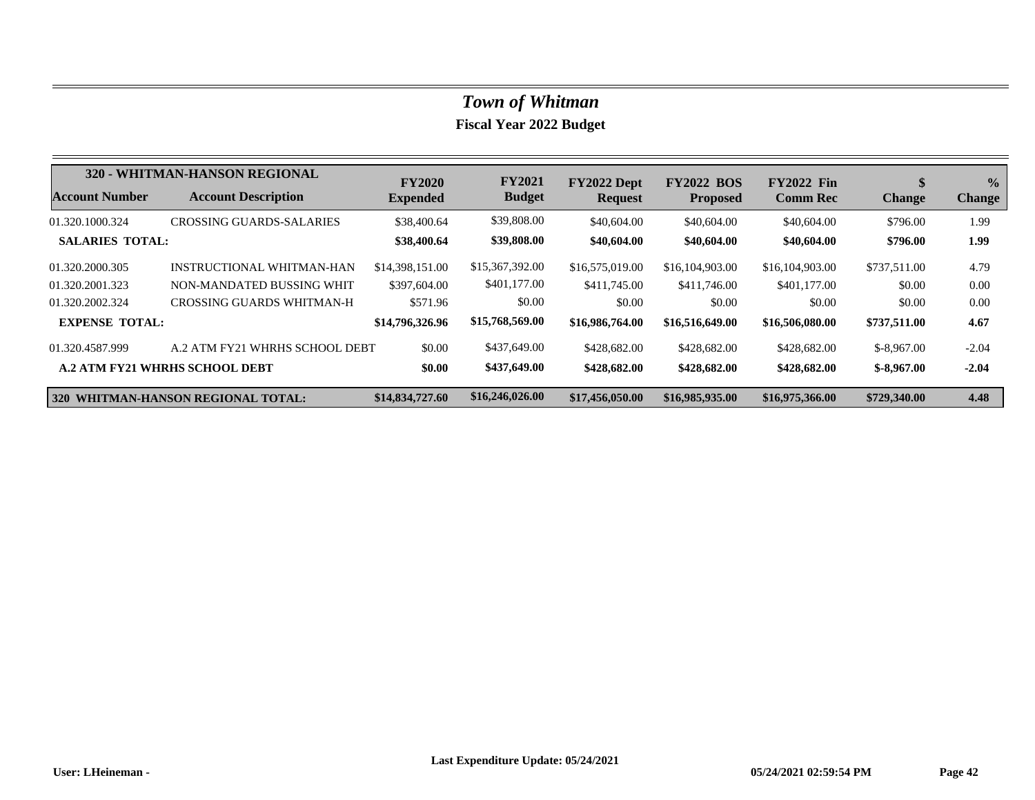|                        | 320 - WHITMAN-HANSON REGIONAL         | <b>FY2020</b>   | <b>FY2021</b>   | FY2022 Dept     | <b>FY2022 BOS</b> | <b>FY2022 Fin</b> | \$            | $\frac{0}{2}$ |
|------------------------|---------------------------------------|-----------------|-----------------|-----------------|-------------------|-------------------|---------------|---------------|
| <b>Account Number</b>  | <b>Account Description</b>            | <b>Expended</b> | <b>Budget</b>   | <b>Request</b>  | <b>Proposed</b>   | <b>Comm Rec</b>   | <b>Change</b> | <b>Change</b> |
| 01.320.1000.324        | CROSSING GUARDS-SALARIES              | \$38,400.64     | \$39,808.00     | \$40,604.00     | \$40,604.00       | \$40,604.00       | \$796.00      | 1.99          |
| <b>SALARIES TOTAL:</b> |                                       | \$38,400.64     | \$39,808.00     | \$40,604.00     | \$40,604.00       | \$40,604.00       | \$796.00      | 1.99          |
| 01.320.2000.305        | INSTRUCTIONAL WHITMAN-HAN             | \$14,398,151.00 | \$15,367,392.00 | \$16,575,019.00 | \$16,104,903.00   | \$16,104,903.00   | \$737,511.00  | 4.79          |
| 01.320.2001.323        | NON-MANDATED BUSSING WHIT             | \$397,604.00    | \$401,177.00    | \$411,745.00    | \$411,746.00      | \$401,177.00      | \$0.00        | 0.00          |
| 01.320.2002.324        | CROSSING GUARDS WHITMAN-H             | \$571.96        | \$0.00          | \$0.00          | \$0.00            | \$0.00            | \$0.00        | 0.00          |
| <b>EXPENSE TOTAL:</b>  |                                       | \$14,796,326.96 | \$15,768,569.00 | \$16,986,764.00 | \$16,516,649.00   | \$16,506,080.00   | \$737,511.00  | 4.67          |
| 01.320.4587.999        | A.2 ATM FY21 WHRHS SCHOOL DEBT        | \$0.00          | \$437,649.00    | \$428,682.00    | \$428,682.00      | \$428,682.00      | $$-8.967.00$  | $-2.04$       |
|                        | <b>A.2 ATM FY21 WHRHS SCHOOL DEBT</b> | \$0.00          | \$437,649.00    | \$428,682.00    | \$428,682.00      | \$428,682.00      | $$-8,967.00$  | $-2.04$       |
|                        | 320 WHITMAN-HANSON REGIONAL TOTAL:    | \$14,834,727.60 | \$16,246,026.00 | \$17,456,050.00 | \$16,985,935.00   | \$16,975,366.00   | \$729,340.00  | 4.48          |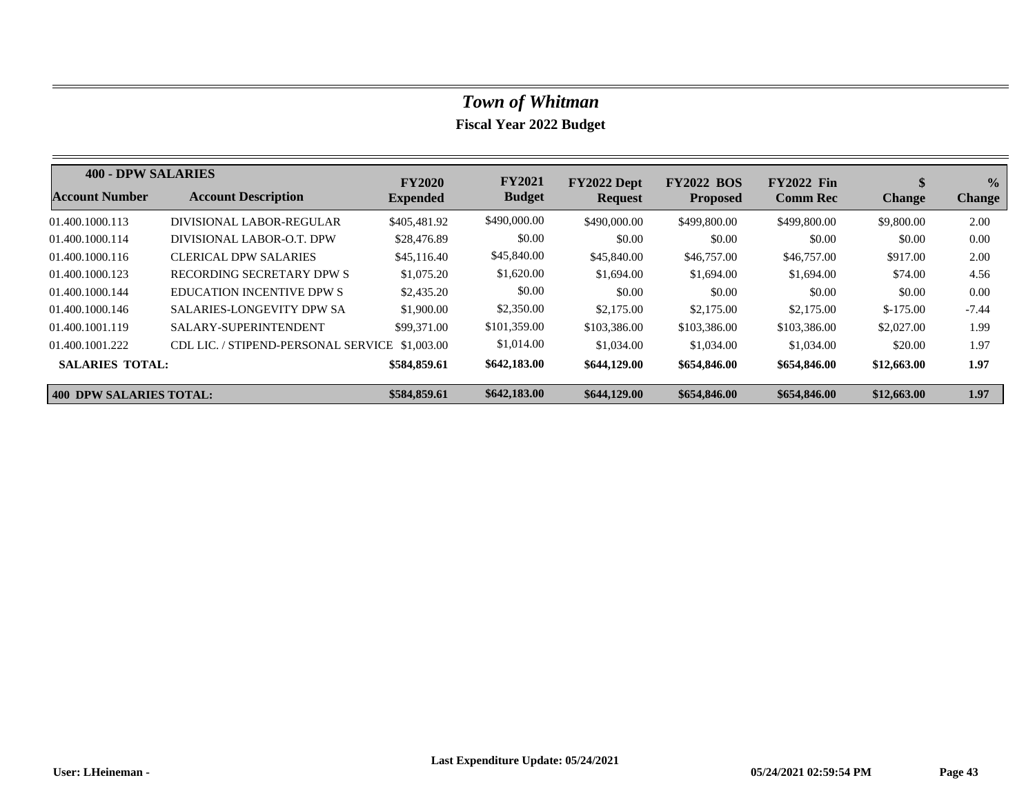| <b>400 - DPW SALARIES</b> |                                                | <b>FY2020</b>   | <b>FY2021</b> | FY2022 Dept    | <b>FY2022 BOS</b> | <b>FY2022 Fin</b> | D.            | $\frac{0}{0}$ |
|---------------------------|------------------------------------------------|-----------------|---------------|----------------|-------------------|-------------------|---------------|---------------|
| <b>Account Number</b>     | <b>Account Description</b>                     | <b>Expended</b> | <b>Budget</b> | <b>Request</b> | <b>Proposed</b>   | <b>Comm Rec</b>   | <b>Change</b> | <b>Change</b> |
| 01.400.1000.113           | DIVISIONAL LABOR-REGULAR                       | \$405,481.92    | \$490,000.00  | \$490,000.00   | \$499,800.00      | \$499,800.00      | \$9,800.00    | 2.00          |
| 01.400.1000.114           | DIVISIONAL LABOR-O.T. DPW                      | \$28,476.89     | \$0.00        | \$0.00         | \$0.00            | \$0.00            | \$0.00        | 0.00          |
| 01.400.1000.116           | <b>CLERICAL DPW SALARIES</b>                   | \$45,116.40     | \$45,840.00   | \$45,840.00    | \$46,757.00       | \$46,757.00       | \$917.00      | 2.00          |
| 01.400.1000.123           | RECORDING SECRETARY DPW S                      | \$1,075.20      | \$1,620.00    | \$1,694.00     | \$1,694.00        | \$1,694.00        | \$74.00       | 4.56          |
| 01.400.1000.144           | <b>EDUCATION INCENTIVE DPW S</b>               | \$2,435.20      | \$0.00        | \$0.00         | \$0.00            | \$0.00            | \$0.00        | 0.00          |
| 01.400.1000.146           | <b>SALARIES-LONGEVITY DPW SA</b>               | \$1,900.00      | \$2,350.00    | \$2,175,00     | \$2,175.00        | \$2,175,00        | $$-175.00$    | $-7.44$       |
| 01.400.1001.119           | SALARY-SUPERINTENDENT                          | \$99,371.00     | \$101,359.00  | \$103,386.00   | \$103,386.00      | \$103,386.00      | \$2,027.00    | 1.99          |
| 01.400.1001.222           | CDL LIC. / STIPEND-PERSONAL SERVICE \$1,003.00 |                 | \$1,014.00    | \$1,034.00     | \$1,034.00        | \$1,034.00        | \$20.00       | 1.97          |
| <b>SALARIES TOTAL:</b>    |                                                | \$584,859.61    | \$642,183.00  | \$644,129.00   | \$654,846.00      | \$654,846.00      | \$12,663.00   | 1.97          |
| 400 DPW SALARIES TOTAL:   |                                                | \$584,859.61    | \$642,183.00  | \$644,129.00   | \$654,846.00      | \$654,846.00      | \$12,663.00   | 1.97          |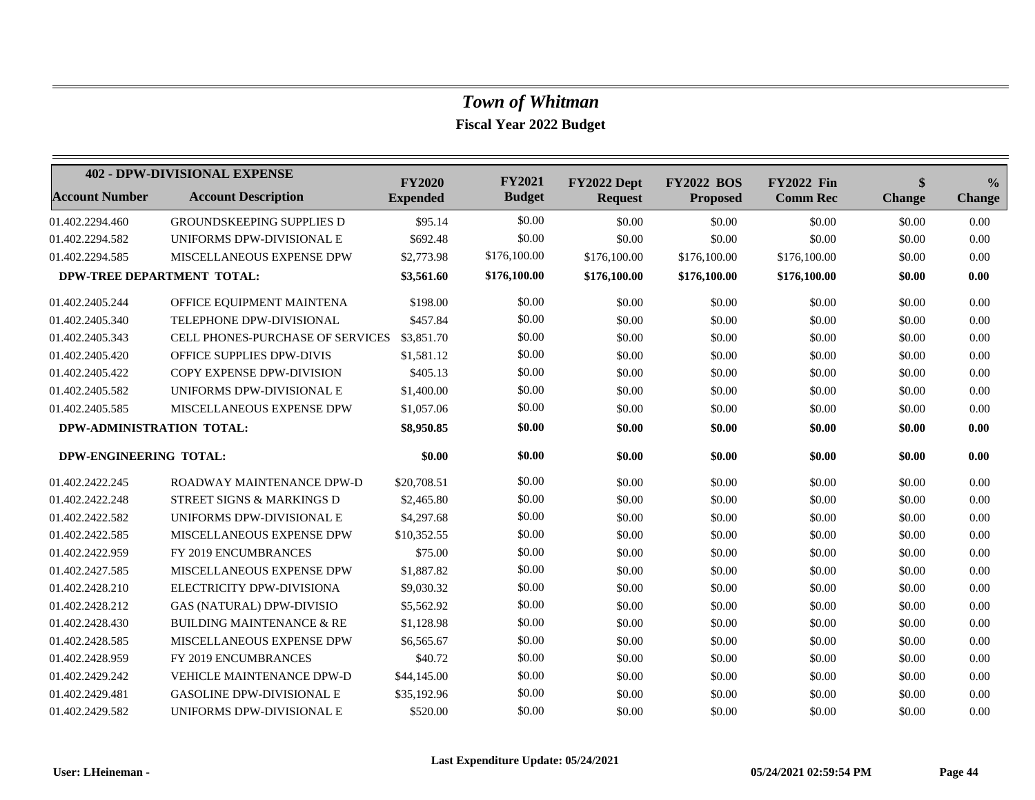|                            | <b>402 - DPW-DIVISIONAL EXPENSE</b>     | <b>FY2020</b>   | <b>FY2021</b> | FY2022 Dept    | <b>FY2022 BOS</b> | <b>FY2022 Fin</b> | \$            | $\frac{6}{6}$ |
|----------------------------|-----------------------------------------|-----------------|---------------|----------------|-------------------|-------------------|---------------|---------------|
| <b>Account Number</b>      | <b>Account Description</b>              | <b>Expended</b> | <b>Budget</b> | <b>Request</b> | <b>Proposed</b>   | <b>Comm Rec</b>   | <b>Change</b> | <b>Change</b> |
| 01.402.2294.460            | <b>GROUNDSKEEPING SUPPLIES D</b>        | \$95.14         | \$0.00        | \$0.00         | \$0.00            | \$0.00            | \$0.00        | 0.00          |
| 01.402.2294.582            | UNIFORMS DPW-DIVISIONAL E               | \$692.48        | \$0.00        | \$0.00         | \$0.00            | \$0.00            | \$0.00        | 0.00          |
| 01.402.2294.585            | <b>MISCELLANEOUS EXPENSE DPW</b>        | \$2,773.98      | \$176,100.00  | \$176,100.00   | \$176,100.00      | \$176,100.00      | \$0.00        | 0.00          |
| DPW-TREE DEPARTMENT TOTAL: |                                         | \$3,561.60      | \$176,100.00  | \$176,100.00   | \$176,100.00      | \$176,100.00      | \$0.00        | 0.00          |
| 01.402.2405.244            | OFFICE EQUIPMENT MAINTENA               | \$198.00        | \$0.00        | \$0.00         | \$0.00            | \$0.00            | \$0.00        | 0.00          |
| 01.402.2405.340            | TELEPHONE DPW-DIVISIONAL                | \$457.84        | \$0.00        | \$0.00         | \$0.00            | \$0.00            | \$0.00        | 0.00          |
| 01.402.2405.343            | <b>CELL PHONES-PURCHASE OF SERVICES</b> | \$3,851.70      | \$0.00        | \$0.00         | \$0.00            | \$0.00            | \$0.00        | 0.00          |
| 01.402.2405.420            | OFFICE SUPPLIES DPW-DIVIS               | \$1,581.12      | \$0.00        | \$0.00         | \$0.00            | \$0.00            | \$0.00        | 0.00          |
| 01.402.2405.422            | COPY EXPENSE DPW-DIVISION               | \$405.13        | \$0.00        | \$0.00         | \$0.00            | \$0.00            | \$0.00        | 0.00          |
| 01.402.2405.582            | UNIFORMS DPW-DIVISIONAL E               | \$1,400.00      | \$0.00        | \$0.00         | \$0.00            | \$0.00            | \$0.00        | 0.00          |
| 01.402.2405.585            | MISCELLANEOUS EXPENSE DPW               | \$1,057.06      | \$0.00        | \$0.00         | \$0.00            | \$0.00            | \$0.00        | 0.00          |
| DPW-ADMINISTRATION TOTAL:  |                                         | \$8,950.85      | \$0.00        | \$0.00         | \$0.00            | \$0.00            | \$0.00        | 0.00          |
| DPW-ENGINEERING TOTAL:     |                                         | \$0.00          | \$0.00        | \$0.00         | \$0.00            | \$0.00            | \$0.00        | 0.00          |
| 01.402.2422.245            | ROADWAY MAINTENANCE DPW-D               | \$20,708.51     | \$0.00        | \$0.00         | \$0.00            | \$0.00            | \$0.00        | 0.00          |
| 01.402.2422.248            | <b>STREET SIGNS &amp; MARKINGS D</b>    | \$2,465.80      | \$0.00        | \$0.00         | \$0.00            | \$0.00            | \$0.00        | 0.00          |
| 01.402.2422.582            | UNIFORMS DPW-DIVISIONAL E               | \$4,297.68      | \$0.00        | \$0.00         | \$0.00            | \$0.00            | \$0.00        | 0.00          |
| 01.402.2422.585            | MISCELLANEOUS EXPENSE DPW               | \$10,352.55     | \$0.00        | \$0.00         | \$0.00            | \$0.00            | \$0.00        | 0.00          |
| 01.402.2422.959            | FY 2019 ENCUMBRANCES                    | \$75.00         | \$0.00        | \$0.00         | \$0.00            | \$0.00            | \$0.00        | 0.00          |
| 01.402.2427.585            | MISCELLANEOUS EXPENSE DPW               | \$1,887.82      | \$0.00        | \$0.00         | \$0.00            | \$0.00            | \$0.00        | 0.00          |
| 01.402.2428.210            | ELECTRICITY DPW-DIVISIONA               | \$9,030.32      | \$0.00        | \$0.00         | \$0.00            | \$0.00            | \$0.00        | 0.00          |
| 01.402.2428.212            | <b>GAS (NATURAL) DPW-DIVISIO</b>        | \$5,562.92      | \$0.00        | \$0.00         | \$0.00            | \$0.00            | \$0.00        | 0.00          |
| 01.402.2428.430            | <b>BUILDING MAINTENANCE &amp; RE</b>    | \$1,128.98      | \$0.00        | \$0.00         | \$0.00            | \$0.00            | \$0.00        | 0.00          |
| 01.402.2428.585            | MISCELLANEOUS EXPENSE DPW               | \$6,565.67      | \$0.00        | \$0.00         | \$0.00            | \$0.00            | \$0.00        | 0.00          |
| 01.402.2428.959            | FY 2019 ENCUMBRANCES                    | \$40.72         | \$0.00        | \$0.00         | \$0.00            | \$0.00            | \$0.00        | 0.00          |
| 01.402.2429.242            | VEHICLE MAINTENANCE DPW-D               | \$44,145.00     | \$0.00        | \$0.00         | \$0.00            | \$0.00            | \$0.00        | 0.00          |
| 01.402.2429.481            | <b>GASOLINE DPW-DIVISIONAL E</b>        | \$35,192.96     | \$0.00        | \$0.00         | \$0.00            | \$0.00            | \$0.00        | 0.00          |
| 01.402.2429.582            | UNIFORMS DPW-DIVISIONAL E               | \$520.00        | \$0.00        | \$0.00         | \$0.00            | \$0.00            | \$0.00        | 0.00          |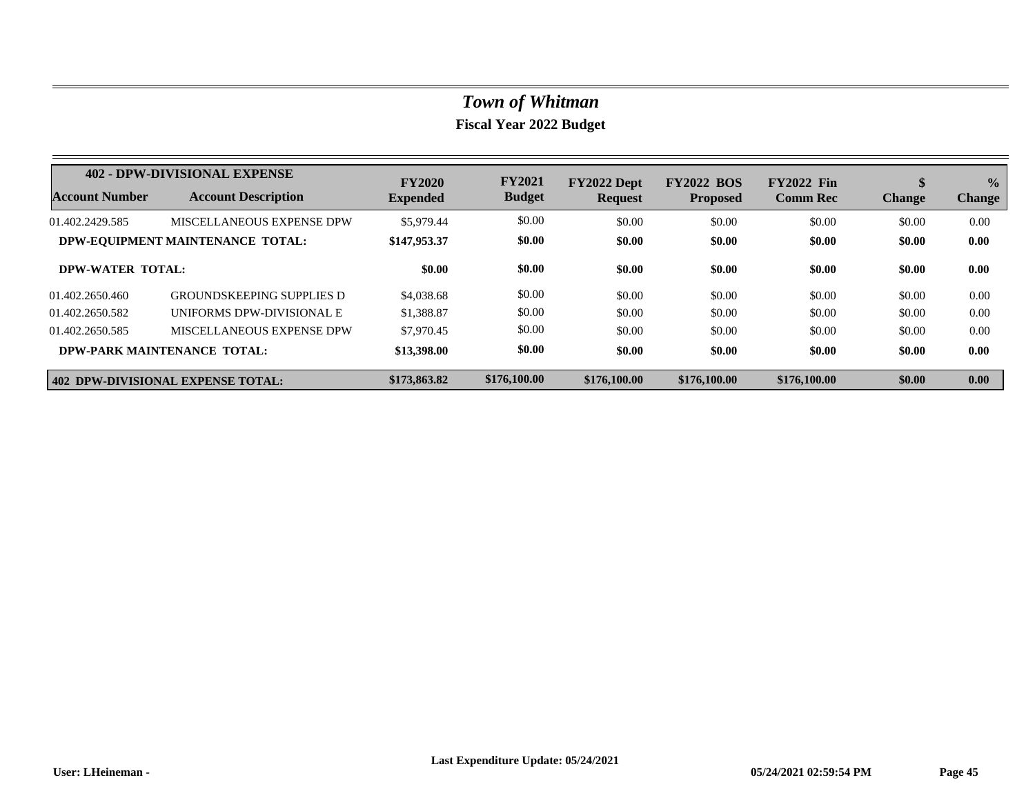|                       | 402 - DPW-DIVISIONAL EXPENSE      | <b>FY2020</b>   | <b>FY2021</b> | FY2022 Dept    | <b>FY2022 BOS</b> | <b>FY2022 Fin</b> | đ<br>J        | $\frac{0}{0}$ |
|-----------------------|-----------------------------------|-----------------|---------------|----------------|-------------------|-------------------|---------------|---------------|
| <b>Account Number</b> | <b>Account Description</b>        | <b>Expended</b> | <b>Budget</b> | <b>Request</b> | <b>Proposed</b>   | <b>Comm Rec</b>   | <b>Change</b> | <b>Change</b> |
| 01.402.2429.585       | MISCELLANEOUS EXPENSE DPW         | \$5,979.44      | \$0.00        | \$0.00         | \$0.00            | \$0.00            | \$0.00        | 0.00          |
|                       | DPW-EQUIPMENT MAINTENANCE TOTAL:  | \$147,953.37    | \$0.00        | \$0.00         | \$0.00            | \$0.00            | \$0.00        | 0.00          |
| DPW-WATER TOTAL:      |                                   | \$0.00          | \$0.00        | \$0.00         | \$0.00            | \$0.00            | \$0.00        | 0.00          |
| 01.402.2650.460       | <b>GROUNDSKEEPING SUPPLIES D</b>  | \$4,038.68      | \$0.00        | \$0.00         | \$0.00            | \$0.00            | \$0.00        | 0.00          |
| 01.402.2650.582       | UNIFORMS DPW-DIVISIONAL E         | \$1,388.87      | \$0.00        | \$0.00         | \$0.00            | \$0.00            | \$0.00        | 0.00          |
| 01.402.2650.585       | MISCELLANEOUS EXPENSE DPW         | \$7,970.45      | \$0.00        | \$0.00         | \$0.00            | \$0.00            | \$0.00        | 0.00          |
|                       | DPW-PARK MAINTENANCE TOTAL:       | \$13,398.00     | \$0.00        | \$0.00         | \$0.00            | \$0.00            | \$0.00        | 0.00          |
|                       | 402 DPW-DIVISIONAL EXPENSE TOTAL: | \$173,863.82    | \$176,100.00  | \$176,100.00   | \$176,100.00      | \$176,100.00      | \$0.00        | 0.00          |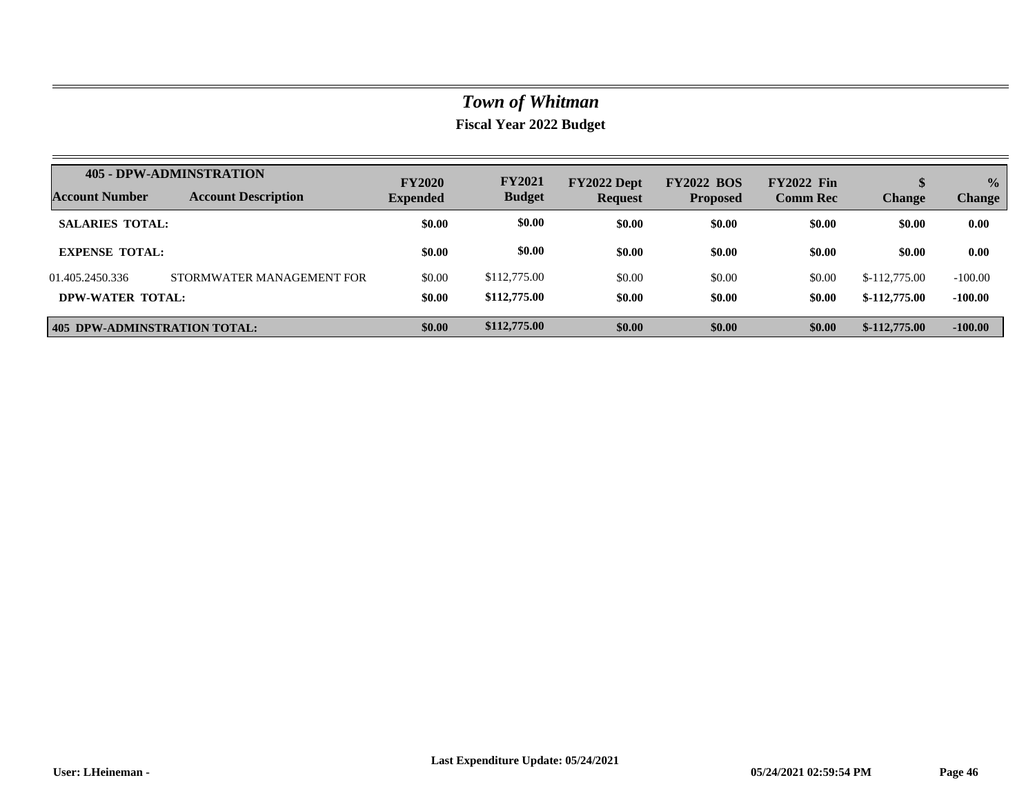|                              | <b>405 - DPW-ADMINSTRATION</b> | <b>FY2020</b>   | <b>FY2021</b> | FY2022 Dept    | <b>FY2022 BOS</b> | <b>FY2022 Fin</b> | S              | $\frac{0}{0}$ |
|------------------------------|--------------------------------|-----------------|---------------|----------------|-------------------|-------------------|----------------|---------------|
| Account Number               | <b>Account Description</b>     | <b>Expended</b> | <b>Budget</b> | <b>Request</b> | <b>Proposed</b>   | <b>Comm Rec</b>   | <b>Change</b>  | <b>Change</b> |
| <b>SALARIES TOTAL:</b>       |                                | \$0.00          | \$0.00        | \$0.00         | \$0.00            | \$0.00            | \$0.00         | 0.00          |
| <b>EXPENSE TOTAL:</b>        |                                | \$0.00          | \$0.00        | \$0.00         | \$0.00            | \$0.00            | \$0.00         | 0.00          |
| 01.405.2450.336              | STORMWATER MANAGEMENT FOR      | \$0.00          | \$112,775.00  | \$0.00         | \$0.00            | \$0.00            | $$-112,775.00$ | $-100.00$     |
| DPW-WATER TOTAL:             |                                | \$0.00          | \$112,775.00  | \$0.00         | \$0.00            | \$0.00            | $$-112,775.00$ | $-100.00$     |
| 405 DPW-ADMINSTRATION TOTAL: |                                | \$0.00          | \$112,775.00  | \$0.00         | \$0.00            | \$0.00            | $$-112,775.00$ | $-100.00$     |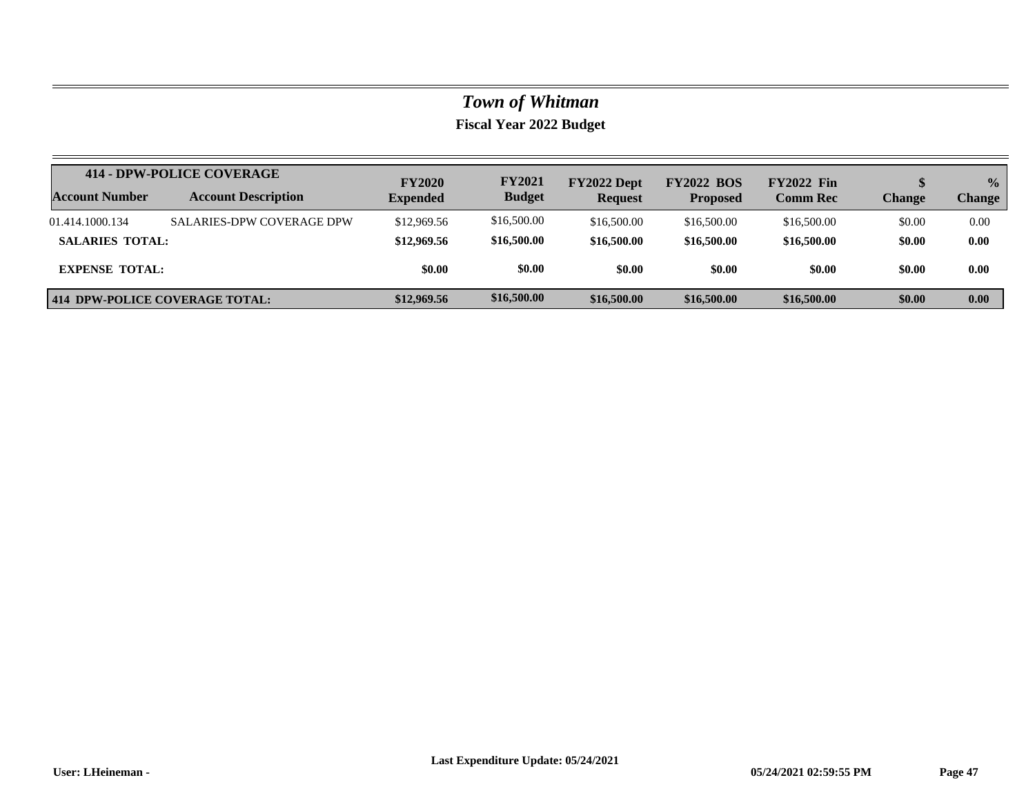|                        | 414 - DPW-POLICE COVERAGE        | <b>FY2020</b>   | <b>FY2021</b> | FY2022 Dept    | <b>FY2022 BOS</b> | <b>FY2022 Fin</b> |        | $\frac{0}{0}$ |
|------------------------|----------------------------------|-----------------|---------------|----------------|-------------------|-------------------|--------|---------------|
| <b>Account Number</b>  | <b>Account Description</b>       | <b>Expended</b> | <b>Budget</b> | <b>Request</b> | <b>Proposed</b>   | <b>Comm Rec</b>   | Change | <b>Change</b> |
| 01.414.1000.134        | <b>SALARIES-DPW COVERAGE DPW</b> | \$12,969.56     | \$16,500.00   | \$16,500.00    | \$16,500.00       | \$16,500.00       | \$0.00 | 0.00          |
| <b>SALARIES TOTAL:</b> |                                  | \$12,969.56     | \$16,500.00   | \$16,500.00    | \$16,500.00       | \$16,500.00       | \$0.00 | 0.00          |
| <b>EXPENSE TOTAL:</b>  |                                  | \$0.00          | \$0.00        | \$0.00         | \$0.00            | \$0.00            | \$0.00 | 0.00          |
|                        | 414 DPW-POLICE COVERAGE TOTAL:   | \$12,969.56     | \$16,500.00   | \$16,500.00    | \$16,500.00       | \$16,500.00       | \$0.00 | 0.00          |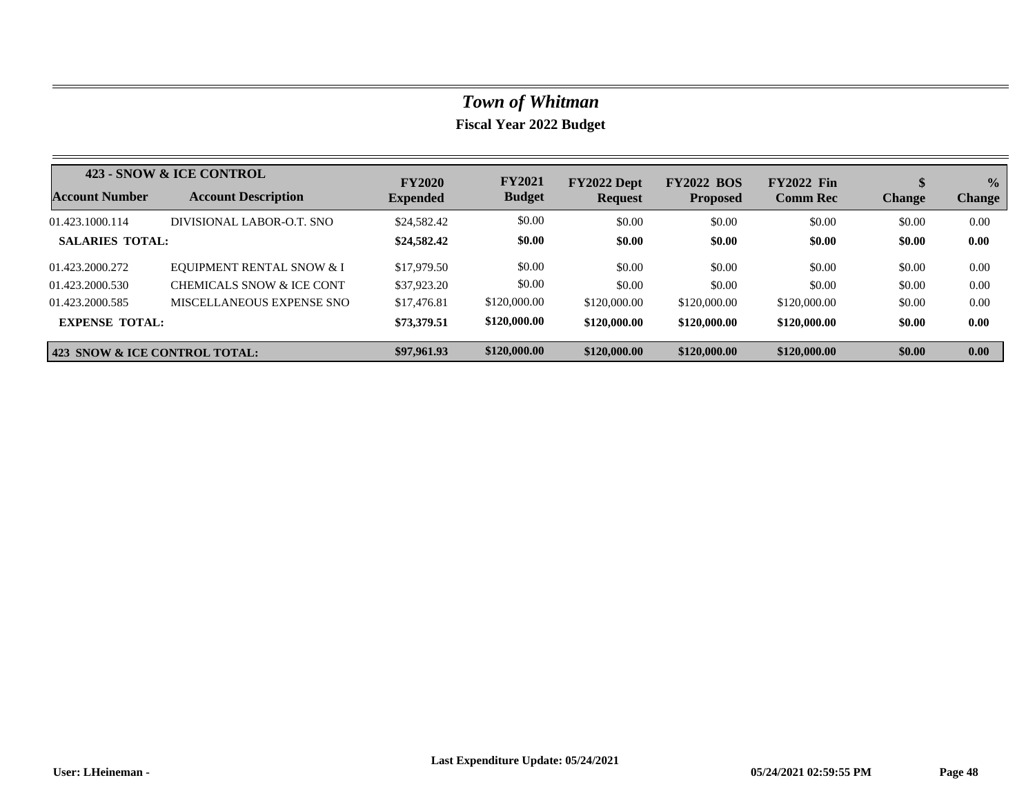|                               | 423 - SNOW & ICE CONTROL             | <b>FY2020</b>   | <b>FY2021</b> | FY2022 Dept  | <b>FY2022 BOS</b> | <b>FY2022 Fin</b> |               | $\frac{0}{0}$ |
|-------------------------------|--------------------------------------|-----------------|---------------|--------------|-------------------|-------------------|---------------|---------------|
| Account Number                | <b>Account Description</b>           | <b>Expended</b> | <b>Budget</b> | Request      | <b>Proposed</b>   | <b>Comm Rec</b>   | <b>Change</b> | <b>Change</b> |
| 01.423.1000.114               | DIVISIONAL LABOR-O.T. SNO            | \$24,582.42     | \$0.00        | \$0.00       | \$0.00            | \$0.00            | \$0.00        | 0.00          |
| <b>SALARIES TOTAL:</b>        |                                      | \$24,582.42     | \$0.00        | \$0.00       | \$0.00            | \$0.00            | \$0.00        | 0.00          |
| 01.423.2000.272               | <b>EOUIPMENT RENTAL SNOW &amp; I</b> | \$17,979.50     | \$0.00        | \$0.00       | \$0.00            | \$0.00            | \$0.00        | 0.00          |
| 01.423.2000.530               | CHEMICALS SNOW & ICE CONT            | \$37,923.20     | \$0.00        | \$0.00       | \$0.00            | \$0.00            | \$0.00        | 0.00          |
| 01.423.2000.585               | MISCELLANEOUS EXPENSE SNO            | \$17,476.81     | \$120,000.00  | \$120,000.00 | \$120,000.00      | \$120,000.00      | \$0.00        | 0.00          |
| <b>EXPENSE TOTAL:</b>         |                                      | \$73,379.51     | \$120,000.00  | \$120,000.00 | \$120,000.00      | \$120,000.00      | \$0.00        | 0.00          |
| 423 SNOW & ICE CONTROL TOTAL: |                                      | \$97,961.93     | \$120,000.00  | \$120,000.00 | \$120,000.00      | \$120,000.00      | \$0.00        | 0.00          |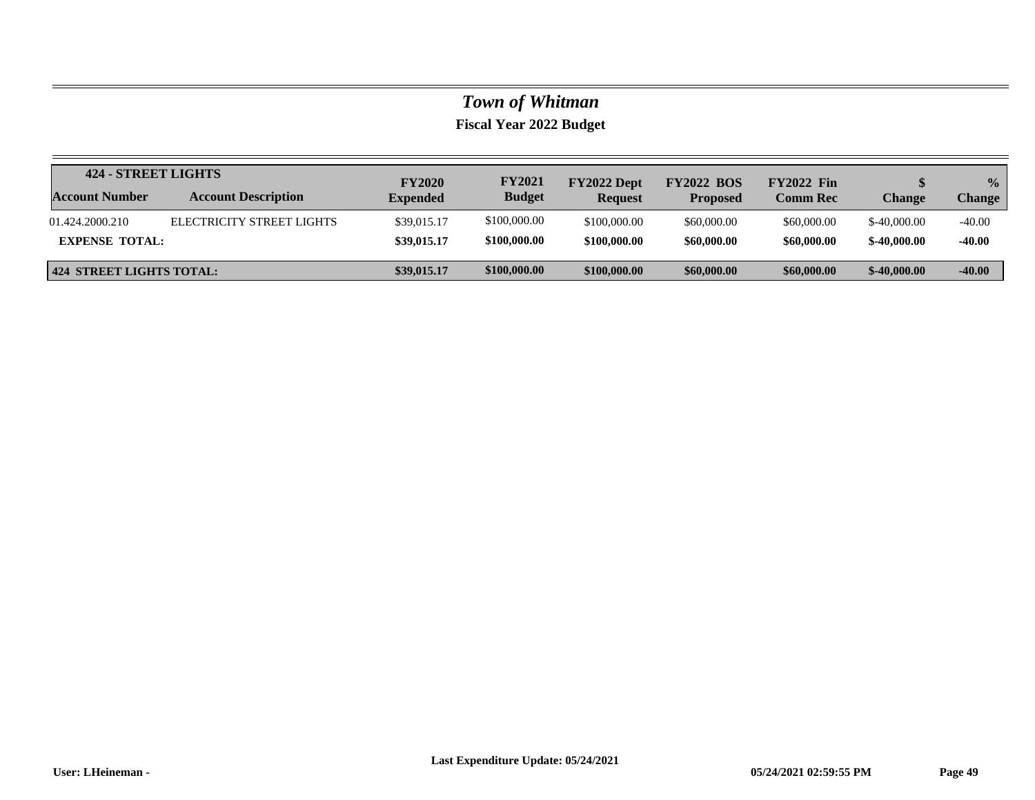|                                 | 424 - STREET LIGHTS        |                                  | <b>FY2021</b> | FY2022 Dept    | <b>FY2022 BOS</b> | <b>FY2022</b> Fin |               | $\frac{0}{2}$ |
|---------------------------------|----------------------------|----------------------------------|---------------|----------------|-------------------|-------------------|---------------|---------------|
| <b>Account Number</b>           | <b>Account Description</b> | <b>FY2020</b><br><b>Expended</b> | <b>Budget</b> | <b>Request</b> | <b>Proposed</b>   | <b>Comm Rec</b>   | Change        | <b>Change</b> |
| 01.424.2000.210                 | ELECTRICITY STREET LIGHTS  | \$39,015.17                      | \$100,000.00  | \$100,000.00   | \$60,000.00       | \$60,000.00       | $$-40,000,00$ | $-40.00$      |
| <b>EXPENSE TOTAL:</b>           |                            | \$39,015.17                      | \$100,000.00  | \$100,000.00   | \$60,000.00       | \$60,000.00       | $$-40,000,00$ | $-40.00$      |
| <b>424 STREET LIGHTS TOTAL:</b> |                            | \$39,015.17                      | \$100,000.00  | \$100,000.00   | \$60,000.00       | \$60,000.00       | $$-40,000,00$ | $-40.00$      |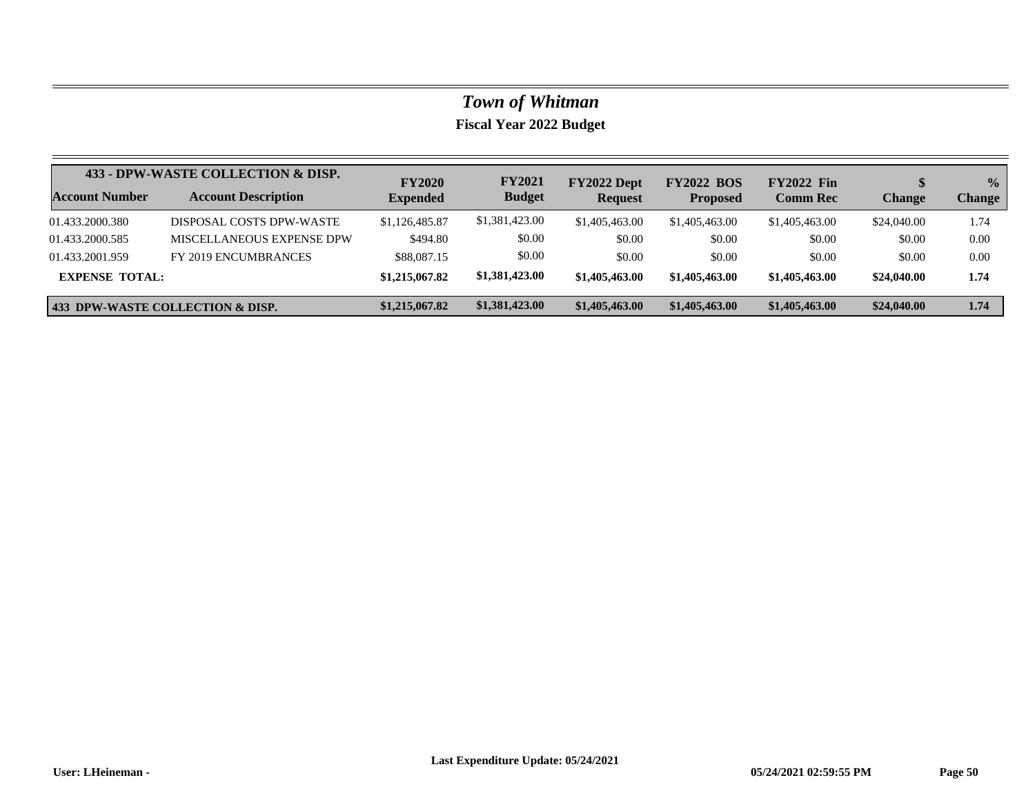|                       | 433 - DPW-WASTE COLLECTION & DISP.          | <b>FY2020</b>   | <b>FY2021</b>  | FY2022 Dept    | <b>FY2022 BOS</b> | <b>FY2022 Fin</b> |               | $\frac{0}{0}$ |
|-----------------------|---------------------------------------------|-----------------|----------------|----------------|-------------------|-------------------|---------------|---------------|
| <b>Account Number</b> | <b>Account Description</b>                  | <b>Expended</b> | <b>Budget</b>  | <b>Request</b> | <b>Proposed</b>   | <b>Comm Rec</b>   | <b>Change</b> | <b>Change</b> |
| 01.433.2000.380       | DISPOSAL COSTS DPW-WASTE                    | \$1,126,485.87  | \$1,381,423.00 | \$1,405,463,00 | \$1,405,463.00    | \$1,405,463.00    | \$24,040.00   | 1.74          |
| 01.433.2000.585       | MISCELLANEOUS EXPENSE DPW                   | \$494.80        | \$0.00         | \$0.00         | \$0.00            | \$0.00            | \$0.00        | 0.00          |
| 01.433.2001.959       | FY 2019 ENCUMBRANCES                        | \$88,087.15     | \$0.00         | \$0.00         | \$0.00            | \$0.00            | \$0.00        | 0.00          |
| <b>EXPENSE TOTAL:</b> |                                             | \$1,215,067.82  | \$1,381,423.00 | \$1,405,463.00 | \$1,405,463.00    | \$1,405,463,00    | \$24,040.00   | 1.74          |
|                       | <b>433 DPW-WASTE COLLECTION &amp; DISP.</b> | \$1,215,067.82  | \$1,381,423.00 | \$1,405,463.00 | \$1,405,463.00    | \$1,405,463.00    | \$24,040.00   | 1.74          |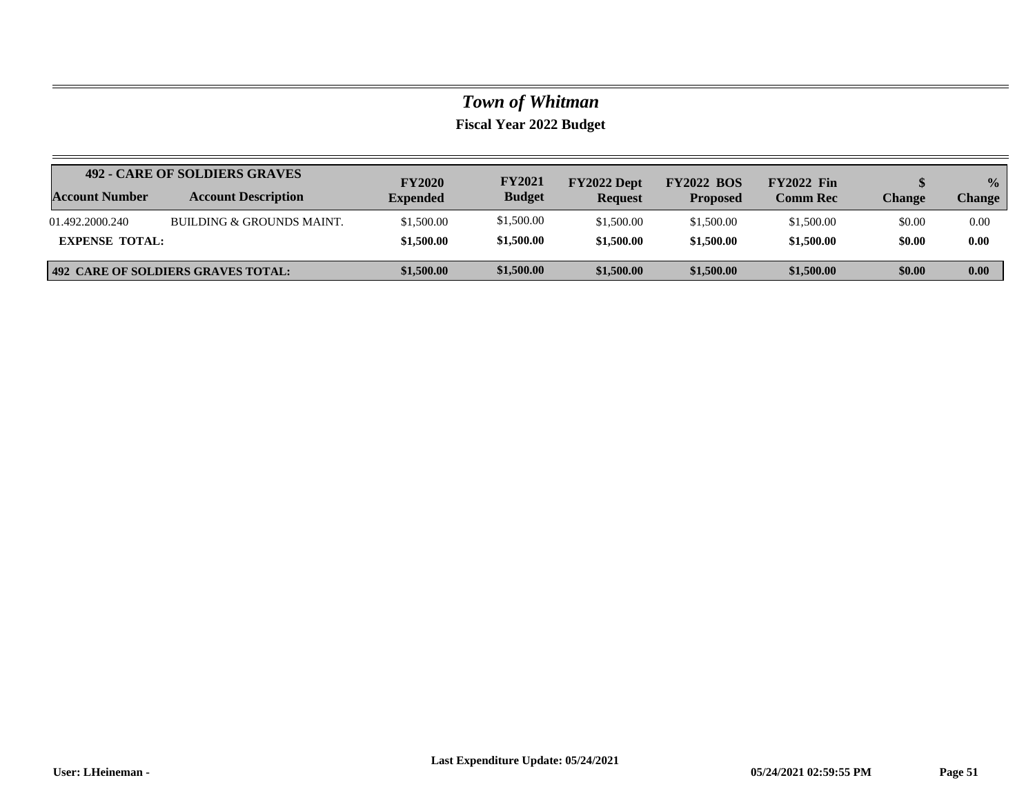|                       | 492 - CARE OF SOLDIERS GRAVES      | <b>FY2020</b>   | <b>FY2021</b> | FY2022 Dept    | <b>FY2022 BOS</b> | <b>FY2022 Fin</b> |               | $\frac{0}{0}$ |
|-----------------------|------------------------------------|-----------------|---------------|----------------|-------------------|-------------------|---------------|---------------|
| <b>Account Number</b> | <b>Account Description</b>         | <b>Expended</b> | <b>Budget</b> | <b>Request</b> | <b>Proposed</b>   | <b>Comm Rec</b>   | <b>Change</b> | <b>Change</b> |
| 01.492.2000.240       | BUILDING & GROUNDS MAINT.          | \$1,500.00      | \$1,500.00    | \$1,500.00     | \$1,500.00        | \$1,500.00        | \$0.00        | 0.00          |
| <b>EXPENSE TOTAL:</b> |                                    | \$1,500.00      | \$1,500.00    | \$1,500.00     | \$1,500.00        | \$1,500.00        | \$0.00        | 0.00          |
|                       | 492 CARE OF SOLDIERS GRAVES TOTAL: | \$1,500.00      | \$1,500.00    | \$1,500.00     | \$1,500.00        | \$1,500.00        | \$0.00        | 0.00          |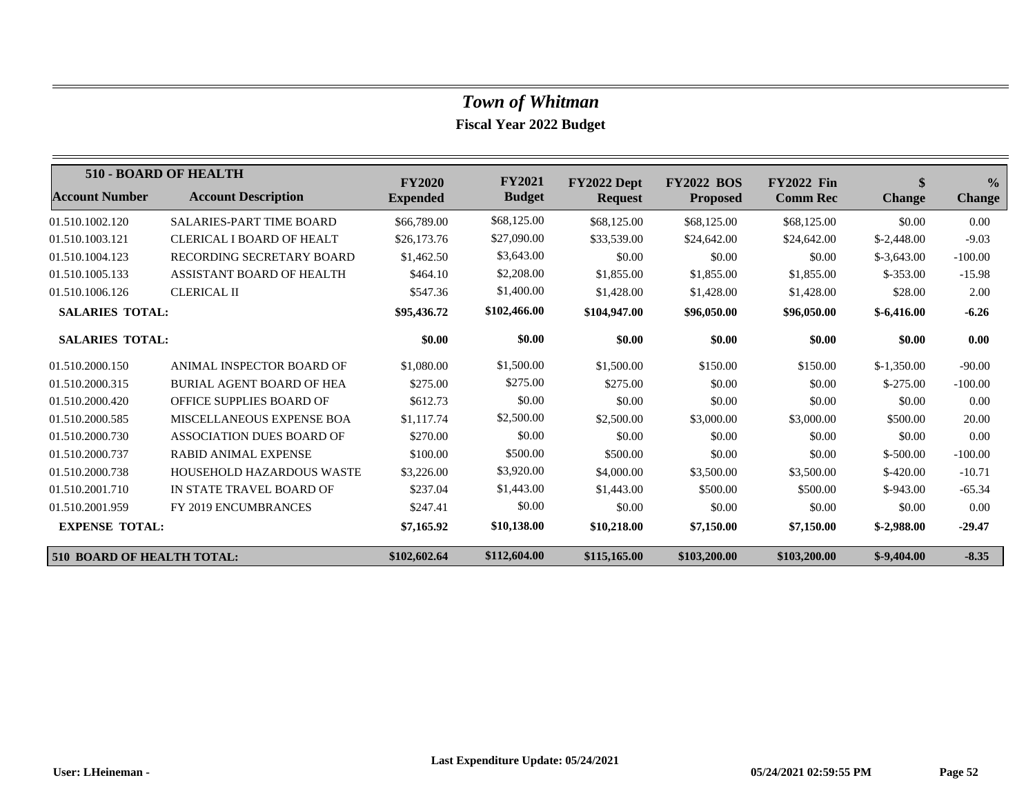|                                   | 510 - BOARD OF HEALTH            | <b>FY2020</b>   | <b>FY2021</b> | FY2022 Dept    | <b>FY2022 BOS</b> | <b>FY2022 Fin</b> | \$            | $\frac{0}{0}$ |
|-----------------------------------|----------------------------------|-----------------|---------------|----------------|-------------------|-------------------|---------------|---------------|
| <b>Account Number</b>             | <b>Account Description</b>       | <b>Expended</b> | <b>Budget</b> | <b>Request</b> | <b>Proposed</b>   | <b>Comm Rec</b>   | <b>Change</b> | <b>Change</b> |
| 01.510.1002.120                   | <b>SALARIES-PART TIME BOARD</b>  | \$66,789.00     | \$68,125.00   | \$68,125.00    | \$68,125.00       | \$68,125.00       | \$0.00        | 0.00          |
| 01.510.1003.121                   | CLERICAL I BOARD OF HEALT        | \$26,173.76     | \$27,090.00   | \$33,539.00    | \$24,642.00       | \$24,642.00       | $$-2,448.00$  | $-9.03$       |
| 01.510.1004.123                   | RECORDING SECRETARY BOARD        | \$1,462.50      | \$3,643.00    | \$0.00         | \$0.00            | \$0.00            | $$-3,643.00$  | $-100.00$     |
| 01.510.1005.133                   | <b>ASSISTANT BOARD OF HEALTH</b> | \$464.10        | \$2,208.00    | \$1,855.00     | \$1,855.00        | \$1,855.00        | $$-353.00$    | $-15.98$      |
| 01.510.1006.126                   | <b>CLERICAL II</b>               | \$547.36        | \$1,400.00    | \$1,428.00     | \$1,428.00        | \$1,428.00        | \$28.00       | 2.00          |
| <b>SALARIES TOTAL:</b>            |                                  | \$95,436.72     | \$102,466.00  | \$104,947.00   | \$96,050.00       | \$96,050.00       | $$-6,416.00$  | $-6.26$       |
| <b>SALARIES TOTAL:</b>            |                                  | \$0.00          | \$0.00        | \$0.00         | \$0.00            | \$0.00            | \$0.00        | 0.00          |
| 01.510.2000.150                   | ANIMAL INSPECTOR BOARD OF        | \$1,080.00      | \$1,500.00    | \$1,500.00     | \$150.00          | \$150.00          | $$-1.350.00$  | $-90.00$      |
| 01.510.2000.315                   | <b>BURIAL AGENT BOARD OF HEA</b> | \$275.00        | \$275.00      | \$275.00       | \$0.00            | \$0.00            | $$-275.00$    | $-100.00$     |
| 01.510.2000.420                   | OFFICE SUPPLIES BOARD OF         | \$612.73        | \$0.00        | \$0.00         | \$0.00            | \$0.00            | \$0.00        | 0.00          |
| 01.510.2000.585                   | MISCELLANEOUS EXPENSE BOA        | \$1,117.74      | \$2,500.00    | \$2,500.00     | \$3,000.00        | \$3,000.00        | \$500.00      | 20.00         |
| 01.510.2000.730                   | <b>ASSOCIATION DUES BOARD OF</b> | \$270.00        | \$0.00        | \$0.00         | \$0.00            | \$0.00            | \$0.00        | 0.00          |
| 01.510.2000.737                   | <b>RABID ANIMAL EXPENSE</b>      | \$100.00        | \$500.00      | \$500.00       | \$0.00            | \$0.00            | $$-500.00$    | $-100.00$     |
| 01.510.2000.738                   | <b>HOUSEHOLD HAZARDOUS WASTE</b> | \$3,226.00      | \$3,920.00    | \$4,000.00     | \$3,500.00        | \$3,500.00        | $$-420.00$    | $-10.71$      |
| 01.510.2001.710                   | IN STATE TRAVEL BOARD OF         | \$237.04        | \$1,443.00    | \$1,443.00     | \$500.00          | \$500.00          | $$-943.00$    | $-65.34$      |
| 01.510.2001.959                   | FY 2019 ENCUMBRANCES             | \$247.41        | \$0.00        | \$0.00         | \$0.00            | \$0.00            | \$0.00        | 0.00          |
| <b>EXPENSE TOTAL:</b>             |                                  | \$7,165.92      | \$10,138.00   | \$10,218.00    | \$7,150.00        | \$7,150.00        | $$-2.988.00$  | $-29.47$      |
| <b>510 BOARD OF HEALTH TOTAL:</b> |                                  | \$102,602.64    | \$112,604.00  | \$115,165.00   | \$103,200.00      | \$103,200.00      | $$-9,404.00$  | $-8.35$       |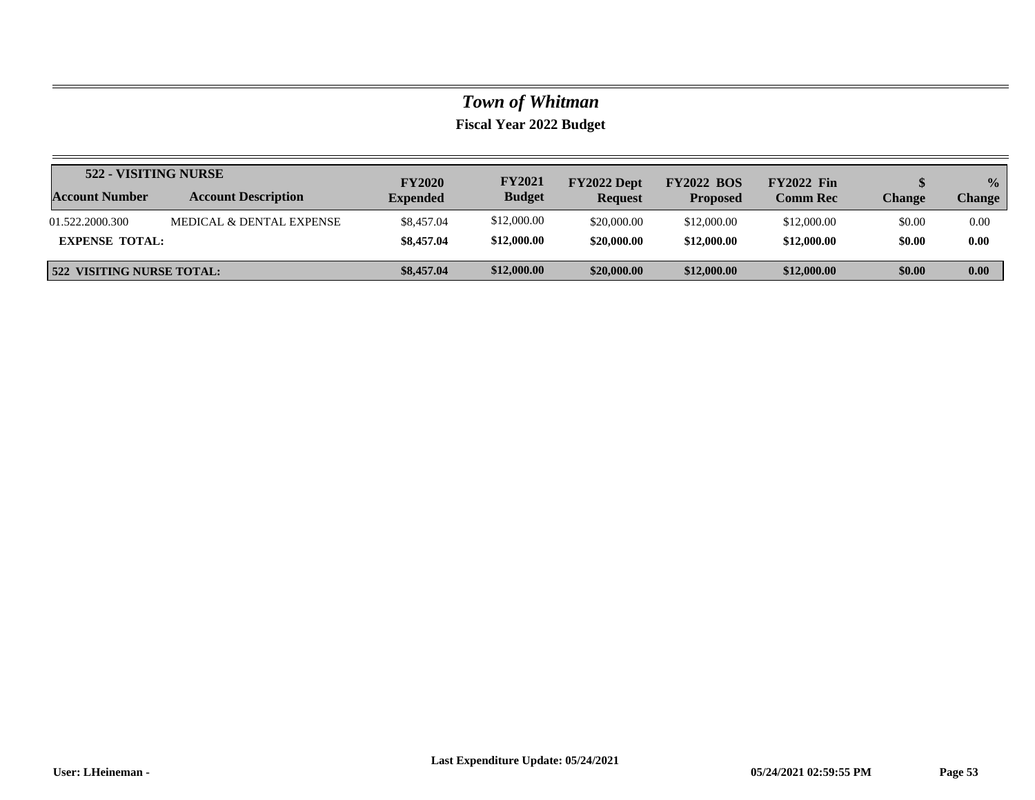| 522 - VISITING NURSE      |                            | <b>FY2020</b>   | <b>FY2021</b> | FY2022 Dept    | <b>FY2022 BOS</b> | <b>FY2022 Fin</b> |        | $\frac{0}{0}$ |
|---------------------------|----------------------------|-----------------|---------------|----------------|-------------------|-------------------|--------|---------------|
| <b>Account Number</b>     | <b>Account Description</b> | <b>Expended</b> | <b>Budget</b> | <b>Request</b> | <b>Proposed</b>   | <b>Comm Rec</b>   | Change | <b>Change</b> |
| 01.522.2000.300           | MEDICAL & DENTAL EXPENSE   | \$8,457.04      | \$12,000.00   | \$20,000.00    | \$12,000.00       | \$12,000.00       | \$0.00 | 0.00          |
| <b>EXPENSE TOTAL:</b>     |                            | \$8,457.04      | \$12,000.00   | \$20,000.00    | \$12,000.00       | \$12,000.00       | \$0.00 | 0.00          |
| 522 VISITING NURSE TOTAL: |                            | \$8,457.04      | \$12,000.00   | \$20,000.00    | \$12,000.00       | \$12,000.00       | \$0.00 | 0.00          |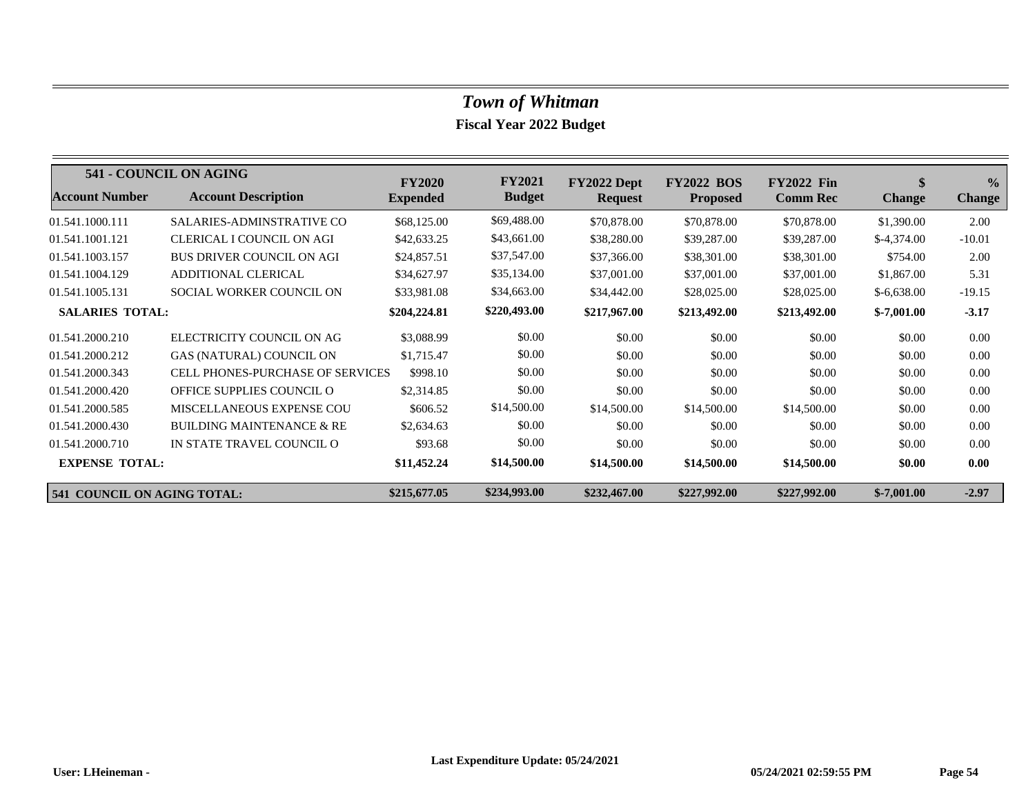|                                    | 541 - COUNCIL ON AGING                  | <b>FY2020</b>   | <b>FY2021</b> | FY2022 Dept    | <b>FY2022 BOS</b> | <b>FY2022 Fin</b> | \$            | $\frac{0}{0}$ |
|------------------------------------|-----------------------------------------|-----------------|---------------|----------------|-------------------|-------------------|---------------|---------------|
| <b>Account Number</b>              | <b>Account Description</b>              | <b>Expended</b> | <b>Budget</b> | <b>Request</b> | <b>Proposed</b>   | <b>Comm Rec</b>   | <b>Change</b> | <b>Change</b> |
| 01.541.1000.111                    | <b>SALARIES-ADMINSTRATIVE CO</b>        | \$68,125.00     | \$69,488.00   | \$70,878.00    | \$70,878.00       | \$70,878.00       | \$1,390.00    | 2.00          |
| 01.541.1001.121                    | <b>CLERICAL I COUNCIL ON AGI</b>        | \$42,633.25     | \$43,661.00   | \$38,280.00    | \$39,287.00       | \$39,287.00       | $$-4,374.00$  | $-10.01$      |
| 01.541.1003.157                    | <b>BUS DRIVER COUNCIL ON AGI</b>        | \$24,857.51     | \$37,547.00   | \$37,366.00    | \$38,301.00       | \$38,301.00       | \$754.00      | 2.00          |
| 01.541.1004.129                    | ADDITIONAL CLERICAL                     | \$34,627.97     | \$35,134.00   | \$37,001.00    | \$37,001.00       | \$37,001.00       | \$1,867.00    | 5.31          |
| 01.541.1005.131                    | SOCIAL WORKER COUNCIL ON                | \$33,981.08     | \$34,663.00   | \$34,442.00    | \$28,025.00       | \$28,025.00       | $$-6,638.00$  | $-19.15$      |
| <b>SALARIES TOTAL:</b>             |                                         | \$204,224.81    | \$220,493.00  | \$217,967.00   | \$213,492.00      | \$213,492.00      | $$-7,001.00$  | $-3.17$       |
| 01.541.2000.210                    | ELECTRICITY COUNCIL ON AG               | \$3,088.99      | \$0.00        | \$0.00         | \$0.00            | \$0.00            | \$0.00        | 0.00          |
| 01.541.2000.212                    | GAS (NATURAL) COUNCIL ON                | \$1,715.47      | \$0.00        | \$0.00         | \$0.00            | \$0.00            | \$0.00        | 0.00          |
| 01.541.2000.343                    | <b>CELL PHONES-PURCHASE OF SERVICES</b> | \$998.10        | \$0.00        | \$0.00         | \$0.00            | \$0.00            | \$0.00        | 0.00          |
| 01.541.2000.420                    | OFFICE SUPPLIES COUNCIL O               | \$2,314.85      | \$0.00        | \$0.00         | \$0.00            | \$0.00            | \$0.00        | 0.00          |
| 01.541.2000.585                    | <b>MISCELLANEOUS EXPENSE COU</b>        | \$606.52        | \$14,500.00   | \$14,500.00    | \$14,500.00       | \$14,500.00       | \$0.00        | 0.00          |
| 01.541.2000.430                    | <b>BUILDING MAINTENANCE &amp; RE</b>    | \$2,634.63      | \$0.00        | \$0.00         | \$0.00            | \$0.00            | \$0.00        | 0.00          |
| 01.541.2000.710                    | IN STATE TRAVEL COUNCIL O               | \$93.68         | \$0.00        | \$0.00         | \$0.00            | \$0.00            | \$0.00        | 0.00          |
| <b>EXPENSE TOTAL:</b>              |                                         | \$11,452.24     | \$14,500.00   | \$14,500.00    | \$14,500.00       | \$14,500.00       | \$0.00        | 0.00          |
| <b>541 COUNCIL ON AGING TOTAL:</b> |                                         | \$215,677.05    | \$234,993.00  | \$232,467.00   | \$227,992.00      | \$227,992.00      | $$-7,001.00$  | $-2.97$       |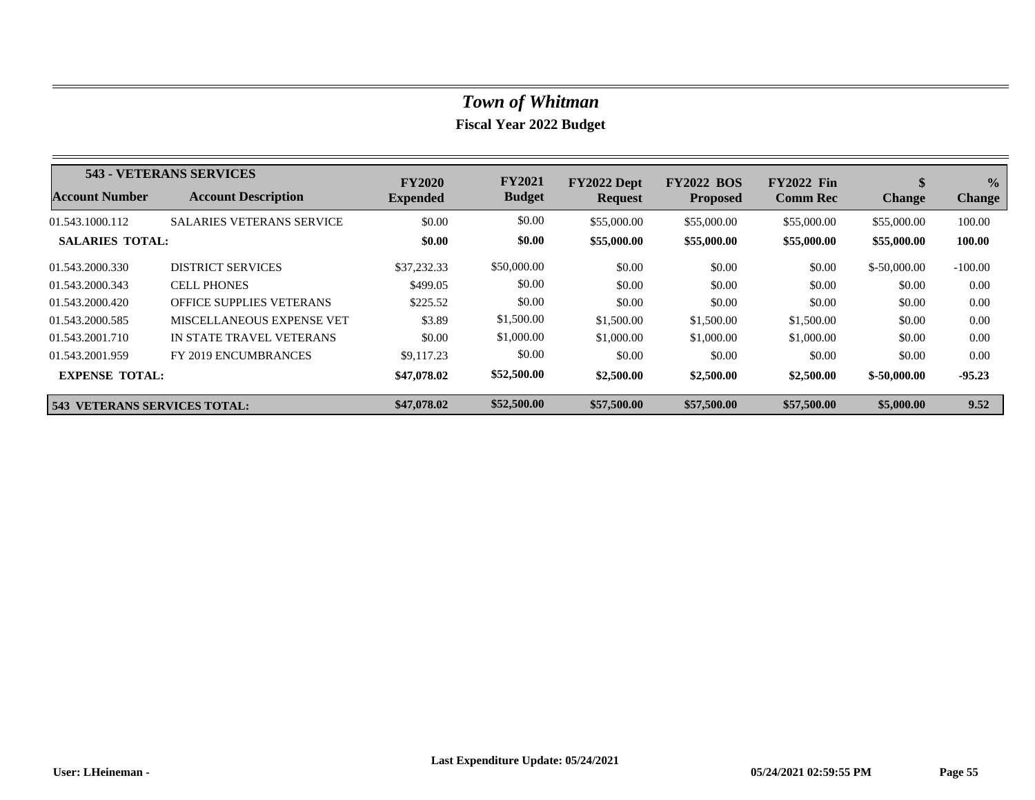|                                     | 543 - VETERANS SERVICES          | <b>FY2020</b>   | <b>FY2021</b> | FY2022 Dept    | <b>FY2022 BOS</b> | <b>FY2022 Fin</b> | \$            | $\frac{1}{2}$ |
|-------------------------------------|----------------------------------|-----------------|---------------|----------------|-------------------|-------------------|---------------|---------------|
| <b>Account Number</b>               | <b>Account Description</b>       | <b>Expended</b> | <b>Budget</b> | <b>Request</b> | <b>Proposed</b>   | <b>Comm Rec</b>   | <b>Change</b> | <b>Change</b> |
| 01.543.1000.112                     | <b>SALARIES VETERANS SERVICE</b> | \$0.00          | \$0.00        | \$55,000.00    | \$55,000.00       | \$55,000.00       | \$55,000.00   | 100.00        |
| <b>SALARIES TOTAL:</b>              |                                  | \$0.00          | \$0.00        | \$55,000.00    | \$55,000.00       | \$55,000.00       | \$55,000.00   | 100.00        |
| 01.543.2000.330                     | <b>DISTRICT SERVICES</b>         | \$37,232.33     | \$50,000.00   | \$0.00         | \$0.00            | \$0.00            | $$-50,000,00$ | $-100.00$     |
| 01.543.2000.343                     | <b>CELL PHONES</b>               | \$499.05        | \$0.00        | \$0.00         | \$0.00            | \$0.00            | \$0.00        | 0.00          |
| 01.543.2000.420                     | <b>OFFICE SUPPLIES VETERANS</b>  | \$225.52        | \$0.00        | \$0.00         | \$0.00            | \$0.00            | \$0.00        | 0.00          |
| 01.543.2000.585                     | MISCELLANEOUS EXPENSE VET        | \$3.89          | \$1,500.00    | \$1,500.00     | \$1,500.00        | \$1,500.00        | \$0.00        | 0.00          |
| 01.543.2001.710                     | IN STATE TRAVEL VETERANS         | \$0.00          | \$1,000.00    | \$1,000.00     | \$1,000.00        | \$1,000.00        | \$0.00        | 0.00          |
| 01.543.2001.959                     | FY 2019 ENCUMBRANCES             | \$9,117.23      | \$0.00        | \$0.00         | \$0.00            | \$0.00            | \$0.00        | 0.00          |
| <b>EXPENSE TOTAL:</b>               |                                  | \$47,078.02     | \$52,500.00   | \$2,500.00     | \$2,500.00        | \$2,500.00        | $$-50,000.00$ | $-95.23$      |
| <b>543 VETERANS SERVICES TOTAL:</b> |                                  | \$47,078.02     | \$52,500.00   | \$57,500.00    | \$57,500.00       | \$57,500.00       | \$5,000.00    | 9.52          |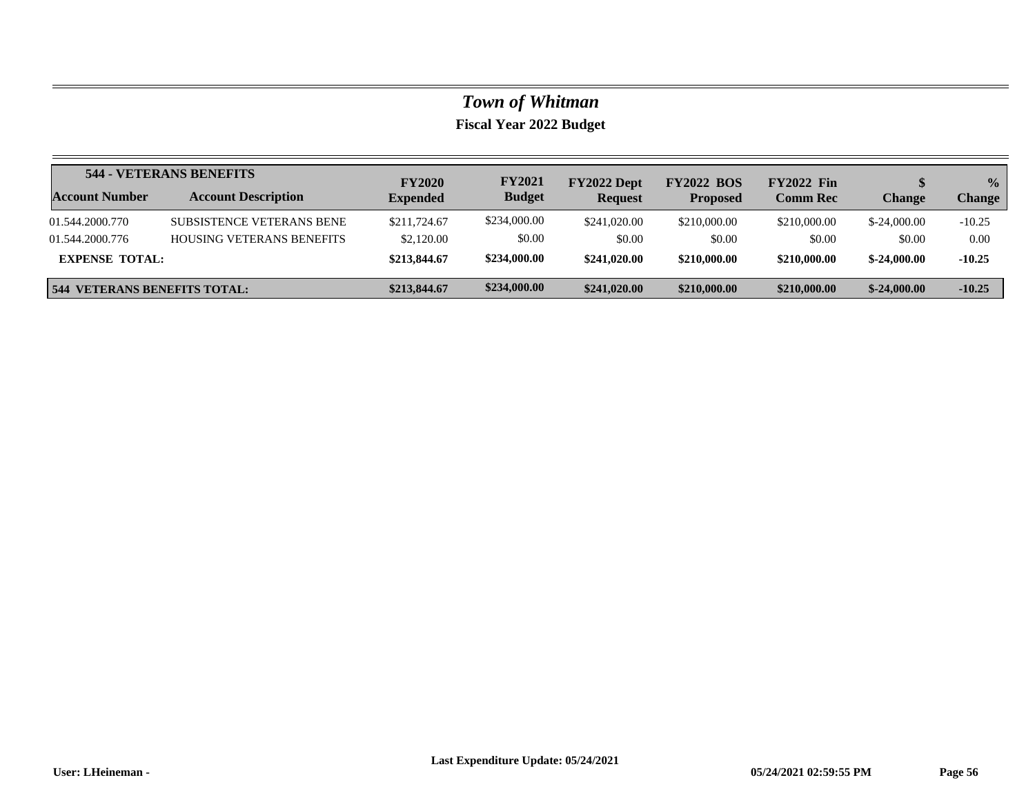|                                     | 544 - VETERANS BENEFITS          | <b>FY2020</b>   | <b>FY2021</b> | FY2022 Dept    | <b>FY2022 BOS</b> | <b>FY2022 Fin</b> |               | $\frac{0}{0}$ |
|-------------------------------------|----------------------------------|-----------------|---------------|----------------|-------------------|-------------------|---------------|---------------|
| Account Number                      | <b>Account Description</b>       | <b>Expended</b> | <b>Budget</b> | <b>Request</b> | <b>Proposed</b>   | <b>Comm Rec</b>   | <b>Change</b> | <b>Change</b> |
| 01.544.2000.770                     | <b>SUBSISTENCE VETERANS BENE</b> | \$211,724.67    | \$234,000.00  | \$241,020.00   | \$210,000.00      | \$210,000.00      | $$-24,000,00$ | $-10.25$      |
| 01.544.2000.776                     | <b>HOUSING VETERANS BENEFITS</b> | \$2,120.00      | \$0.00        | \$0.00         | \$0.00            | \$0.00            | \$0.00        | 0.00          |
| <b>EXPENSE TOTAL:</b>               |                                  | \$213,844.67    | \$234,000.00  | \$241,020.00   | \$210,000.00      | \$210,000.00      | $$-24,000,00$ | $-10.25$      |
| <b>544 VETERANS BENEFITS TOTAL:</b> |                                  | \$213,844.67    | \$234,000.00  | \$241,020.00   | \$210,000.00      | \$210,000.00      | $$-24,000.00$ | $-10.25$      |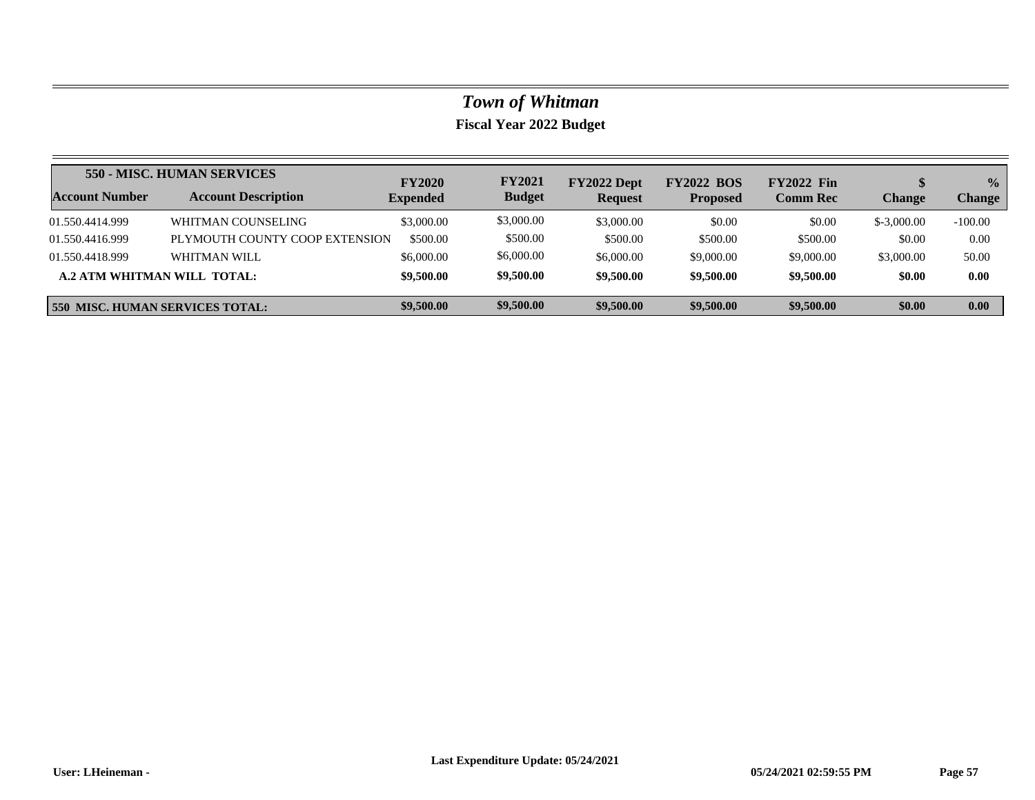|                                        | 550 - MISC. HUMAN SERVICES     | <b>FY2020</b>   | <b>FY2021</b> | FY2022 Dept    | <b>FY2022 BOS</b> | <b>FY2022 Fin</b> |               | $\frac{0}{0}$ |
|----------------------------------------|--------------------------------|-----------------|---------------|----------------|-------------------|-------------------|---------------|---------------|
| <b>Account Number</b>                  | <b>Account Description</b>     | <b>Expended</b> | <b>Budget</b> | <b>Request</b> | <b>Proposed</b>   | <b>Comm Rec</b>   | <b>Change</b> | <b>Change</b> |
| 01.550.4414.999                        | WHITMAN COUNSELING             | \$3,000.00      | \$3,000.00    | \$3,000.00     | \$0.00            | \$0.00            | $$-3,000,00$  | $-100.00$     |
| 01.550.4416.999                        | PLYMOUTH COUNTY COOP EXTENSION | \$500.00        | \$500.00      | \$500.00       | \$500.00          | \$500.00          | \$0.00        | 0.00          |
| 01.550.4418.999                        | WHITMAN WILL                   | \$6,000.00      | \$6,000.00    | \$6,000.00     | \$9,000.00        | \$9,000.00        | \$3,000.00    | 50.00         |
| <b>A.2 ATM WHITMAN WILL TOTAL:</b>     |                                | \$9,500.00      | \$9,500.00    | \$9,500.00     | \$9,500.00        | \$9,500.00        | \$0.00        | 0.00          |
| <b>550 MISC. HUMAN SERVICES TOTAL:</b> |                                | \$9,500.00      | \$9,500.00    | \$9,500.00     | \$9,500.00        | \$9,500.00        | \$0.00        | 0.00          |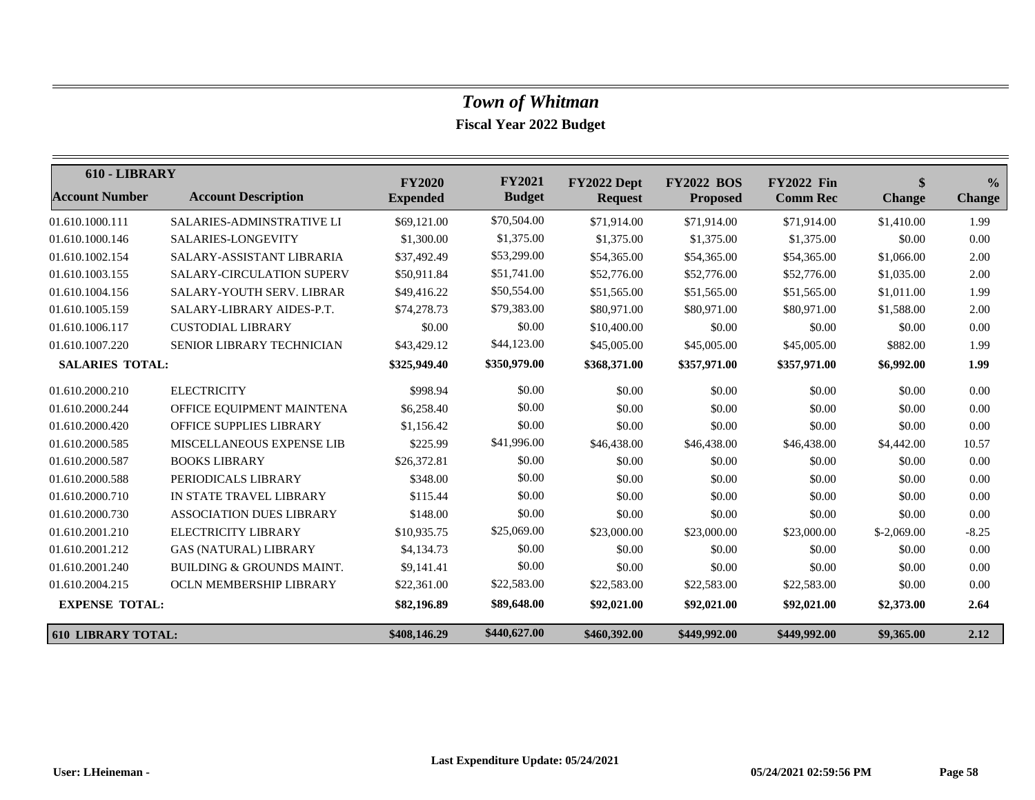| 610 - LIBRARY             |                                      | <b>FY2020</b>   | <b>FY2021</b> | FY2022 Dept    | <b>FY2022 BOS</b> | <b>FY2022 Fin</b> | \$            | $\frac{0}{0}$ |
|---------------------------|--------------------------------------|-----------------|---------------|----------------|-------------------|-------------------|---------------|---------------|
| <b>Account Number</b>     | <b>Account Description</b>           | <b>Expended</b> | <b>Budget</b> | <b>Request</b> | <b>Proposed</b>   | <b>Comm Rec</b>   | <b>Change</b> | <b>Change</b> |
| 01.610.1000.111           | SALARIES-ADMINSTRATIVE LI            | \$69,121.00     | \$70,504.00   | \$71,914.00    | \$71,914.00       | \$71,914.00       | \$1,410.00    | 1.99          |
| 01.610.1000.146           | SALARIES-LONGEVITY                   | \$1,300.00      | \$1,375.00    | \$1,375.00     | \$1,375.00        | \$1,375.00        | \$0.00        | 0.00          |
| 01.610.1002.154           | SALARY-ASSISTANT LIBRARIA            | \$37,492.49     | \$53,299.00   | \$54,365.00    | \$54,365.00       | \$54,365.00       | \$1,066.00    | 2.00          |
| 01.610.1003.155           | <b>SALARY-CIRCULATION SUPERV</b>     | \$50,911.84     | \$51,741.00   | \$52,776.00    | \$52,776.00       | \$52,776.00       | \$1,035.00    | 2.00          |
| 01.610.1004.156           | SALARY-YOUTH SERV. LIBRAR            | \$49,416.22     | \$50,554.00   | \$51,565.00    | \$51,565.00       | \$51,565.00       | \$1,011.00    | 1.99          |
| 01.610.1005.159           | SALARY-LIBRARY AIDES-P.T.            | \$74,278.73     | \$79,383.00   | \$80,971.00    | \$80,971.00       | \$80,971.00       | \$1,588.00    | 2.00          |
| 01.610.1006.117           | <b>CUSTODIAL LIBRARY</b>             | \$0.00          | \$0.00        | \$10,400.00    | \$0.00            | \$0.00            | \$0.00        | 0.00          |
| 01.610.1007.220           | <b>SENIOR LIBRARY TECHNICIAN</b>     | \$43,429.12     | \$44,123.00   | \$45,005.00    | \$45,005.00       | \$45,005.00       | \$882.00      | 1.99          |
| <b>SALARIES TOTAL:</b>    |                                      | \$325,949.40    | \$350,979.00  | \$368,371.00   | \$357,971.00      | \$357,971.00      | \$6,992.00    | 1.99          |
| 01.610.2000.210           | <b>ELECTRICITY</b>                   | \$998.94        | \$0.00        | \$0.00         | \$0.00            | \$0.00            | \$0.00        | 0.00          |
| 01.610.2000.244           | OFFICE EQUIPMENT MAINTENA            | \$6,258.40      | \$0.00        | \$0.00         | \$0.00            | \$0.00            | \$0.00        | 0.00          |
| 01.610.2000.420           | <b>OFFICE SUPPLIES LIBRARY</b>       | \$1,156.42      | \$0.00        | \$0.00         | \$0.00            | \$0.00            | \$0.00        | 0.00          |
| 01.610.2000.585           | MISCELLANEOUS EXPENSE LIB            | \$225.99        | \$41,996.00   | \$46,438.00    | \$46,438.00       | \$46,438.00       | \$4,442.00    | 10.57         |
| 01.610.2000.587           | <b>BOOKS LIBRARY</b>                 | \$26,372.81     | \$0.00        | \$0.00         | \$0.00            | \$0.00            | \$0.00        | 0.00          |
| 01.610.2000.588           | PERIODICALS LIBRARY                  | \$348.00        | \$0.00        | \$0.00         | \$0.00            | \$0.00            | \$0.00        | 0.00          |
| 01.610.2000.710           | IN STATE TRAVEL LIBRARY              | \$115.44        | \$0.00        | \$0.00         | \$0.00            | \$0.00            | \$0.00        | 0.00          |
| 01.610.2000.730           | <b>ASSOCIATION DUES LIBRARY</b>      | \$148.00        | \$0.00        | \$0.00         | \$0.00            | \$0.00            | \$0.00        | 0.00          |
| 01.610.2001.210           | ELECTRICITY LIBRARY                  | \$10,935.75     | \$25,069.00   | \$23,000.00    | \$23,000.00       | \$23,000.00       | $$-2,069.00$  | $-8.25$       |
| 01.610.2001.212           | <b>GAS (NATURAL) LIBRARY</b>         | \$4,134.73      | \$0.00        | \$0.00         | \$0.00            | \$0.00            | \$0.00        | 0.00          |
| 01.610.2001.240           | <b>BUILDING &amp; GROUNDS MAINT.</b> | \$9,141.41      | \$0.00        | \$0.00         | \$0.00            | \$0.00            | \$0.00        | 0.00          |
| 01.610.2004.215           | OCLN MEMBERSHIP LIBRARY              | \$22,361.00     | \$22,583.00   | \$22,583.00    | \$22,583.00       | \$22,583.00       | \$0.00        | 0.00          |
| <b>EXPENSE TOTAL:</b>     |                                      | \$82,196.89     | \$89,648.00   | \$92,021.00    | \$92,021.00       | \$92,021.00       | \$2,373.00    | 2.64          |
| <b>610 LIBRARY TOTAL:</b> |                                      | \$408,146.29    | \$440,627.00  | \$460,392.00   | \$449,992.00      | \$449,992.00      | \$9,365.00    | 2.12          |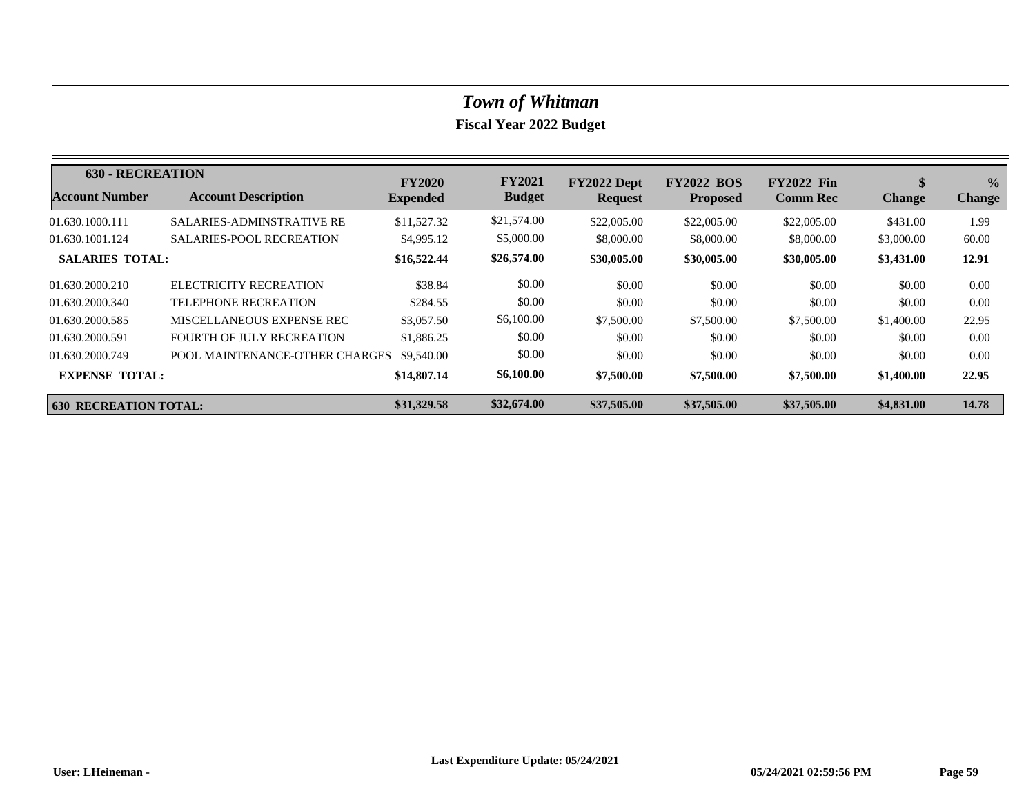| <b>630 - RECREATION</b>      |                                  | <b>FY2020</b>   | <b>FY2021</b> | FY2022 Dept    | <b>FY2022 BOS</b> | <b>FY2022 Fin</b> | \$            | $\frac{0}{0}$ |
|------------------------------|----------------------------------|-----------------|---------------|----------------|-------------------|-------------------|---------------|---------------|
| <b>Account Number</b>        | <b>Account Description</b>       | <b>Expended</b> | <b>Budget</b> | <b>Request</b> | <b>Proposed</b>   | <b>Comm Rec</b>   | <b>Change</b> | <b>Change</b> |
| 01.630.1000.111              | <b>SALARIES-ADMINSTRATIVE RE</b> | \$11,527.32     | \$21,574.00   | \$22,005.00    | \$22,005.00       | \$22,005.00       | \$431.00      | 1.99          |
| 01.630.1001.124              | <b>SALARIES-POOL RECREATION</b>  | \$4,995.12      | \$5,000.00    | \$8,000.00     | \$8,000.00        | \$8,000.00        | \$3,000.00    | 60.00         |
| <b>SALARIES TOTAL:</b>       |                                  | \$16,522.44     | \$26,574.00   | \$30,005.00    | \$30,005.00       | \$30,005.00       | \$3,431.00    | 12.91         |
| 01.630.2000.210              | ELECTRICITY RECREATION           | \$38.84         | \$0.00        | \$0.00         | \$0.00            | \$0.00            | \$0.00        | 0.00          |
| 01.630.2000.340              | <b>TELEPHONE RECREATION</b>      | \$284.55        | \$0.00        | \$0.00         | \$0.00            | \$0.00            | \$0.00        | 0.00          |
| 01.630.2000.585              | MISCELLANEOUS EXPENSE REC        | \$3,057.50      | \$6,100.00    | \$7,500.00     | \$7,500.00        | \$7,500.00        | \$1,400.00    | 22.95         |
| 01.630.2000.591              | FOURTH OF JULY RECREATION        | \$1,886.25      | \$0.00        | \$0.00         | \$0.00            | \$0.00            | \$0.00        | 0.00          |
| 01.630.2000.749              | POOL MAINTENANCE-OTHER CHARGES   | \$9,540.00      | \$0.00        | \$0.00         | \$0.00            | \$0.00            | \$0.00        | 0.00          |
| <b>EXPENSE TOTAL:</b>        |                                  | \$14,807.14     | \$6,100.00    | \$7,500.00     | \$7,500.00        | \$7,500.00        | \$1,400.00    | 22.95         |
| <b>630 RECREATION TOTAL:</b> |                                  | \$31,329.58     | \$32,674.00   | \$37,505.00    | \$37,505.00       | \$37,505.00       | \$4,831.00    | 14.78         |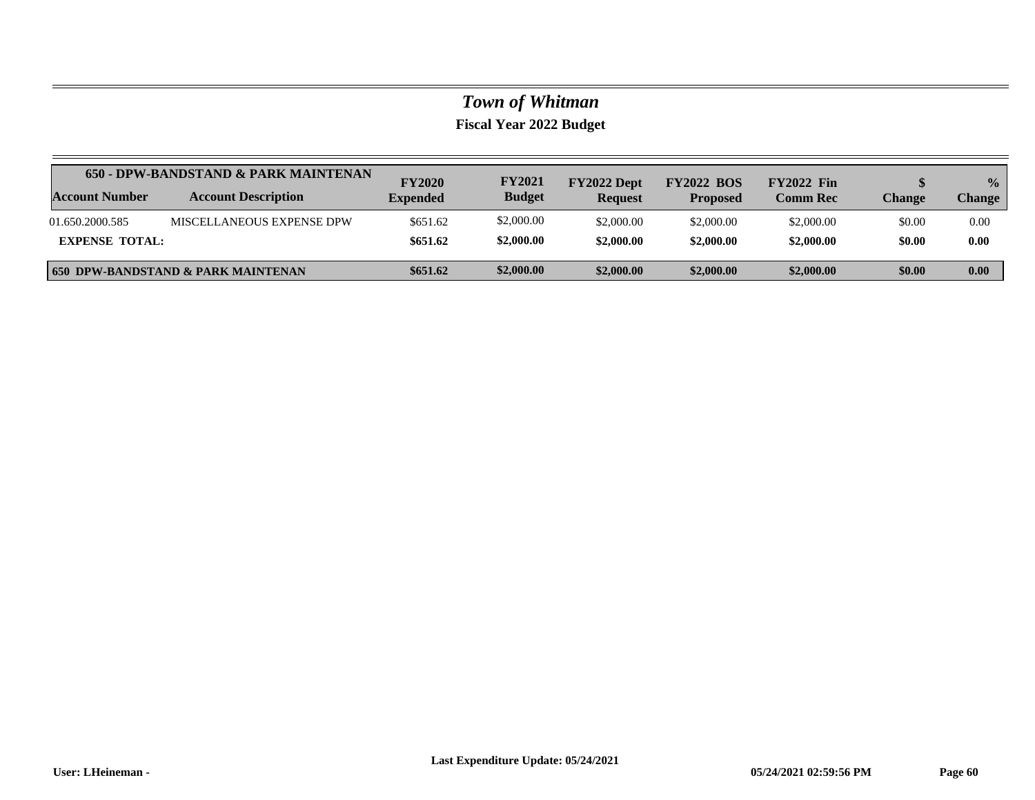|                       | 650 - DPW-BANDSTAND & PARK MAINTENAN          |                                  | <b>FY2021</b> | FY2022 Dept    | <b>FY2022 BOS</b> | <b>FY2022 Fin</b> |        | $\frac{0}{2}$ |
|-----------------------|-----------------------------------------------|----------------------------------|---------------|----------------|-------------------|-------------------|--------|---------------|
| Account Number        | <b>Account Description</b>                    | <b>FY2020</b><br><b>Expended</b> | <b>Budget</b> | <b>Request</b> | <b>Proposed</b>   | <b>Comm Rec</b>   | Change | <b>Change</b> |
| 01.650.2000.585       | MISCELLANEOUS EXPENSE DPW                     | \$651.62                         | \$2,000.00    | \$2,000.00     | \$2,000.00        | \$2,000.00        | \$0.00 | 0.00          |
| <b>EXPENSE TOTAL:</b> |                                               | \$651.62                         | \$2,000.00    | \$2,000.00     | \$2,000.00        | \$2,000.00        | \$0.00 | 0.00          |
|                       | <b>650 DPW-BANDSTAND &amp; PARK MAINTENAN</b> | \$651.62                         | \$2,000.00    | \$2,000.00     | \$2,000.00        | \$2,000.00        | \$0.00 | 0.00          |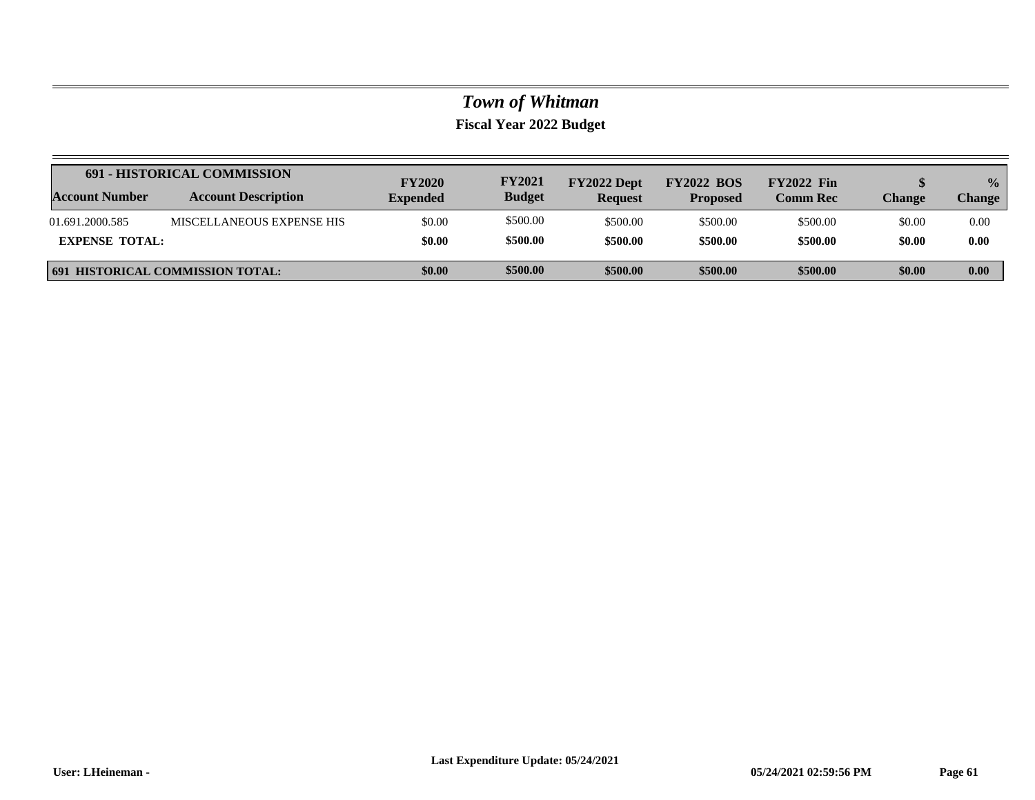|                       | <b>691 - HISTORICAL COMMISSION</b>      | <b>FY2020</b>   | <b>FY2021</b> | FY2022 Dept    | <b>FY2022 BOS</b> | <b>FY2022 Fin</b> |               | $\frac{0}{2}$ |
|-----------------------|-----------------------------------------|-----------------|---------------|----------------|-------------------|-------------------|---------------|---------------|
| <b>Account Number</b> | <b>Account Description</b>              | <b>Expended</b> | <b>Budget</b> | <b>Request</b> | <b>Proposed</b>   | <b>Comm Rec</b>   | <b>Change</b> | Change        |
| 01.691.2000.585       | MISCELLANEOUS EXPENSE HIS               | \$0.00          | \$500.00      | \$500.00       | \$500.00          | \$500.00          | \$0.00        | 0.00          |
| <b>EXPENSE TOTAL:</b> |                                         | \$0.00          | \$500.00      | \$500.00       | \$500.00          | \$500.00          | \$0.00        | 0.00          |
|                       | <b>691 HISTORICAL COMMISSION TOTAL:</b> | \$0.00          | \$500.00      | \$500.00       | \$500.00          | \$500.00          | \$0.00        | 0.00          |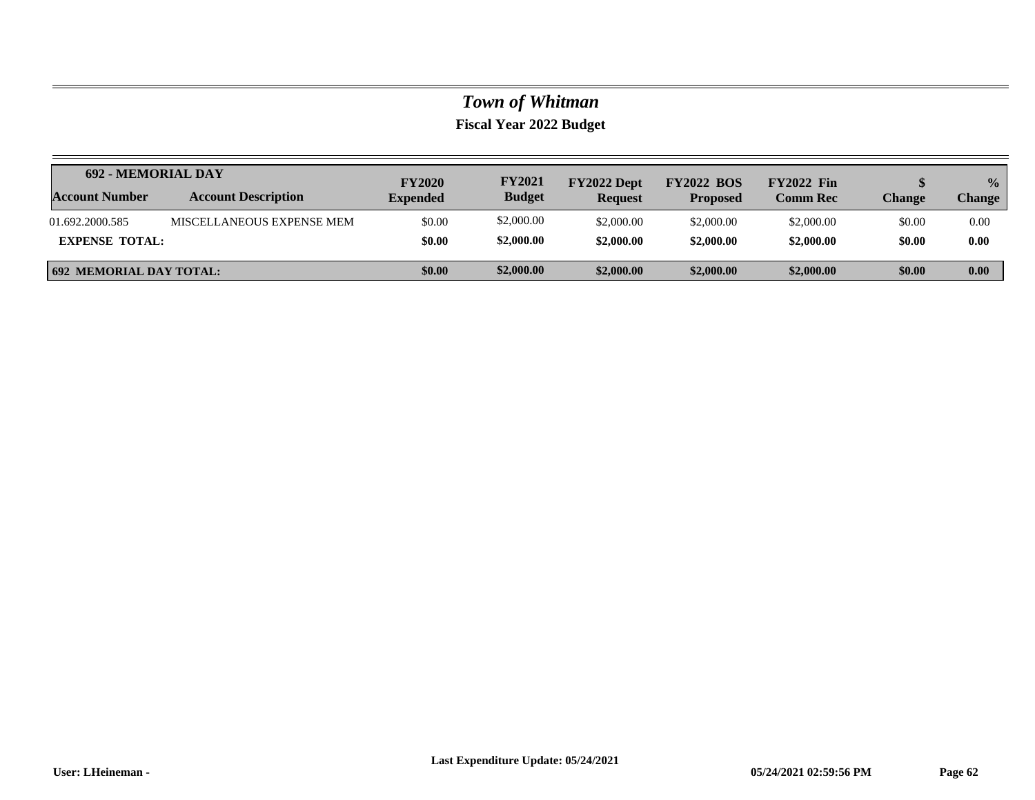| <b>692 - MEMORIAL DAY</b>      |                            | <b>FY2020</b>   | <b>FY2021</b> | FY2022 Dept    | <b>FY2022 BOS</b> | <b>FY2022 Fin</b> |               | $\frac{0}{2}$ |
|--------------------------------|----------------------------|-----------------|---------------|----------------|-------------------|-------------------|---------------|---------------|
| <b>Account Number</b>          | <b>Account Description</b> | <b>Expended</b> | <b>Budget</b> | <b>Request</b> | <b>Proposed</b>   | <b>Comm Rec</b>   | <b>Change</b> | <b>Change</b> |
| 01.692.2000.585                | MISCELLANEOUS EXPENSE MEM  | \$0.00          | \$2,000.00    | \$2,000.00     | \$2,000.00        | \$2,000.00        | \$0.00        | 0.00          |
| <b>EXPENSE TOTAL:</b>          |                            | \$0.00          | \$2,000.00    | \$2,000.00     | \$2,000.00        | \$2,000.00        | \$0.00        | 0.00          |
| <b>692 MEMORIAL DAY TOTAL:</b> |                            | \$0.00          | \$2,000.00    | \$2,000.00     | \$2,000.00        | \$2,000.00        | \$0.00        | 0.00          |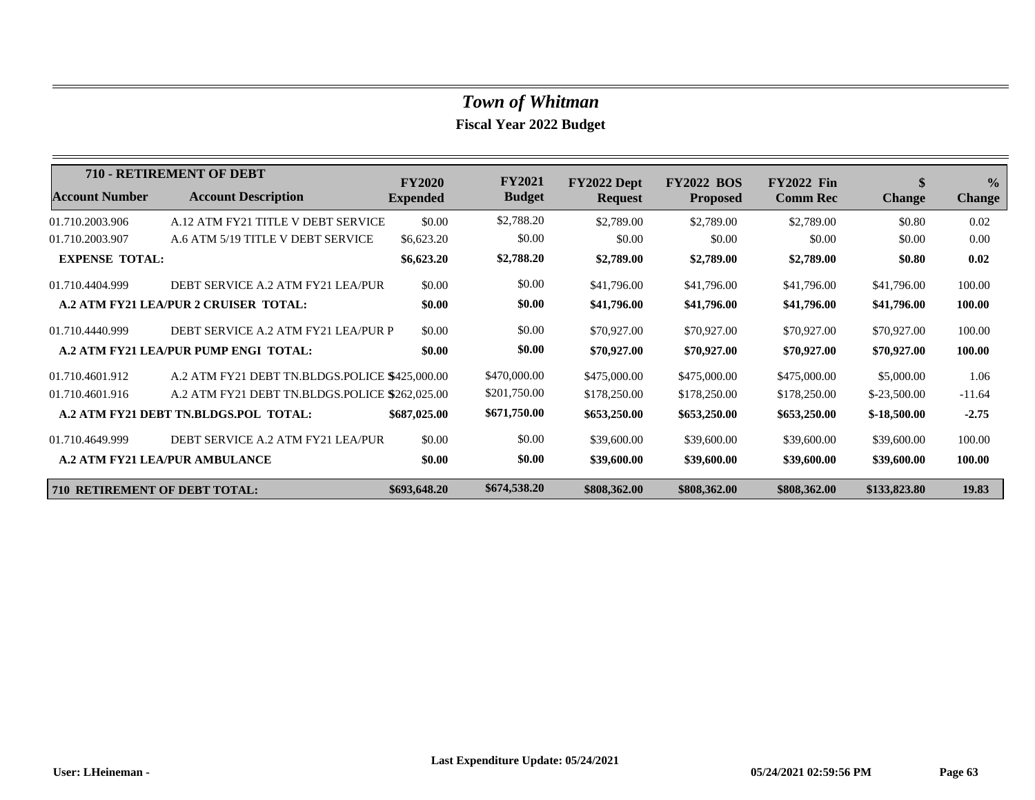|                                      | <b>710 - RETIREMENT OF DEBT</b>                | <b>FY2020</b>   | <b>FY2021</b> | FY2022 Dept    | <b>FY2022 BOS</b> | <b>FY2022 Fin</b> | \$            | $\frac{0}{0}$ |
|--------------------------------------|------------------------------------------------|-----------------|---------------|----------------|-------------------|-------------------|---------------|---------------|
| <b>Account Number</b>                | <b>Account Description</b>                     | <b>Expended</b> | <b>Budget</b> | <b>Request</b> | <b>Proposed</b>   | <b>Comm Rec</b>   | <b>Change</b> | <b>Change</b> |
| 01.710.2003.906                      | A.12 ATM FY21 TITLE V DEBT SERVICE             | \$0.00          | \$2,788.20    | \$2,789.00     | \$2,789.00        | \$2,789.00        | \$0.80        | 0.02          |
| 01.710.2003.907                      | A.6 ATM 5/19 TITLE V DEBT SERVICE              | \$6,623.20      | \$0.00        | \$0.00         | \$0.00            | \$0.00            | \$0.00        | 0.00          |
| <b>EXPENSE TOTAL:</b>                |                                                | \$6,623.20      | \$2,788.20    | \$2,789.00     | \$2,789.00        | \$2,789.00        | \$0.80        | 0.02          |
| 01.710.4404.999                      | DEBT SERVICE A.2 ATM FY21 LEA/PUR              | \$0.00          | \$0.00        | \$41,796.00    | \$41,796.00       | \$41,796.00       | \$41,796.00   | 100.00        |
|                                      | A.2 ATM FY21 LEA/PUR 2 CRUISER TOTAL:          | \$0.00          | \$0.00        | \$41,796.00    | \$41,796.00       | \$41,796.00       | \$41,796.00   | 100.00        |
| 01.710.4440.999                      | DEBT SERVICE A.2 ATM FY21 LEA/PUR P            | \$0.00          | \$0.00        | \$70,927.00    | \$70,927.00       | \$70,927.00       | \$70,927.00   | 100.00        |
|                                      | A.2 ATM FY21 LEA/PUR PUMP ENGI TOTAL:          | \$0.00          | \$0.00        | \$70,927.00    | \$70,927.00       | \$70,927.00       | \$70,927.00   | 100.00        |
| 01.710.4601.912                      | A.2 ATM FY21 DEBT TN.BLDGS.POLICE \$425,000.00 |                 | \$470,000.00  | \$475,000.00   | \$475,000.00      | \$475,000.00      | \$5,000.00    | 1.06          |
| 01.710.4601.916                      | A.2 ATM FY21 DEBT TN.BLDGS.POLICE \$262,025.00 |                 | \$201,750.00  | \$178,250.00   | \$178,250.00      | \$178,250.00      | $$-23,500.00$ | $-11.64$      |
|                                      | A.2 ATM FY21 DEBT TN.BLDGS.POL TOTAL:          | \$687,025.00    | \$671,750.00  | \$653,250.00   | \$653,250.00      | \$653,250.00      | $$-18,500.00$ | $-2.75$       |
| 01.710.4649.999                      | DEBT SERVICE A.2 ATM FY21 LEA/PUR              | \$0.00          | \$0.00        | \$39,600.00    | \$39,600.00       | \$39,600.00       | \$39,600.00   | 100.00        |
|                                      | <b>A.2 ATM FY21 LEA/PUR AMBULANCE</b>          | \$0.00          | \$0.00        | \$39,600.00    | \$39,600.00       | \$39,600.00       | \$39,600.00   | 100.00        |
| <b>710 RETIREMENT OF DEBT TOTAL:</b> |                                                | \$693,648.20    | \$674,538.20  | \$808,362.00   | \$808,362.00      | \$808,362.00      | \$133,823.80  | 19.83         |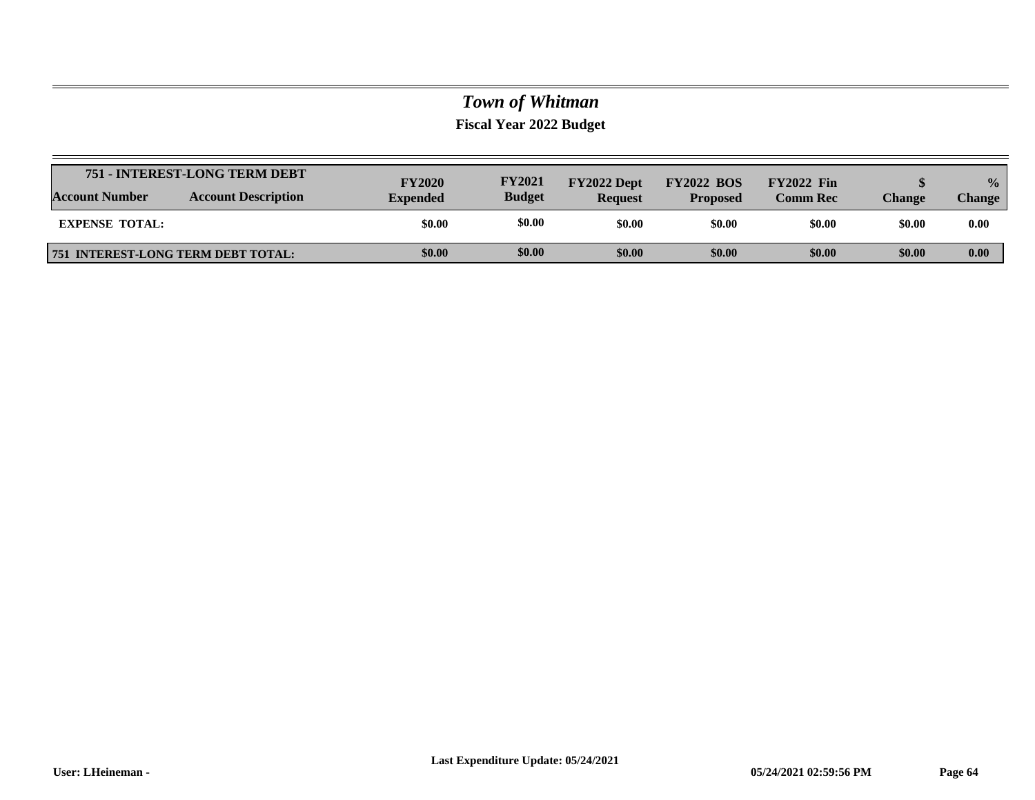|                                           | 751 - INTEREST-LONG TERM DEBT | <b>FY2020</b>   | <b>FY2021</b> | FY2022 Dept    | <b>FY2022 BOS</b> | <b>FY2022 Fin</b> |               | $\frac{0}{0}$ |
|-------------------------------------------|-------------------------------|-----------------|---------------|----------------|-------------------|-------------------|---------------|---------------|
| <b>Account Number</b>                     | <b>Account Description</b>    | <b>Expended</b> | <b>Budget</b> | <b>Request</b> | <b>Proposed</b>   | <b>Comm Rec</b>   | <b>Change</b> | Change        |
| <b>EXPENSE TOTAL:</b>                     |                               | \$0.00          | \$0.00        | \$0.00         | \$0.00            | \$0.00            | \$0.00        | 0.00          |
| <b>751 INTEREST-LONG TERM DEBT TOTAL:</b> |                               | \$0.00          | \$0.00        | \$0.00         | \$0.00            | \$0.00            | \$0.00        | 0.00          |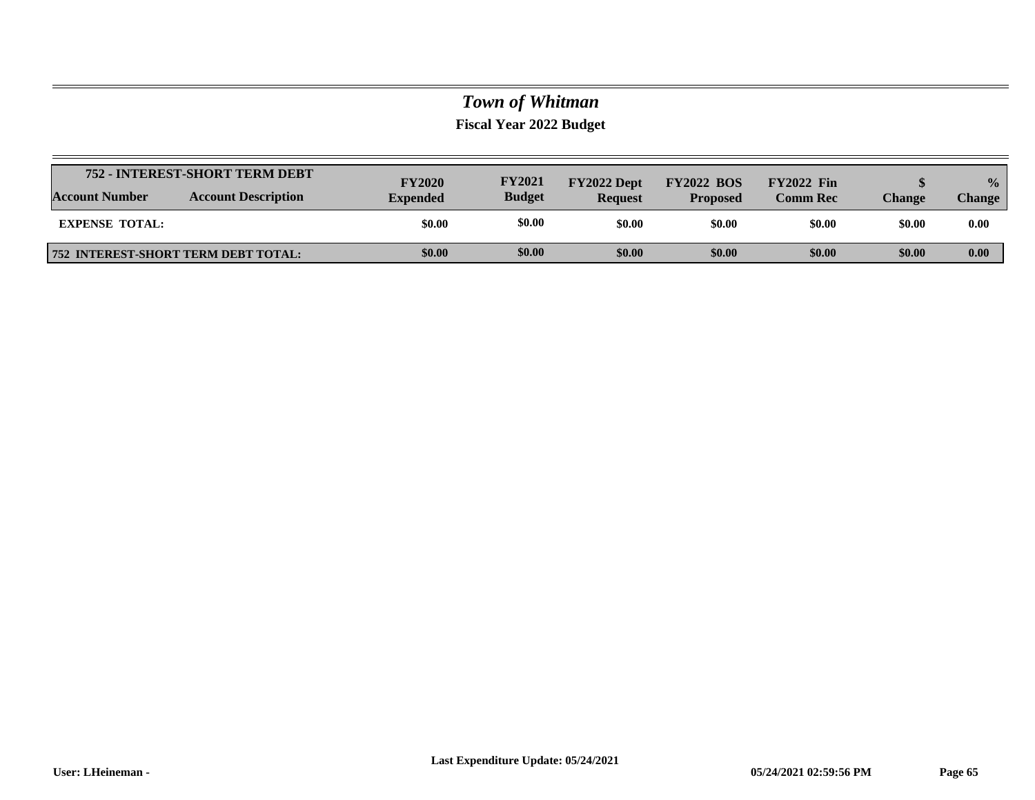|                       | 752 - INTEREST-SHORT TERM DEBT             | <b>FY2020</b>   | <b>FY2021</b> | FY2022 Dept    | <b>FY2022 BOS</b> | <b>FY2022 Fin</b> |               | $\frac{0}{0}$ |
|-----------------------|--------------------------------------------|-----------------|---------------|----------------|-------------------|-------------------|---------------|---------------|
| <b>Account Number</b> | <b>Account Description</b>                 | <b>Expended</b> | <b>Budget</b> | <b>Request</b> | <b>Proposed</b>   | <b>Comm Rec</b>   | <b>Change</b> | Change        |
| <b>EXPENSE TOTAL:</b> |                                            | \$0.00          | \$0.00        | \$0.00         | \$0.00            | \$0.00            | \$0.00        | 0.00          |
|                       | <b>752 INTEREST-SHORT TERM DEBT TOTAL:</b> | \$0.00          | \$0.00        | \$0.00         | \$0.00            | \$0.00            | \$0.00        | 0.00          |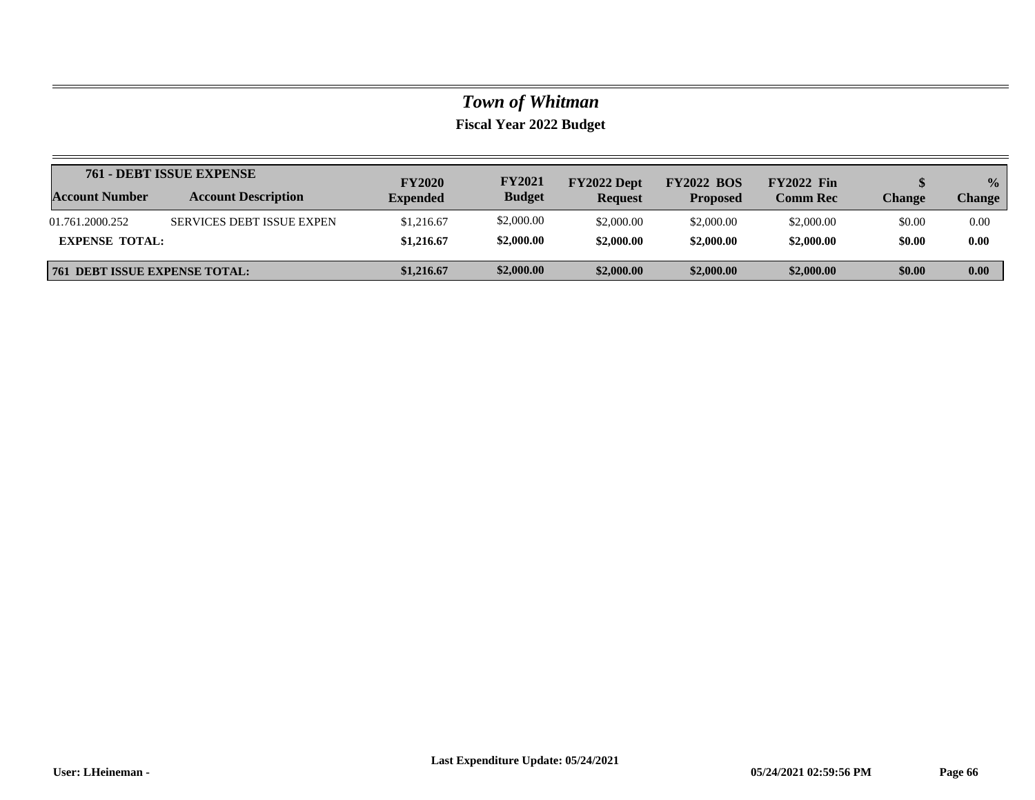|                                      | 761 - DEBT ISSUE EXPENSE         | <b>FY2020</b>   | <b>FY2021</b> | FY2022 Dept    | <b>FY2022 BOS</b> | <b>FY2022 Fin</b> |        | $\frac{1}{2}$ |
|--------------------------------------|----------------------------------|-----------------|---------------|----------------|-------------------|-------------------|--------|---------------|
| <b>Account Number</b>                | <b>Account Description</b>       | <b>Expended</b> | <b>Budget</b> | <b>Request</b> | <b>Proposed</b>   | <b>Comm Rec</b>   | Change | <b>Change</b> |
| 01.761.2000.252                      | <b>SERVICES DEBT ISSUE EXPEN</b> | \$1,216.67      | \$2,000.00    | \$2,000.00     | \$2,000.00        | \$2,000.00        | \$0.00 | 0.00          |
| <b>EXPENSE TOTAL:</b>                |                                  | \$1,216.67      | \$2,000.00    | \$2,000.00     | \$2,000.00        | \$2,000.00        | \$0.00 | 0.00          |
| <b>761 DEBT ISSUE EXPENSE TOTAL:</b> |                                  | \$1,216.67      | \$2,000.00    | \$2,000.00     | \$2,000.00        | \$2,000.00        | \$0.00 | 0.00          |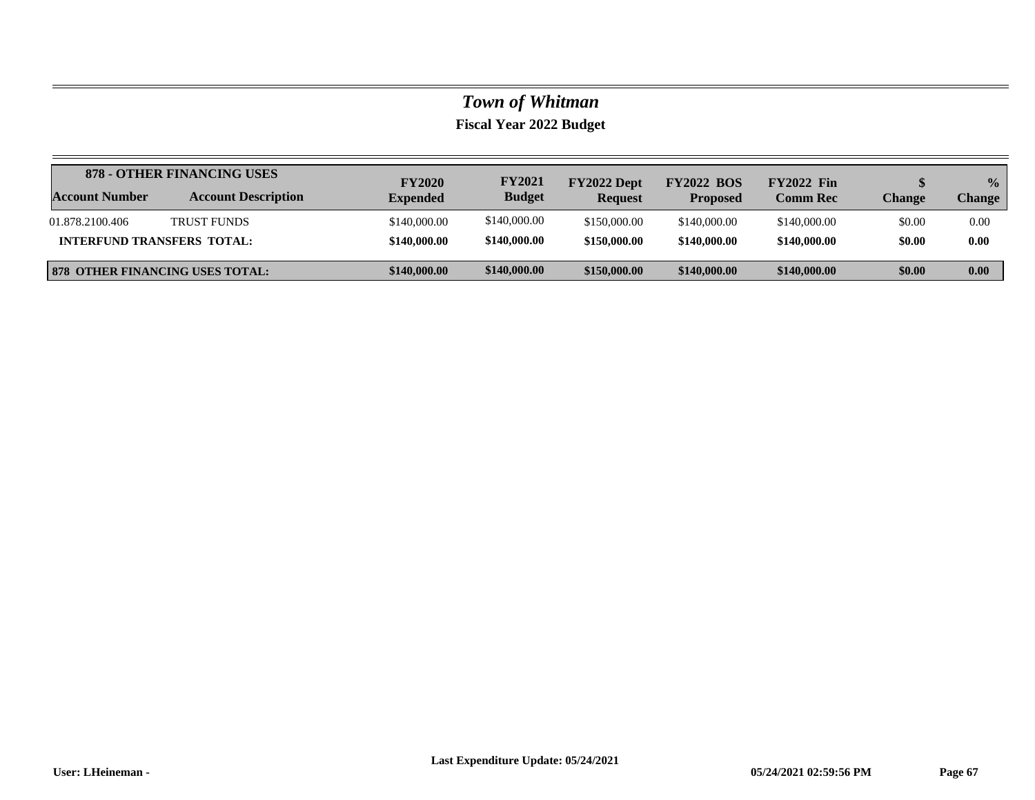|                                   | 878 - OTHER FINANCING USES             | <b>FY2020</b>   | <b>FY2021</b> | FY2022 Dept    | <b>FY2022 BOS</b> | <b>FY2022 Fin</b> |               | $\frac{0}{0}$ |
|-----------------------------------|----------------------------------------|-----------------|---------------|----------------|-------------------|-------------------|---------------|---------------|
| <b>Account Number</b>             | <b>Account Description</b>             | <b>Expended</b> | <b>Budget</b> | <b>Request</b> | <b>Proposed</b>   | <b>Comm Rec</b>   | <b>Change</b> | Change        |
| 01.878.2100.406                   | <b>TRUST FUNDS</b>                     | \$140,000.00    | \$140,000.00  | \$150,000.00   | \$140,000.00      | \$140,000.00      | \$0.00        | 0.00          |
| <b>INTERFUND TRANSFERS TOTAL:</b> |                                        | \$140,000.00    | \$140,000.00  | \$150,000.00   | \$140,000.00      | \$140,000.00      | \$0.00        | 0.00          |
|                                   | <b>878 OTHER FINANCING USES TOTAL:</b> | \$140,000.00    | \$140,000.00  | \$150,000.00   | \$140,000.00      | \$140,000.00      | \$0.00        | 0.00          |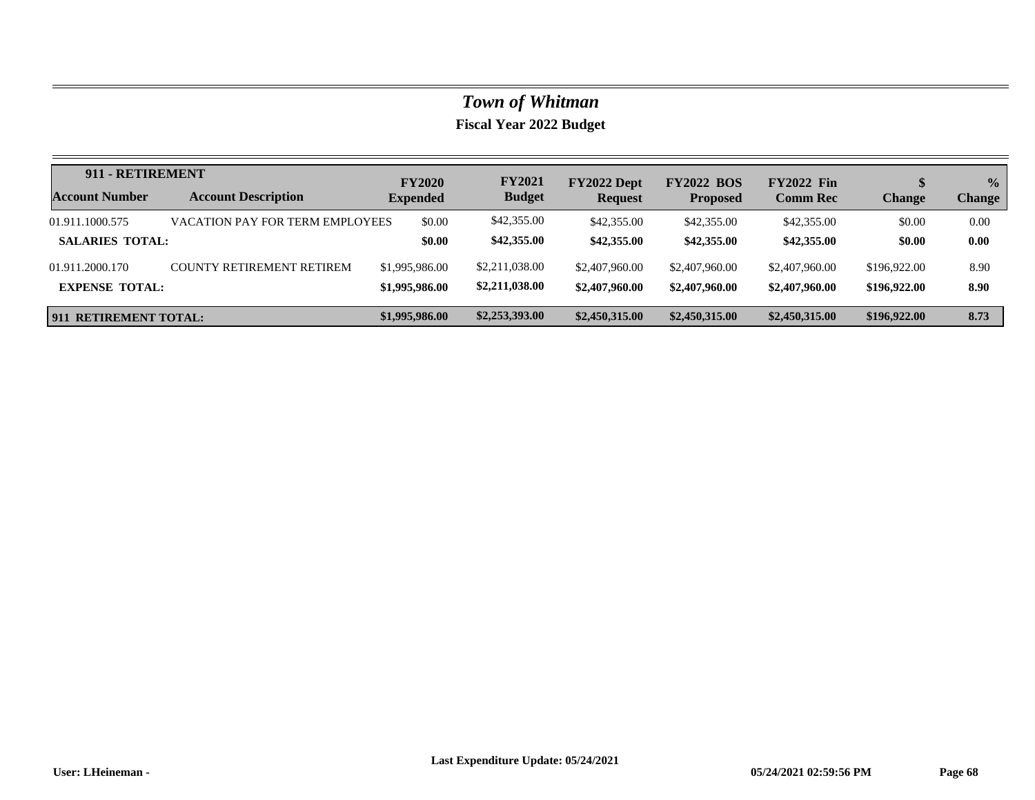| 911 - RETIREMENT       |                                  | <b>FY2020</b>   | <b>FY2021</b>  | FY2022 Dept    | <b>FY2022 BOS</b> | <b>FY2022 Fin</b> |               | $\frac{0}{0}$ |
|------------------------|----------------------------------|-----------------|----------------|----------------|-------------------|-------------------|---------------|---------------|
| <b>Account Number</b>  | <b>Account Description</b>       | <b>Expended</b> | <b>Budget</b>  | <b>Request</b> | <b>Proposed</b>   | <b>Comm Rec</b>   | <b>Change</b> | <b>Change</b> |
| 01.911.1000.575        | VACATION PAY FOR TERM EMPLOYEES  | \$0.00          | \$42,355.00    | \$42,355.00    | \$42,355.00       | \$42,355.00       | \$0.00        | 0.00          |
| <b>SALARIES TOTAL:</b> |                                  | \$0.00          | \$42,355.00    | \$42,355.00    | \$42,355.00       | \$42,355.00       | \$0.00        | 0.00          |
| 01.911.2000.170        | <b>COUNTY RETIREMENT RETIREM</b> | \$1,995,986.00  | \$2,211,038.00 | \$2,407,960.00 | \$2,407,960.00    | \$2,407,960.00    | \$196,922.00  | 8.90          |
| <b>EXPENSE TOTAL:</b>  |                                  | \$1,995,986.00  | \$2,211,038.00 | \$2,407,960.00 | \$2,407,960.00    | \$2,407,960.00    | \$196,922.00  | 8.90          |
| 911 RETIREMENT TOTAL:  |                                  | \$1,995,986.00  | \$2,253,393.00 | \$2,450,315.00 | \$2,450,315.00    | \$2,450,315.00    | \$196,922.00  | 8.73          |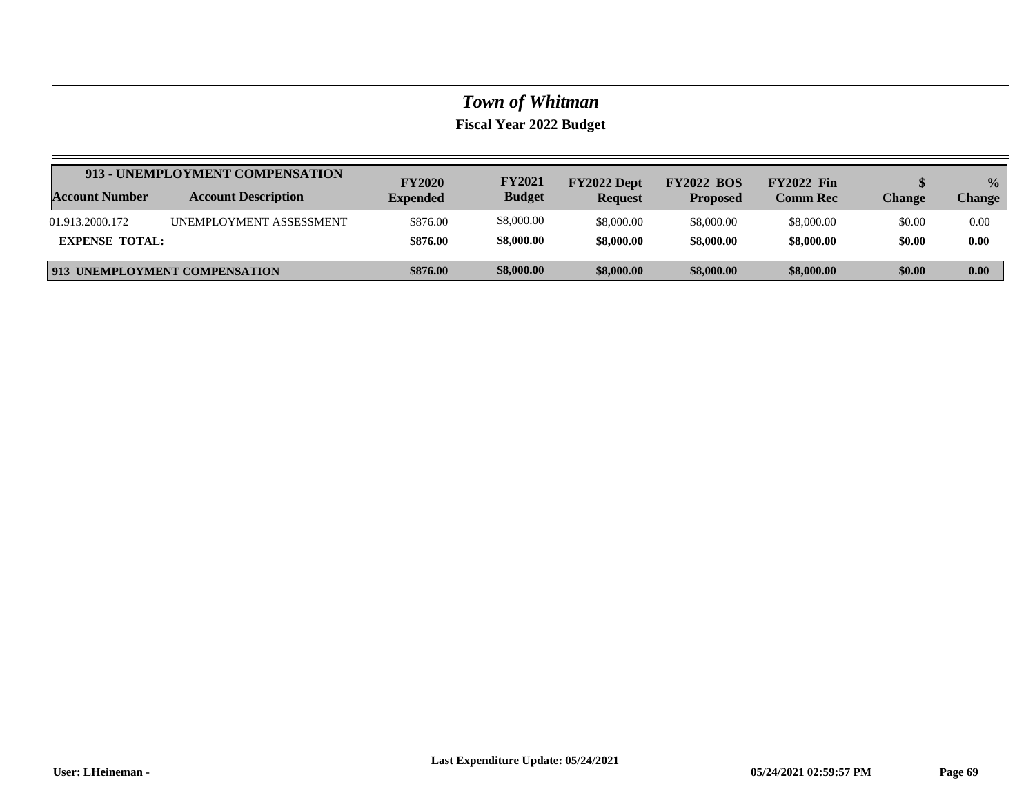|                       | 913 - UNEMPLOYMENT COMPENSATION      | <b>FY2020</b>   | <b>FY2021</b> | FY2022 Dept    | <b>FY2022 BOS</b> | <b>FY2022 Fin</b> |        | $\frac{1}{2}$ |
|-----------------------|--------------------------------------|-----------------|---------------|----------------|-------------------|-------------------|--------|---------------|
| Account Number        | <b>Account Description</b>           | <b>Expended</b> | <b>Budget</b> | <b>Request</b> | <b>Proposed</b>   | <b>Comm Rec</b>   | Change | Change        |
| 01.913.2000.172       | <b>UNEMPLOYMENT ASSESSMENT</b>       | \$876.00        | \$8,000.00    | \$8,000.00     | \$8,000.00        | \$8,000.00        | \$0.00 | 0.00          |
| <b>EXPENSE TOTAL:</b> |                                      | \$876.00        | \$8,000.00    | \$8,000.00     | \$8,000.00        | \$8,000.00        | \$0.00 | 0.00          |
|                       | <b>913 UNEMPLOYMENT COMPENSATION</b> | \$876.00        | \$8,000.00    | \$8,000.00     | \$8,000.00        | \$8,000.00        | \$0.00 | 0.00          |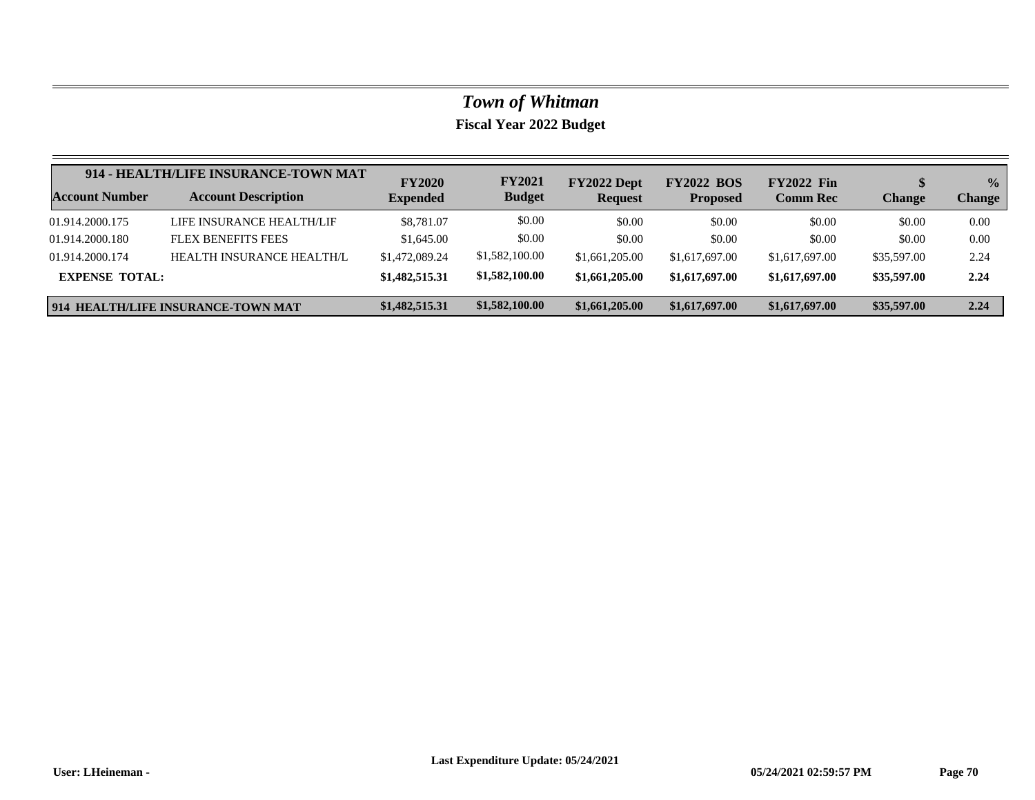|                       | 914 - HEALTH/LIFE INSURANCE-TOWN MAT | <b>FY2020</b>   | <b>FY2021</b>  | FY2022 Dept    | <b>FY2022 BOS</b> | <b>FY2022 Fin</b> |               | $\frac{0}{0}$ |
|-----------------------|--------------------------------------|-----------------|----------------|----------------|-------------------|-------------------|---------------|---------------|
| Account Number        | <b>Account Description</b>           | <b>Expended</b> | <b>Budget</b>  | <b>Request</b> | <b>Proposed</b>   | <b>Comm Rec</b>   | <b>Change</b> | <b>Change</b> |
| 01.914.2000.175       | LIFE INSURANCE HEALTH/LIF            | \$8,781.07      | \$0.00         | \$0.00         | \$0.00            | \$0.00            | \$0.00        | 0.00          |
| 01.914.2000.180       | <b>FLEX BENEFITS FEES</b>            | \$1,645.00      | \$0.00         | \$0.00         | \$0.00            | \$0.00            | \$0.00        | 0.00          |
| 01.914.2000.174       | HEALTH INSURANCE HEALTH/L            | \$1,472,089.24  | \$1,582,100.00 | \$1,661,205.00 | \$1,617,697.00    | \$1,617,697.00    | \$35,597.00   | 2.24          |
| <b>EXPENSE TOTAL:</b> |                                      | \$1,482,515.31  | \$1,582,100.00 | \$1,661,205.00 | \$1,617,697.00    | \$1,617,697.00    | \$35,597.00   | 2.24          |
|                       | 914 HEALTH/LIFE INSURANCE-TOWN MAT   | \$1,482,515.31  | \$1,582,100.00 | \$1,661,205.00 | \$1,617,697.00    | \$1,617,697.00    | \$35,597.00   | 2.24          |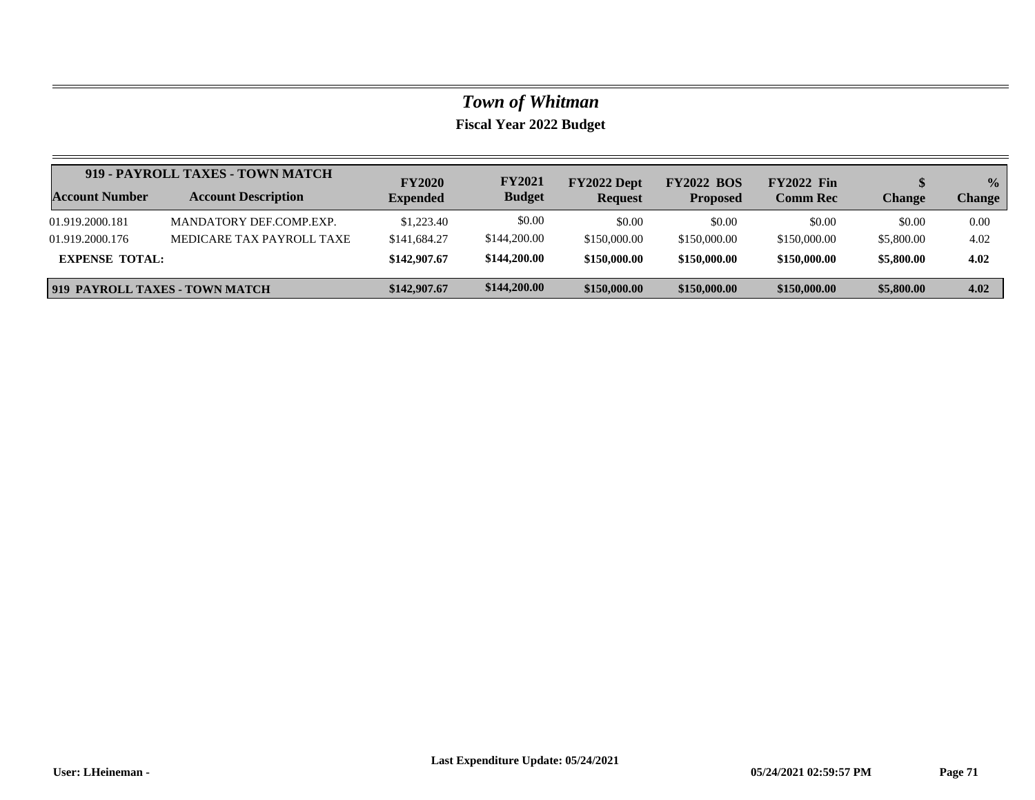|                       | 919 - PAYROLL TAXES - TOWN MATCH | <b>FY2020</b>   | <b>FY2021</b> | FY2022 Dept    | <b>FY2022 BOS</b> | <b>FY2022 Fin</b> |            | $\frac{0}{0}$ |
|-----------------------|----------------------------------|-----------------|---------------|----------------|-------------------|-------------------|------------|---------------|
| <b>Account Number</b> | <b>Account Description</b>       | <b>Expended</b> | <b>Budget</b> | <b>Request</b> | <b>Proposed</b>   | <b>Comm Rec</b>   | Change     | <b>Change</b> |
| 01.919.2000.181       | MANDATORY DEF COMP EXP.          | \$1,223.40      | \$0.00        | \$0.00         | \$0.00            | \$0.00            | \$0.00     | 0.00          |
| 01.919.2000.176       | MEDICARE TAX PAYROLL TAXE        | \$141,684.27    | \$144,200.00  | \$150,000.00   | \$150,000.00      | \$150,000.00      | \$5,800.00 | 4.02          |
| <b>EXPENSE TOTAL:</b> |                                  | \$142,907.67    | \$144,200.00  | \$150,000.00   | \$150,000.00      | \$150,000.00      | \$5,800.00 | 4.02          |
|                       | 919 PAYROLL TAXES - TOWN MATCH   | \$142,907.67    | \$144,200.00  | \$150,000.00   | \$150,000.00      | \$150,000.00      | \$5,800.00 | 4.02          |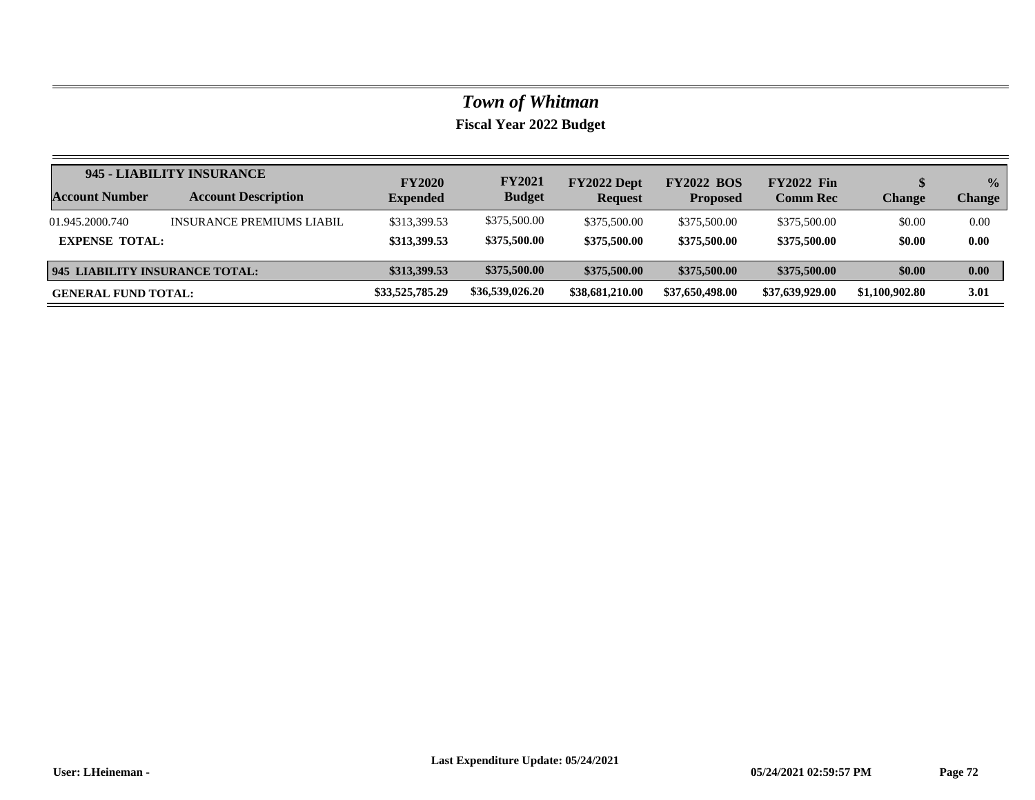| Account Number                        | 945 - LIABILITY INSURANCE        | <b>FY2020</b>   | <b>FY2021</b>   | FY2022 Dept     | <b>FY2022 BOS</b> | <b>FY2022 Fin</b> | \$             | $\frac{0}{0}$ |
|---------------------------------------|----------------------------------|-----------------|-----------------|-----------------|-------------------|-------------------|----------------|---------------|
|                                       | <b>Account Description</b>       | <b>Expended</b> | <b>Budget</b>   | <b>Request</b>  | <b>Proposed</b>   | <b>Comm Rec</b>   | Change         | <b>Change</b> |
| 01.945.2000.740                       | <b>INSURANCE PREMIUMS LIABIL</b> | \$313,399.53    | \$375,500.00    | \$375,500.00    | \$375,500.00      | \$375,500.00      | \$0.00         | 0.00          |
| <b>EXPENSE TOTAL:</b>                 |                                  | \$313,399.53    | \$375,500.00    | \$375,500.00    | \$375,500.00      | \$375,500.00      | \$0.00         | 0.00          |
| <b>945 LIABILITY INSURANCE TOTAL:</b> |                                  | \$313,399.53    | \$375,500.00    | \$375,500.00    | \$375,500.00      | \$375,500.00      | \$0.00         | 0.00          |
| <b>GENERAL FUND TOTAL:</b>            |                                  | \$33,525,785.29 | \$36,539,026.20 | \$38,681,210.00 | \$37,650,498.00   | \$37,639,929.00   | \$1,100,902.80 | 3.01          |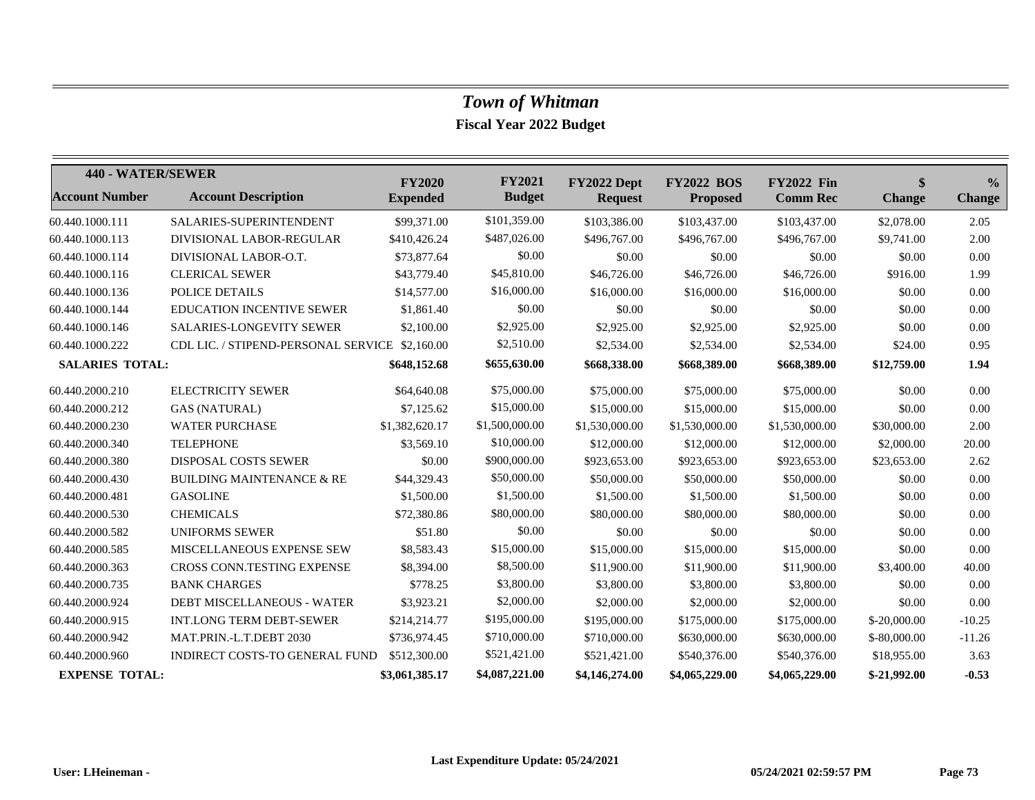## *Town of Whitman*

**Fiscal Year 2022 Budget**

| 440 - WATER/SEWER      |                                                | <b>FY2020</b>   | <b>FY2021</b>  | FY2022 Dept    | <b>FY2022 BOS</b> | <b>FY2022 Fin</b> | \$            | $\frac{0}{0}$ |
|------------------------|------------------------------------------------|-----------------|----------------|----------------|-------------------|-------------------|---------------|---------------|
| <b>Account Number</b>  | <b>Account Description</b>                     | <b>Expended</b> | <b>Budget</b>  | <b>Request</b> | <b>Proposed</b>   | <b>Comm Rec</b>   | <b>Change</b> | <b>Change</b> |
| 60.440.1000.111        | SALARIES-SUPERINTENDENT                        | \$99,371.00     | \$101,359.00   | \$103,386.00   | \$103,437.00      | \$103,437.00      | \$2,078.00    | 2.05          |
| 60.440.1000.113        | DIVISIONAL LABOR-REGULAR                       | \$410,426.24    | \$487,026.00   | \$496,767.00   | \$496,767.00      | \$496,767.00      | \$9,741.00    | 2.00          |
| 60.440.1000.114        | DIVISIONAL LABOR-O.T.                          | \$73,877.64     | \$0.00         | \$0.00         | \$0.00            | \$0.00            | \$0.00        | $0.00\,$      |
| 60.440.1000.116        | <b>CLERICAL SEWER</b>                          | \$43,779.40     | \$45,810.00    | \$46,726.00    | \$46,726.00       | \$46,726.00       | \$916.00      | 1.99          |
| 60.440.1000.136        | POLICE DETAILS                                 | \$14,577.00     | \$16,000.00    | \$16,000.00    | \$16,000.00       | \$16,000.00       | \$0.00        | 0.00          |
| 60.440.1000.144        | EDUCATION INCENTIVE SEWER                      | \$1,861.40      | \$0.00         | \$0.00         | \$0.00            | \$0.00            | \$0.00        | 0.00          |
| 60.440.1000.146        | SALARIES-LONGEVITY SEWER                       | \$2,100.00      | \$2,925.00     | \$2,925.00     | \$2,925.00        | \$2,925.00        | \$0.00        | 0.00          |
| 60.440.1000.222        | CDL LIC. / STIPEND-PERSONAL SERVICE \$2,160.00 |                 | \$2,510.00     | \$2,534.00     | \$2,534.00        | \$2,534.00        | \$24.00       | 0.95          |
| <b>SALARIES TOTAL:</b> |                                                | \$648,152.68    | \$655,630.00   | \$668,338.00   | \$668,389.00      | \$668,389.00      | \$12,759.00   | 1.94          |
| 60.440.2000.210        | <b>ELECTRICITY SEWER</b>                       | \$64,640.08     | \$75,000.00    | \$75,000.00    | \$75,000.00       | \$75,000.00       | \$0.00        | 0.00          |
| 60.440.2000.212        | <b>GAS (NATURAL)</b>                           | \$7,125.62      | \$15,000.00    | \$15,000.00    | \$15,000.00       | \$15,000.00       | \$0.00        | 0.00          |
| 60.440.2000.230        | <b>WATER PURCHASE</b>                          | \$1,382,620.17  | \$1,500,000.00 | \$1,530,000.00 | \$1,530,000.00    | \$1,530,000.00    | \$30,000.00   | 2.00          |
| 60.440.2000.340        | <b>TELEPHONE</b>                               | \$3,569.10      | \$10,000.00    | \$12,000.00    | \$12,000.00       | \$12,000.00       | \$2,000.00    | 20.00         |
| 60.440.2000.380        | <b>DISPOSAL COSTS SEWER</b>                    | \$0.00          | \$900,000.00   | \$923,653.00   | \$923,653.00      | \$923,653.00      | \$23,653.00   | 2.62          |
| 60.440.2000.430        | <b>BUILDING MAINTENANCE &amp; RE</b>           | \$44,329.43     | \$50,000.00    | \$50,000.00    | \$50,000.00       | \$50,000.00       | \$0.00        | 0.00          |
| 60.440.2000.481        | <b>GASOLINE</b>                                | \$1,500.00      | \$1,500.00     | \$1,500.00     | \$1,500.00        | \$1,500.00        | \$0.00        | 0.00          |
| 60.440.2000.530        | <b>CHEMICALS</b>                               | \$72,380.86     | \$80,000.00    | \$80,000.00    | \$80,000.00       | \$80,000.00       | \$0.00        | 0.00          |
| 60.440.2000.582        | <b>UNIFORMS SEWER</b>                          | \$51.80         | \$0.00         | \$0.00         | \$0.00            | \$0.00            | \$0.00        | 0.00          |
| 60.440.2000.585        | MISCELLANEOUS EXPENSE SEW                      | \$8,583.43      | \$15,000.00    | \$15,000.00    | \$15,000.00       | \$15,000.00       | \$0.00        | 0.00          |
| 60.440.2000.363        | CROSS CONN.TESTING EXPENSE                     | \$8,394.00      | \$8,500.00     | \$11,900.00    | \$11,900.00       | \$11,900.00       | \$3,400.00    | 40.00         |
| 60.440.2000.735        | <b>BANK CHARGES</b>                            | \$778.25        | \$3,800.00     | \$3,800.00     | \$3,800.00        | \$3,800.00        | \$0.00        | 0.00          |
| 60.440.2000.924        | <b>DEBT MISCELLANEOUS - WATER</b>              | \$3,923.21      | \$2,000.00     | \$2,000.00     | \$2,000.00        | \$2,000.00        | \$0.00        | 0.00          |
| 60.440.2000.915        | <b>INT.LONG TERM DEBT-SEWER</b>                | \$214,214.77    | \$195,000.00   | \$195,000.00   | \$175,000.00      | \$175,000.00      | $$-20,000.00$ | $-10.25$      |
| 60.440.2000.942        | MAT.PRIN.-L.T.DEBT 2030                        | \$736,974.45    | \$710,000.00   | \$710,000.00   | \$630,000.00      | \$630,000.00      | $$-80,000.00$ | $-11.26$      |
| 60.440.2000.960        | <b>INDIRECT COSTS-TO GENERAL FUND</b>          | \$512,300.00    | \$521,421.00   | \$521,421.00   | \$540,376.00      | \$540,376.00      | \$18,955.00   | 3.63          |
| <b>EXPENSE TOTAL:</b>  |                                                | \$3,061,385.17  | \$4,087,221.00 | \$4,146,274.00 | \$4,065,229.00    | \$4,065,229.00    | $$-21,992,00$ | $-0.53$       |